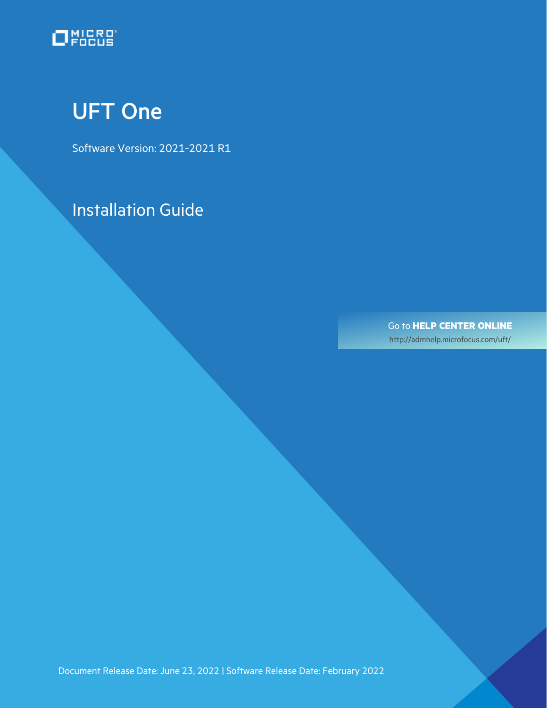

# <span id="page-0-0"></span>UFT One

Software Version: 2021-2021 R1

Installation Guide

Go to **HELP CENTER ONLINE** [http://admhelp.microfocus.com/uft/](https://admhelp.microfocus.com/uft/en/latest/UFT_Help/Content/Resources/_TopNav/_TopNav_Home.htm)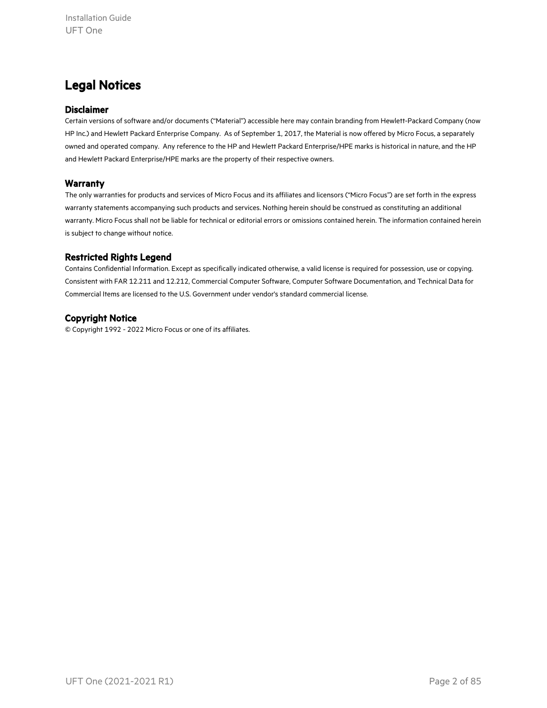### Legal Notices

#### Disclaimer

Certain versions of software and/or documents ("Material") accessible here may contain branding from Hewlett-Packard Company (now HP Inc.) and Hewlett Packard Enterprise Company. As of September 1, 2017, the Material is now offered by Micro Focus, a separately owned and operated company. Any reference to the HP and Hewlett Packard Enterprise/HPE marks is historical in nature, and the HP and Hewlett Packard Enterprise/HPE marks are the property of their respective owners.

#### **Warranty**

The only warranties for products and services of Micro Focus and its affiliates and licensors ("Micro Focus") are set forth in the express warranty statements accompanying such products and services. Nothing herein should be construed as constituting an additional warranty. Micro Focus shall not be liable for technical or editorial errors or omissions contained herein. The information contained herein is subject to change without notice.

#### Restricted Rights Legend

Contains Confidential Information. Except as specifically indicated otherwise, a valid license is required for possession, use or copying. Consistent with FAR 12.211 and 12.212, Commercial Computer Software, Computer Software Documentation, and Technical Data for Commercial Items are licensed to the U.S. Government under vendor's standard commercial license.

#### Copyright Notice

© Copyright 1992 - 2022 Micro Focus or one of its affiliates.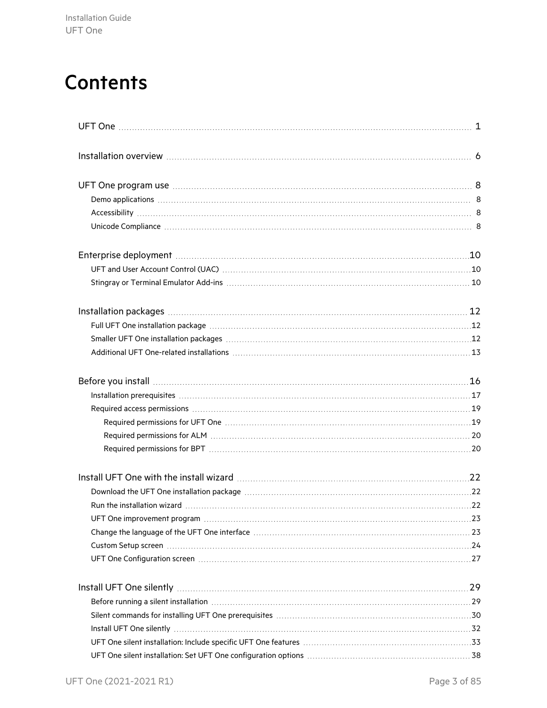# **Contents**

| UFT and User Account Control (UAC) Material and the control of the state of the control of the control of the control of the control of the control of the control of the control of the control of the control of the control |  |
|--------------------------------------------------------------------------------------------------------------------------------------------------------------------------------------------------------------------------------|--|
|                                                                                                                                                                                                                                |  |
|                                                                                                                                                                                                                                |  |
|                                                                                                                                                                                                                                |  |
|                                                                                                                                                                                                                                |  |
|                                                                                                                                                                                                                                |  |
| Before you install measures are all the set of the set of the set of the set of the set of the set of the set of the set of the set of the set of the set of the set of the set of the set of the set of the set of the set of |  |
|                                                                                                                                                                                                                                |  |
|                                                                                                                                                                                                                                |  |
|                                                                                                                                                                                                                                |  |
|                                                                                                                                                                                                                                |  |
|                                                                                                                                                                                                                                |  |
|                                                                                                                                                                                                                                |  |
|                                                                                                                                                                                                                                |  |
|                                                                                                                                                                                                                                |  |
|                                                                                                                                                                                                                                |  |
|                                                                                                                                                                                                                                |  |
|                                                                                                                                                                                                                                |  |
|                                                                                                                                                                                                                                |  |
|                                                                                                                                                                                                                                |  |
| Before running a silent installation material contents and the set of the set of the set of the set of the set o                                                                                                               |  |
|                                                                                                                                                                                                                                |  |
|                                                                                                                                                                                                                                |  |
|                                                                                                                                                                                                                                |  |
|                                                                                                                                                                                                                                |  |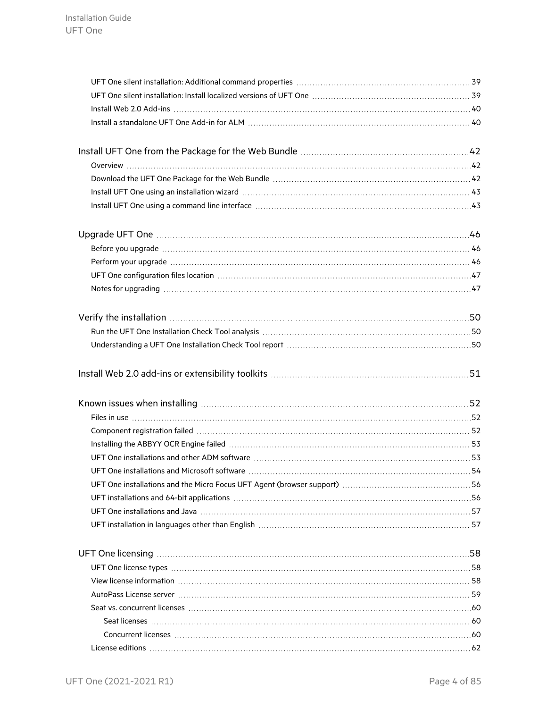| UFT One silent installation: Install localized versions of UFT One [11] UFT One and the silent installation: 1                                                                                                                 |
|--------------------------------------------------------------------------------------------------------------------------------------------------------------------------------------------------------------------------------|
|                                                                                                                                                                                                                                |
|                                                                                                                                                                                                                                |
|                                                                                                                                                                                                                                |
|                                                                                                                                                                                                                                |
|                                                                                                                                                                                                                                |
|                                                                                                                                                                                                                                |
|                                                                                                                                                                                                                                |
|                                                                                                                                                                                                                                |
|                                                                                                                                                                                                                                |
|                                                                                                                                                                                                                                |
|                                                                                                                                                                                                                                |
|                                                                                                                                                                                                                                |
| Notes for upgrading manufacture and the contract of the state of the state of the state of the state of the st                                                                                                                 |
|                                                                                                                                                                                                                                |
|                                                                                                                                                                                                                                |
|                                                                                                                                                                                                                                |
|                                                                                                                                                                                                                                |
|                                                                                                                                                                                                                                |
|                                                                                                                                                                                                                                |
|                                                                                                                                                                                                                                |
|                                                                                                                                                                                                                                |
| Files in use www.communications.com/internations.com/internations.com/internations.com/internations.com/internations.com/internations.com/internations.com/internations.com/internations.com/internations.com/internations.com |
|                                                                                                                                                                                                                                |
|                                                                                                                                                                                                                                |
|                                                                                                                                                                                                                                |
| UFT One installations and Microsoft software manufactured and contain an according to the S4                                                                                                                                   |
|                                                                                                                                                                                                                                |
| UFT installations and 64-bit applications manufactured and contain an extraordinary state of the UFT installations and 64-bit applications manufactured and the UFT installations and 64-bit applications manufactured and the |
| UFT One installations and Java (1990) 1999 (1999) 1999 (1999) 1999 (1999) 1999 (1999) 1999 (1999) 1999 (1999)                                                                                                                  |
| UFT installation in languages other than English masses and contained account of the state of 57                                                                                                                               |
|                                                                                                                                                                                                                                |
|                                                                                                                                                                                                                                |
| View license information material continuum control and control of the USI of the USI of the USI of the USI of the USI of the USI of the USI of the USI of the USI of the USI of the USI of the USI of the USI of the USI of t |
|                                                                                                                                                                                                                                |
|                                                                                                                                                                                                                                |
|                                                                                                                                                                                                                                |
|                                                                                                                                                                                                                                |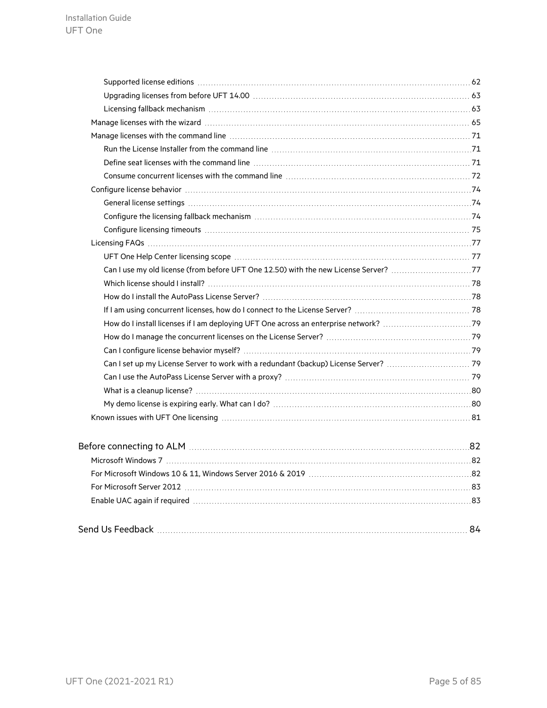| Can I use my old license (from before UFT One 12.50) with the new License Server? 77 |  |
|--------------------------------------------------------------------------------------|--|
|                                                                                      |  |
|                                                                                      |  |
|                                                                                      |  |
|                                                                                      |  |
|                                                                                      |  |
|                                                                                      |  |
|                                                                                      |  |
|                                                                                      |  |
|                                                                                      |  |
|                                                                                      |  |
|                                                                                      |  |
|                                                                                      |  |
|                                                                                      |  |
|                                                                                      |  |
|                                                                                      |  |
|                                                                                      |  |
|                                                                                      |  |
|                                                                                      |  |

|--|--|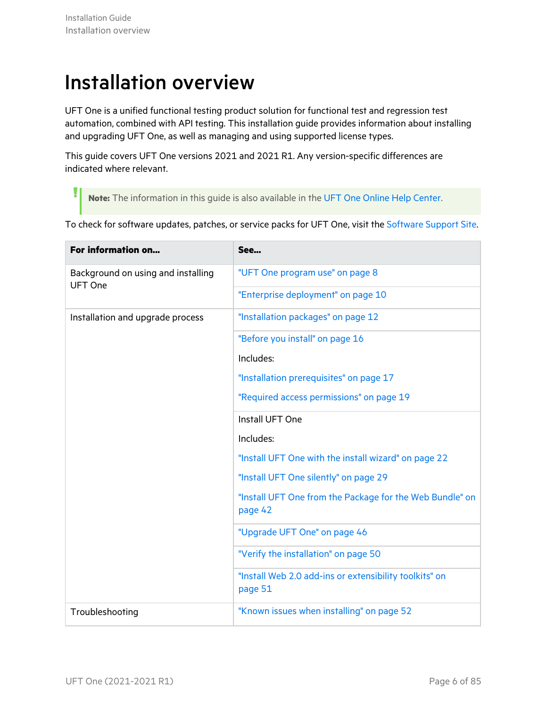Ţ

# <span id="page-5-0"></span>Installation overview

UFT One is a unified functional testing product solution for functional test and regression test automation, combined with API testing. This installation guide provides information about installing and upgrading UFT One, as well as managing and using supported license types.

This guide covers UFT One versions 2021 and 2021 R1. Any version-specific differences are indicated where relevant.

**Note:** The information in this guide is also available in the UFT One Online Help [Center.](https://admhelp.microfocus.com/uft/en/2021-2021_R1/UFT_Help/Content/Landing_Pages/install-ov.htm)

To check for software updates, patches, or service packs for UFT One, visit the [Software](https://www.microfocus.com/support) Support Site.

| For information on                                   | See                                                                 |
|------------------------------------------------------|---------------------------------------------------------------------|
| Background on using and installing<br><b>UFT One</b> | "UFT One program use" on page 8                                     |
|                                                      | "Enterprise deployment" on page 10                                  |
| Installation and upgrade process                     | "Installation packages" on page 12                                  |
|                                                      | "Before you install" on page 16                                     |
|                                                      | Includes:                                                           |
|                                                      | "Installation prerequisites" on page 17                             |
|                                                      | "Required access permissions" on page 19                            |
|                                                      | Install UFT One                                                     |
|                                                      | Includes:                                                           |
|                                                      | "Install UFT One with the install wizard" on page 22                |
|                                                      | "Install UFT One silently" on page 29                               |
|                                                      | "Install UFT One from the Package for the Web Bundle" on<br>page 42 |
|                                                      | "Upgrade UFT One" on page 46                                        |
|                                                      | "Verify the installation" on page 50                                |
|                                                      | "Install Web 2.0 add-ins or extensibility toolkits" on<br>page 51   |
| Troubleshooting                                      | "Known issues when installing" on page 52                           |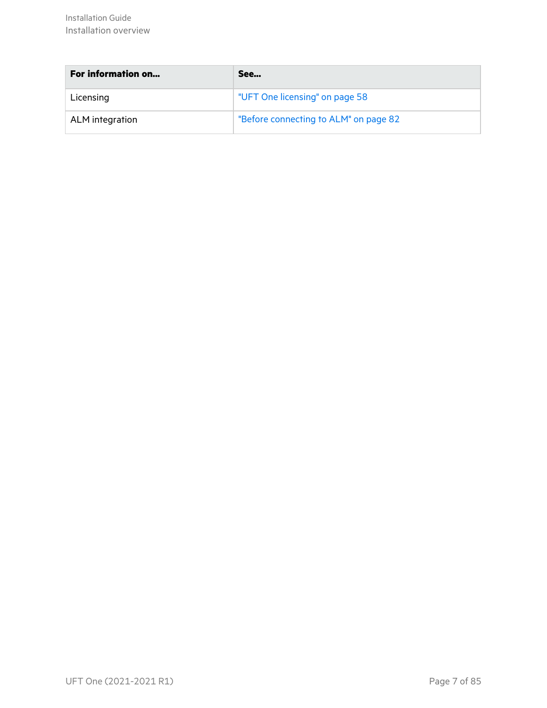| <b>For information on</b> | See                                   |
|---------------------------|---------------------------------------|
| Licensing                 | "UFT One licensing" on page 58        |
| ALM integration           | "Before connecting to ALM" on page 82 |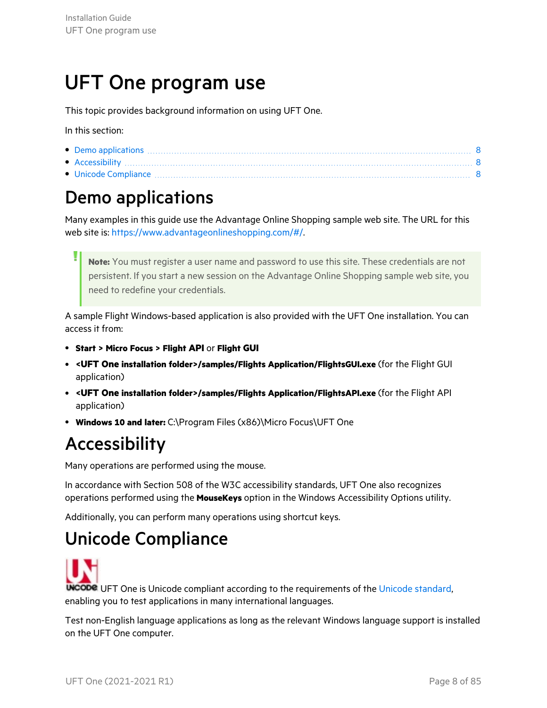# <span id="page-7-0"></span>UFT One program use

This topic provides background information on using UFT One.

In this section:

| • Accessibility |  |
|-----------------|--|

<span id="page-7-1"></span>• Unicode [Compliance](#page-7-3) [8](#page-7-3)

## Demo applications

Many examples in this guide use the Advantage Online Shopping sample web site. The URL for this web site is: <https://www.advantageonlineshopping.com/#/>.

**Note:** You must register a user name and password to use this site. These credentials are not persistent. If you start a new session on the Advantage Online Shopping sample web site, you need to redefine your credentials.

A sample Flight Windows-based application is also provided with the UFT One installation. You can access it from:

- <sup>l</sup> **Start > Micro Focus > Flight API** or **Flight GUI**
- <sup>l</sup> **<UFT One installation folder>/samples/Flights Application/FlightsGUI.exe** (for the Flight GUI application)
- <sup>l</sup> **<UFT One installation folder>/samples/Flights Application/FlightsAPI.exe** (for the Flight API application)
- <span id="page-7-2"></span><sup>l</sup> **Windows 10 and later:** C:\Program Files (x86)\Micro Focus\UFT One

## Accessibility

Many operations are performed using the mouse.

In accordance with Section 508 of the W3C accessibility standards, UFT One also recognizes operations performed using the **MouseKeys** option in the Windows Accessibility Options utility.

<span id="page-7-3"></span>Additionally, you can perform many operations using shortcut keys.

### Unicode Compliance

**UNCODE** UFT One is Unicode compliant according to the requirements of the Unicode [standard](http://www.unicode.org/standard/standard.html), enabling you to test applications in many international languages.

Test non-English language applications as long as the relevant Windows language support is installed on the UFT One computer.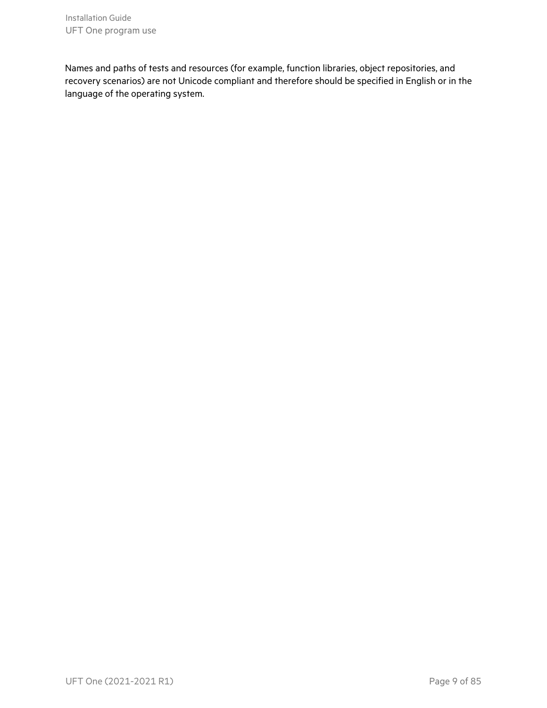Installation Guide UFT One program use

Names and paths of tests and resources (for example, function libraries, object repositories, and recovery scenarios) are not Unicode compliant and therefore should be specified in English or in the language of the operating system.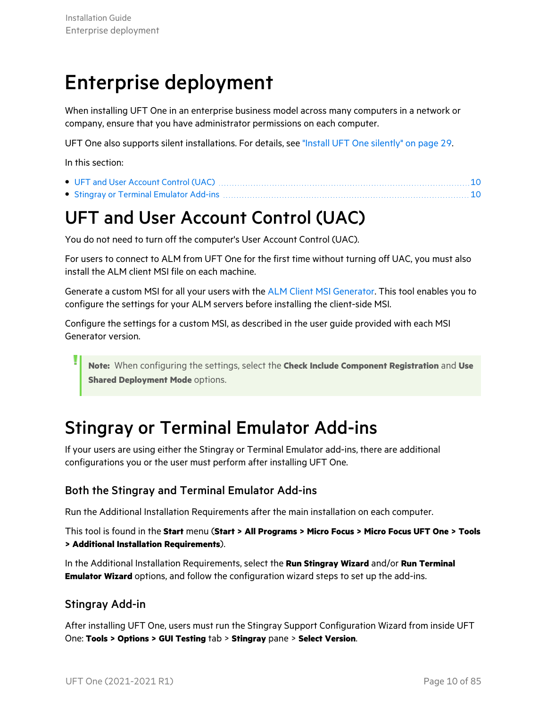# <span id="page-9-0"></span>Enterprise deployment

When installing UFT One in an enterprise business model across many computers in a network or company, ensure that you have administrator permissions on each computer.

UFT One also supports silent installations. For details, see "Install UFT One [silently"](#page-28-0) on page 29.

In this section:

## <span id="page-9-1"></span>UFT and User Account Control (UAC)

You do not need to turn off the computer's User Account Control (UAC).

For users to connect to ALM from UFT One for the first time without turning off UAC, you must also install the ALM client MSI file on each machine.

Generate a custom MSI for all your users with the ALM Client MSI [Generator](https://marketplace.microfocus.com/appdelivery/content/alm-client-msi-generator-add). This tool enables you to configure the settings for your ALM servers before installing the client-side MSI.

Configure the settings for a custom MSI, as described in the user guide provided with each MSI Generator version.

**Note:** When configuring the settings, select the **Check Include Component Registration** and **Use Shared Deployment Mode options.** 

### <span id="page-9-2"></span>Stingray or Terminal Emulator Add-ins

If your users are using either the Stingray or Terminal Emulator add-ins, there are additional configurations you or the user must perform after installing UFT One.

### Both the Stingray and Terminal Emulator Add-ins

Run the Additional Installation Requirements after the main installation on each computer.

This tool is found in the **Start** menu (**Start > All Programs > Micro Focus > Micro Focus UFT One > Tools > Additional Installation Requirements**).

In the Additional Installation Requirements, select the **Run Stingray Wizard** and/or **Run Terminal Emulator Wizard** options, and follow the configuration wizard steps to set up the add-ins.

### Stingray Add-in

After installing UFT One, users must run the Stingray Support Configuration Wizard from inside UFT One: **Tools > Options > GUI Testing** tab > **Stingray** pane > **Select Version**.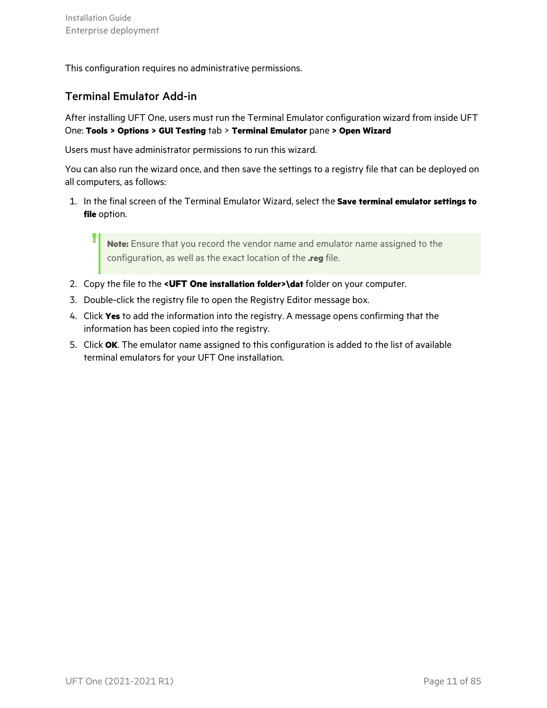This configuration requires no administrative permissions.

### Terminal Emulator Add-in

After installing UFT One, users must run the Terminal Emulator configuration wizard from inside UFT One: **Tools > Options > GUI Testing** tab > **Terminal Emulator** pane **> Open Wizard**

Users must have administrator permissions to run this wizard.

You can also run the wizard once, and then save the settings to a registry file that can be deployed on all computers, as follows:

1. In the final screen of the Terminal Emulator Wizard, select the **Save terminal emulator settings to file** option.

**Note:** Ensure that you record the vendor name and emulator name assigned to the configuration, as well as the exact location of the **.reg** file.

- 2. Copy the file to the **<UFT One installation folder>\dat** folder on your computer.
- 3. Double-click the registry file to open the Registry Editor message box.
- 4. Click **Yes** to add the information into the registry. A message opens confirming that the information has been copied into the registry.
- 5. Click **OK**. The emulator name assigned to this configuration is added to the list of available terminal emulators for your UFT One installation.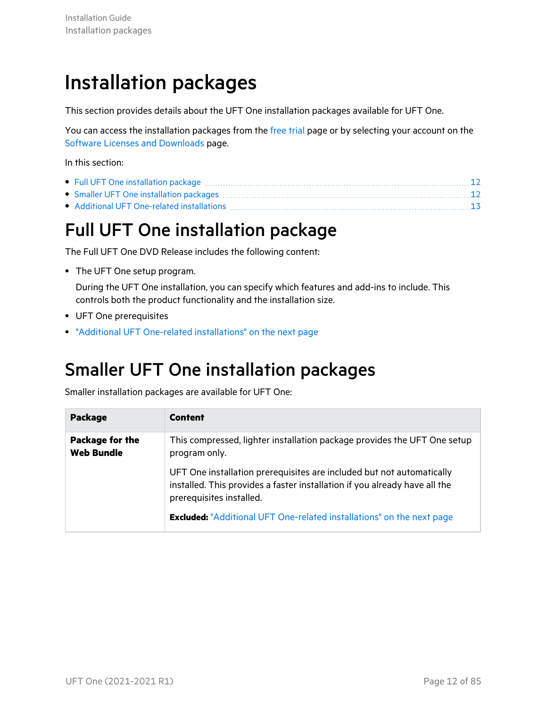# <span id="page-11-0"></span>Installation packages

This section provides details about the UFT One installation packages available for UFT One.

You can access the installation packages from the free [trial](https://www.microfocus.com/en-us/products/uft-one/free-trial) page or by selecting your account on the Software Licenses and [Downloads](https://sld.microfocus.com/mysoftware/index) page.

In this section:

## <span id="page-11-1"></span>Full UFT One installation package

The Full UFT One DVD Release includes the following content:

• The UFT One setup program.

During the UFT One installation, you can specify which features and add-ins to include. This controls both the product functionality and the installation size.

- UFT One prerequisites
- "Additional UFT One-related [installations"](#page-12-0) on the next page

### <span id="page-11-2"></span>Smaller UFT One installation packages

Smaller installation packages are available for UFT One:

| <b>Package</b>                       | <b>Content</b>                                                                                                                                                                  |
|--------------------------------------|---------------------------------------------------------------------------------------------------------------------------------------------------------------------------------|
| Package for the<br><b>Web Bundle</b> | This compressed, lighter installation package provides the UFT One setup<br>program only.                                                                                       |
|                                      | UFT One installation prerequisites are included but not automatically<br>installed. This provides a faster installation if you already have all the<br>prerequisites installed. |
|                                      | <b>Excluded:</b> "Additional UFT One-related installations" on the next page                                                                                                    |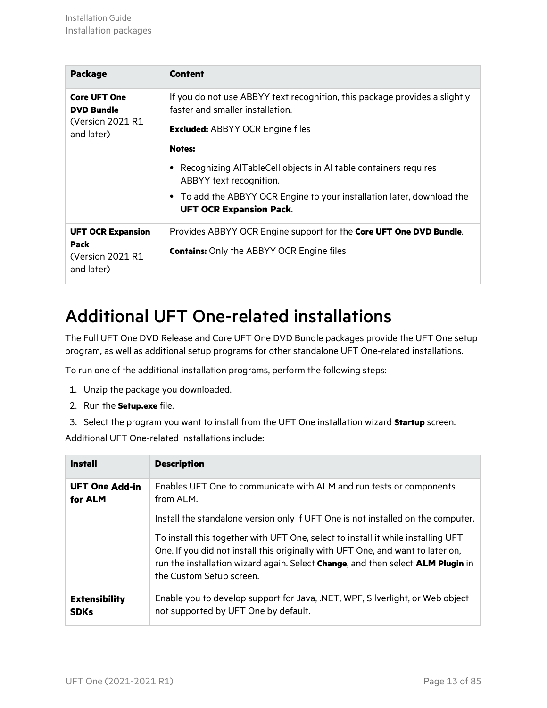| <b>Package</b>                           | <b>Content</b>                                                                                                 |
|------------------------------------------|----------------------------------------------------------------------------------------------------------------|
| <b>Core UFT One</b><br><b>DVD Bundle</b> | If you do not use ABBYY text recognition, this package provides a slightly<br>faster and smaller installation. |
| (Version 2021 R1<br>and later)           | <b>Excluded: ABBYY OCR Engine files</b>                                                                        |
|                                          | <b>Notes:</b>                                                                                                  |
|                                          | Recognizing AITableCell objects in AI table containers requires<br>ABBYY text recognition.                     |
|                                          | • To add the ABBYY OCR Engine to your installation later, download the<br><b>UFT OCR Expansion Pack.</b>       |
| <b>UFT OCR Expansion</b>                 | Provides ABBYY OCR Engine support for the Core UFT One DVD Bundle.                                             |
| Pack<br>(Version 2021 R1<br>and later)   | <b>Contains:</b> Only the ABBYY OCR Engine files                                                               |

## <span id="page-12-0"></span>Additional UFT One-related installations

The Full UFT One DVD Release and Core UFT One DVD Bundle packages provide the UFT One setup program, as well as additional setup programs for other standalone UFT One-related installations.

To run one of the additional installation programs, perform the following steps:

- 1. Unzip the package you downloaded.
- 2. Run the **Setup.exe** file.
- 3. Select the program you want to install from the UFT One installation wizard **Startup** screen.

Additional UFT One-related installations include:

| <b>Install</b>                      | <b>Description</b>                                                                                                                                                                                                                                                                 |
|-------------------------------------|------------------------------------------------------------------------------------------------------------------------------------------------------------------------------------------------------------------------------------------------------------------------------------|
| <b>UFT One Add-in</b><br>for ALM    | Enables UFT One to communicate with ALM and run tests or components<br>from ALM.                                                                                                                                                                                                   |
|                                     | Install the standalone version only if UFT One is not installed on the computer.                                                                                                                                                                                                   |
|                                     | To install this together with UFT One, select to install it while installing UFT<br>One. If you did not install this originally with UFT One, and want to later on,<br>run the installation wizard again. Select Change, and then select ALM Plugin in<br>the Custom Setup screen. |
| <b>Extensibility</b><br><b>SDKs</b> | Enable you to develop support for Java, .NET, WPF, Silverlight, or Web object<br>not supported by UFT One by default.                                                                                                                                                              |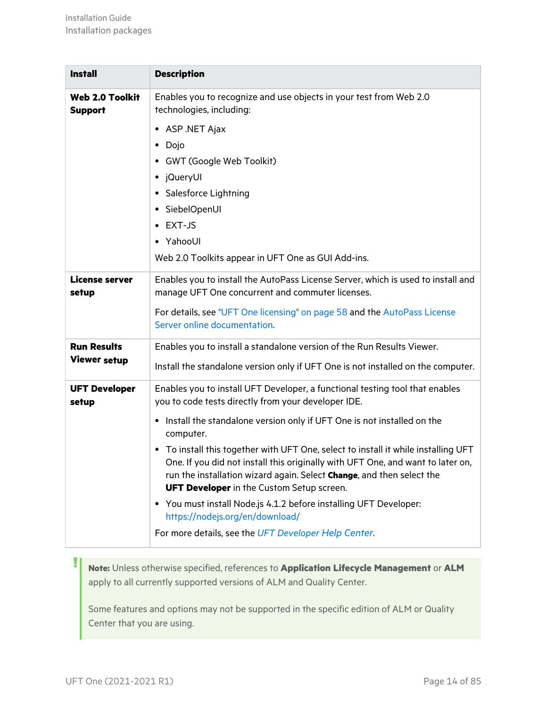| <b>Install</b>                           | <b>Description</b>                                                                                                                                                                                                                                                                                 |  |  |
|------------------------------------------|----------------------------------------------------------------------------------------------------------------------------------------------------------------------------------------------------------------------------------------------------------------------------------------------------|--|--|
| <b>Web 2.0 Toolkit</b><br><b>Support</b> | Enables you to recognize and use objects in your test from Web 2.0<br>technologies, including:                                                                                                                                                                                                     |  |  |
|                                          | • ASP .NET Ajax                                                                                                                                                                                                                                                                                    |  |  |
|                                          | • Dojo                                                                                                                                                                                                                                                                                             |  |  |
|                                          | GWT (Google Web Toolkit)                                                                                                                                                                                                                                                                           |  |  |
|                                          | • jQueryUI                                                                                                                                                                                                                                                                                         |  |  |
|                                          | • Salesforce Lightning                                                                                                                                                                                                                                                                             |  |  |
|                                          | • SiebelOpenUI<br>EXT-JS                                                                                                                                                                                                                                                                           |  |  |
|                                          | • YahooUI                                                                                                                                                                                                                                                                                          |  |  |
|                                          | Web 2.0 Toolkits appear in UFT One as GUI Add-ins.                                                                                                                                                                                                                                                 |  |  |
| <b>License server</b>                    | Enables you to install the AutoPass License Server, which is used to install and                                                                                                                                                                                                                   |  |  |
| setup                                    | manage UFT One concurrent and commuter licenses.                                                                                                                                                                                                                                                   |  |  |
|                                          | For details, see "UFT One licensing" on page 58 and the AutoPass License<br>Server online documentation.                                                                                                                                                                                           |  |  |
| <b>Run Results</b>                       | Enables you to install a standalone version of the Run Results Viewer.                                                                                                                                                                                                                             |  |  |
| <b>Viewer setup</b>                      | Install the standalone version only if UFT One is not installed on the computer.                                                                                                                                                                                                                   |  |  |
| <b>UFT Developer</b><br>setup            | Enables you to install UFT Developer, a functional testing tool that enables<br>you to code tests directly from your developer IDE.                                                                                                                                                                |  |  |
|                                          | • Install the standalone version only if UFT One is not installed on the<br>computer.                                                                                                                                                                                                              |  |  |
|                                          | • To install this together with UFT One, select to install it while installing UFT<br>One. If you did not install this originally with UFT One, and want to later on,<br>run the installation wizard again. Select Change, and then select the<br><b>UFT Developer</b> in the Custom Setup screen. |  |  |
|                                          | • You must install Node.js 4.1.2 before installing UFT Developer:                                                                                                                                                                                                                                  |  |  |
|                                          | https://nodejs.org/en/download/<br>For more details, see the UFT Developer Help Center.                                                                                                                                                                                                            |  |  |
|                                          |                                                                                                                                                                                                                                                                                                    |  |  |

**Note:** Unless otherwise specified, references to **Application Lifecycle Management** or **ALM** apply to all currently supported versions of ALM and Quality Center.

Some features and options may not be supported in the specific edition of ALM or Quality Center that you are using.

Ţ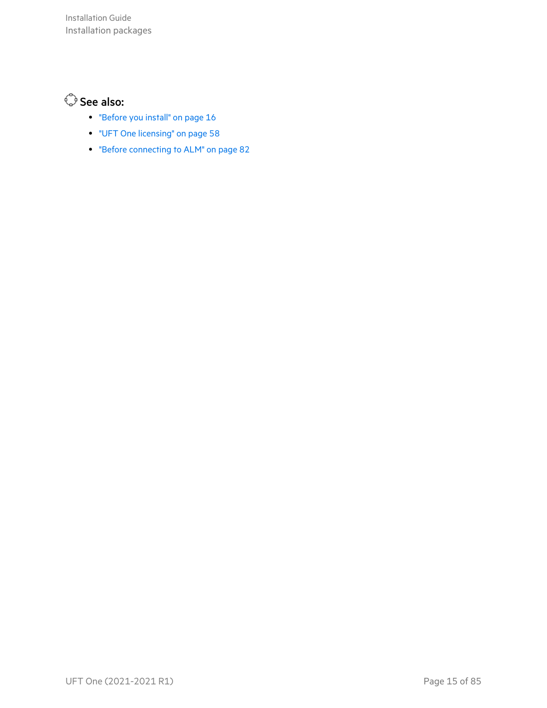### See also:

- **•** ["Before](#page-15-0) you install" on page 16
- **•** "UFT One [licensing"](#page-57-0) on page 58
- "Before [connecting](#page-81-0) to ALM" on page 82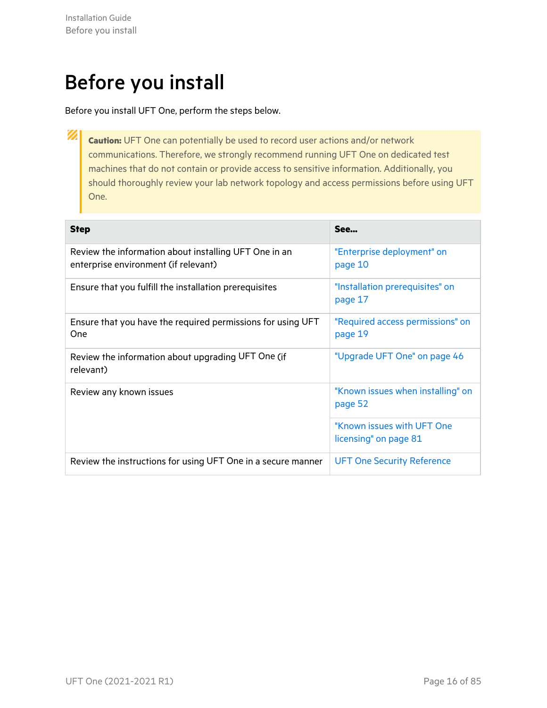# <span id="page-15-0"></span>Before you install

Before you install UFT One, perform the steps below.

Ø **Caution:** UFT One can potentially be used to record user actions and/or network communications. Therefore, we strongly recommend running UFT One on dedicated test machines that do not contain or provide access to sensitive information. Additionally, you should thoroughly review your lab network topology and access permissions before using UFT One.

| <b>Step</b>                                                                                   | See                                                 |
|-----------------------------------------------------------------------------------------------|-----------------------------------------------------|
| Review the information about installing UFT One in an<br>enterprise environment (if relevant) | "Enterprise deployment" on<br>page 10               |
| Ensure that you fulfill the installation prerequisites                                        | "Installation prerequisites" on<br>page 17          |
| Ensure that you have the required permissions for using UFT<br>One                            | "Required access permissions" on<br>page 19         |
| Review the information about upgrading UFT One (if<br>relevant)                               | "Upgrade UFT One" on page 46                        |
| Review any known issues                                                                       | "Known issues when installing" on<br>page 52        |
|                                                                                               | "Known issues with UFT One<br>licensing" on page 81 |
| Review the instructions for using UFT One in a secure manner                                  | <b>UFT One Security Reference</b>                   |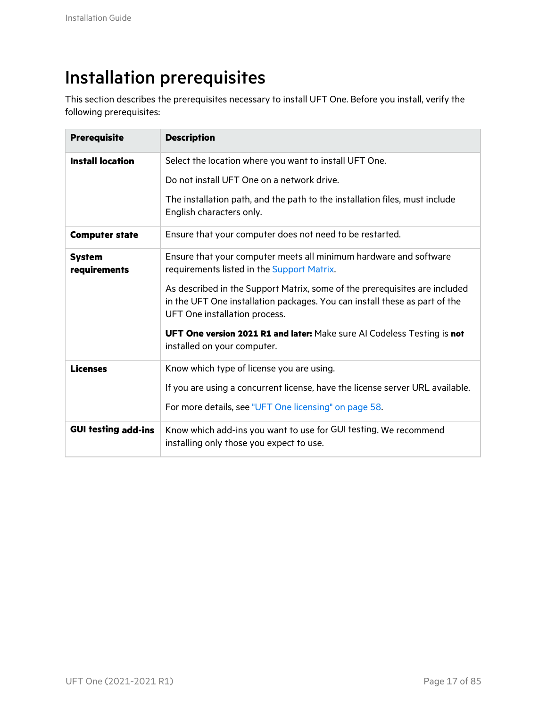## <span id="page-16-0"></span>Installation prerequisites

This section describes the prerequisites necessary to install UFT One. Before you install, verify the following prerequisites:

| <b>Prerequisite</b>           | <b>Description</b>                                                                                                                                                                        |  |  |
|-------------------------------|-------------------------------------------------------------------------------------------------------------------------------------------------------------------------------------------|--|--|
| <b>Install location</b>       | Select the location where you want to install UFT One.                                                                                                                                    |  |  |
|                               | Do not install UFT One on a network drive.                                                                                                                                                |  |  |
|                               | The installation path, and the path to the installation files, must include<br>English characters only.                                                                                   |  |  |
| <b>Computer state</b>         | Ensure that your computer does not need to be restarted.                                                                                                                                  |  |  |
| <b>System</b><br>requirements | Ensure that your computer meets all minimum hardware and software<br>requirements listed in the Support Matrix.                                                                           |  |  |
|                               | As described in the Support Matrix, some of the prerequisites are included<br>in the UFT One installation packages. You can install these as part of the<br>UFT One installation process. |  |  |
|                               | UFT One version 2021 R1 and later: Make sure AI Codeless Testing is not<br>installed on your computer.                                                                                    |  |  |
| <b>Licenses</b>               | Know which type of license you are using.                                                                                                                                                 |  |  |
|                               | If you are using a concurrent license, have the license server URL available.                                                                                                             |  |  |
|                               | For more details, see "UFT One licensing" on page 58.                                                                                                                                     |  |  |
| <b>GUI testing add-ins</b>    | Know which add-ins you want to use for GUI testing. We recommend<br>installing only those you expect to use.                                                                              |  |  |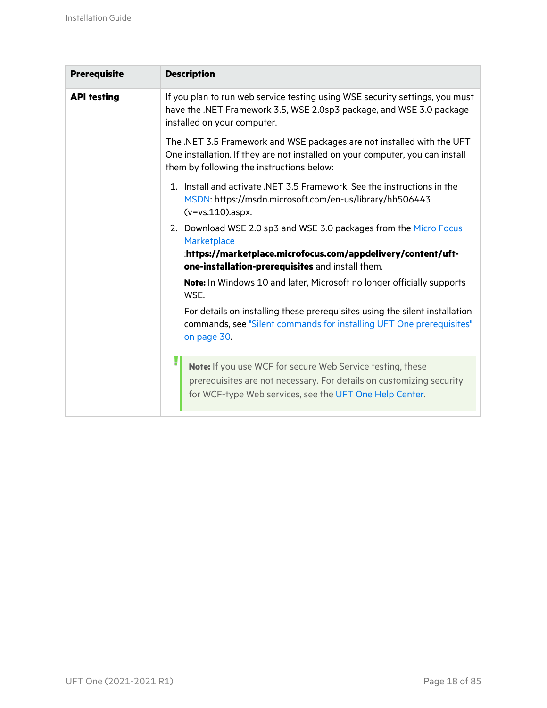| <b>Prerequisite</b> | <b>Description</b>                                                                                                                                                                                   |
|---------------------|------------------------------------------------------------------------------------------------------------------------------------------------------------------------------------------------------|
| <b>API testing</b>  | If you plan to run web service testing using WSE security settings, you must<br>have the .NET Framework 3.5, WSE 2.0sp3 package, and WSE 3.0 package<br>installed on your computer.                  |
|                     | The .NET 3.5 Framework and WSE packages are not installed with the UFT<br>One installation. If they are not installed on your computer, you can install<br>them by following the instructions below: |
|                     | 1. Install and activate .NET 3.5 Framework. See the instructions in the<br>MSDN: https://msdn.microsoft.com/en-us/library/hh506443<br>$(v=vs.110)$ .aspx.                                            |
|                     | 2. Download WSE 2.0 sp3 and WSE 3.0 packages from the Micro Focus<br>Marketplace                                                                                                                     |
|                     | :https://marketplace.microfocus.com/appdelivery/content/uft-<br>one-installation-prerequisites and install them.                                                                                     |
|                     |                                                                                                                                                                                                      |
|                     | Note: In Windows 10 and later, Microsoft no longer officially supports<br>WSE.                                                                                                                       |
|                     | For details on installing these prerequisites using the silent installation<br>commands, see "Silent commands for installing UFT One prerequisites"<br>on page 30.                                   |
|                     | Note: If you use WCF for secure Web Service testing, these<br>prerequisites are not necessary. For details on customizing security<br>for WCF-type Web services, see the UFT One Help Center.        |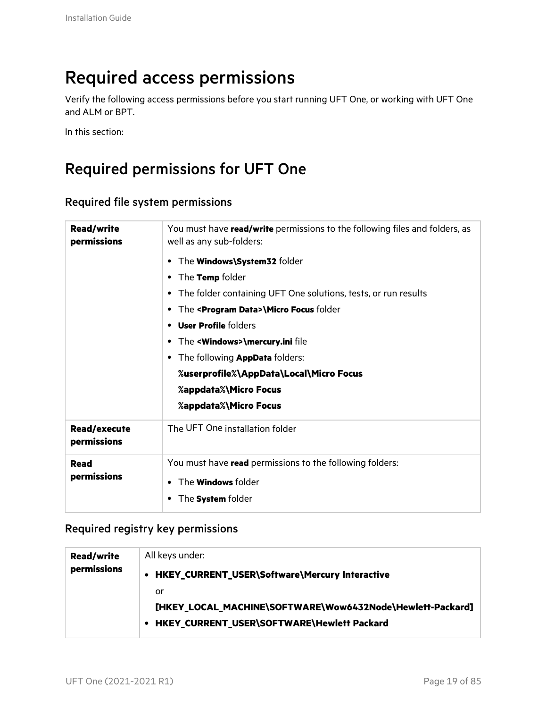## <span id="page-18-0"></span>Required access permissions

Verify the following access permissions before you start running UFT One, or working with UFT One and ALM or BPT.

In this section:

### <span id="page-18-1"></span>Required permissions for UFT One

| Required file system permissions |  |
|----------------------------------|--|
|----------------------------------|--|

| <b>Read/write</b><br>permissions   | You must have read/write permissions to the following files and folders, as<br>well as any sub-folders: |  |  |
|------------------------------------|---------------------------------------------------------------------------------------------------------|--|--|
|                                    | The <b>Windows\System32</b> folder                                                                      |  |  |
|                                    | The Temp folder<br>٠                                                                                    |  |  |
|                                    | The folder containing UFT One solutions, tests, or run results<br>٠                                     |  |  |
|                                    | The <program data="">\Micro Focus folder<br/>٠</program>                                                |  |  |
|                                    | <b>User Profile folders</b><br>٠                                                                        |  |  |
|                                    | The < <b>Windows&gt;\mercury.ini</b> file<br>٠                                                          |  |  |
|                                    | The following <b>AppData</b> folders:                                                                   |  |  |
|                                    | %userprofile%\AppData\Local\Micro Focus                                                                 |  |  |
|                                    | %appdata%\Micro Focus                                                                                   |  |  |
|                                    | %appdata%\Micro Focus                                                                                   |  |  |
| <b>Read/execute</b><br>permissions | The UFT One installation folder                                                                         |  |  |
| <b>Read</b>                        | You must have read permissions to the following folders:                                                |  |  |
| permissions                        | The <b>Windows</b> folder<br>$\bullet$                                                                  |  |  |
|                                    | The <b>System</b> folder                                                                                |  |  |

### Required registry key permissions

| <b>Read/write</b> | All keys under:                                           |
|-------------------|-----------------------------------------------------------|
| permissions       | HKEY_CURRENT_USER\Software\Mercury Interactive<br>٠       |
|                   | or                                                        |
|                   | [HKEY_LOCAL_MACHINE\SOFTWARE\Wow6432Node\Hewlett-Packard] |
|                   | HKEY_CURRENT_USER\SOFTWARE\Hewlett Packard                |
|                   |                                                           |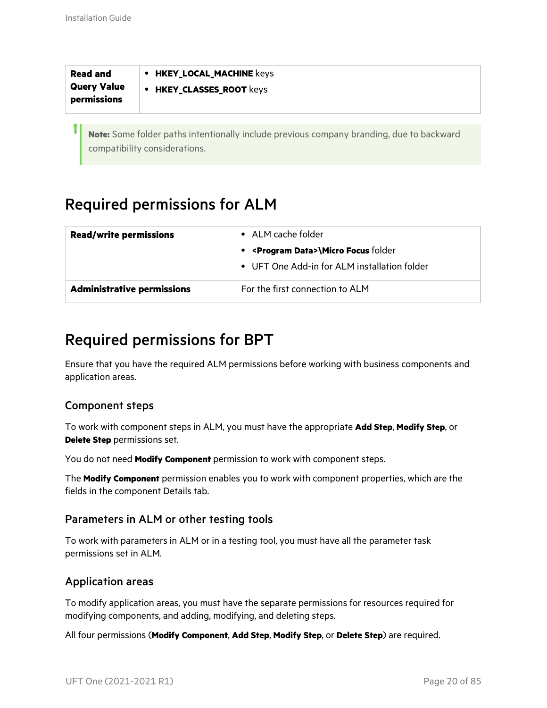| <b>Read and</b>    | <b>HKEY_LOCAL_MACHINE keys</b> |
|--------------------|--------------------------------|
| <b>Query Value</b> | <b>HKEY_CLASSES_ROOT keys</b>  |
| permissions        | $\bullet$                      |
|                    |                                |

**Note:** Some folder paths intentionally include previous company branding, due to backward compatibility considerations.

### <span id="page-19-0"></span>Required permissions for ALM

| <b>Read/write permissions</b>     | • ALM cache folder                               |  |  |
|-----------------------------------|--------------------------------------------------|--|--|
|                                   | • <program data="">\Micro Focus folder</program> |  |  |
|                                   | • UFT One Add-in for ALM installation folder     |  |  |
| <b>Administrative permissions</b> | For the first connection to ALM                  |  |  |

### <span id="page-19-1"></span>Required permissions for BPT

Ensure that you have the required ALM permissions before working with business components and application areas.

### Component steps

To work with component steps in ALM, you must have the appropriate **Add Step**, **Modify Step**, or **Delete Step** permissions set.

You do not need **Modify Component** permission to work with component steps.

The **Modify Component** permission enables you to work with component properties, which are the fields in the component Details tab.

### Parameters in ALM or other testing tools

To work with parameters in ALM or in a testing tool, you must have all the parameter task permissions set in ALM.

### Application areas

To modify application areas, you must have the separate permissions for resources required for modifying components, and adding, modifying, and deleting steps.

All four permissions (**Modify Component**, **Add Step**, **Modify Step**, or **Delete Step**) are required.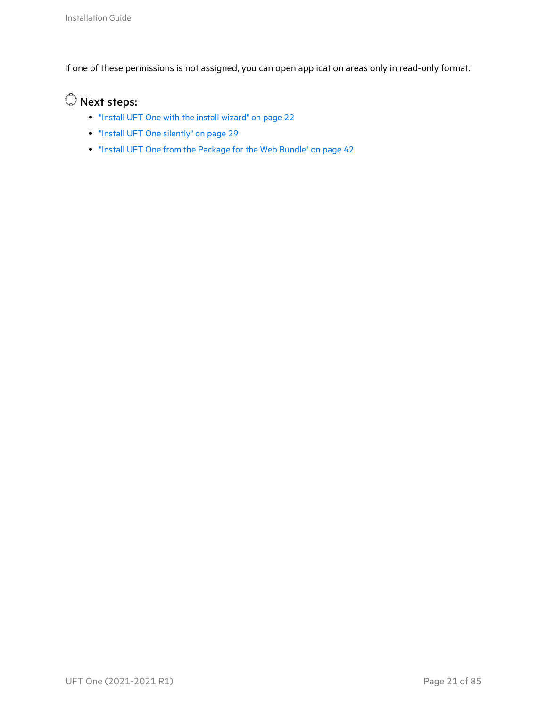If one of these permissions is not assigned, you can open application areas only in read-only format.

### $\mathbb{O}$  Next steps:

- "Install UFT One with the install [wizard"](#page-21-0) on page 22
- **•** "Install UFT One [silently"](#page-28-0) on page 29
- "Install UFT One from the [Package](#page-41-0) for the Web Bundle" on page 42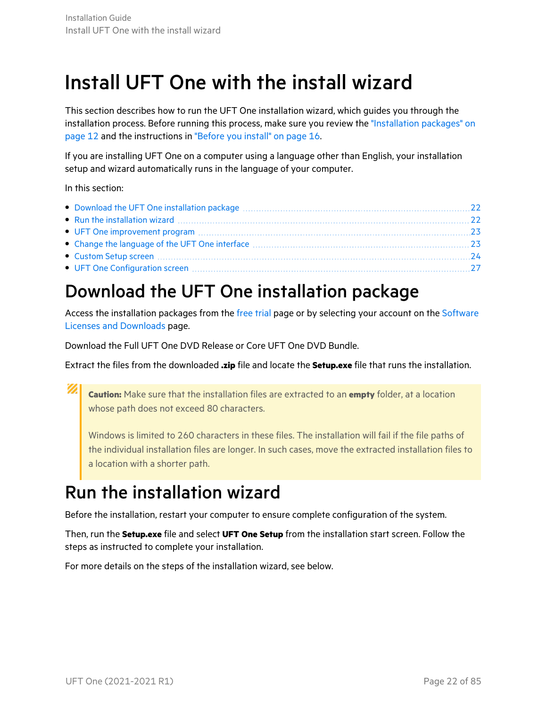# <span id="page-21-0"></span>Install UFT One with the install wizard

This section describes how to run the UFT One installation wizard, which guides you through the installation process. Before running this process, make sure you review the ["Installation](#page-11-0) packages" on [page](#page-11-0) 12 and the instructions in ["Before](#page-15-0) you install" on page 16.

If you are installing UFT One on a computer using a language other than English, your installation setup and wizard automatically runs in the language of your computer.

In this section:

### <span id="page-21-1"></span>Download the UFT One installation package

Access the installation packages from the [free](https://www.microfocus.com/en-us/products/uft-one/free-trial) trial page or by selecting your account on the [Software](https://sld.microfocus.com/mysoftware/index) Licenses and [Downloads](https://sld.microfocus.com/mysoftware/index) page.

Download the Full UFT One DVD Release or Core UFT One DVD Bundle.

Extract the files from the downloaded **.zip** file and locate the **Setup.exe** file that runs the installation.

Ø **Caution:** Make sure that the installation files are extracted to an **empty** folder, at a location whose path does not exceed 80 characters.

Windows is limited to 260 characters in these files. The installation will fail if the file paths of the individual installation files are longer. In such cases, move the extracted installation files to a location with a shorter path.

### <span id="page-21-2"></span>Run the installation wizard

Before the installation, restart your computer to ensure complete configuration of the system.

Then, run the **Setup.exe** file and select **UFT One Setup** from the installation start screen. Follow the steps as instructed to complete your installation.

For more details on the steps of the installation wizard, see below.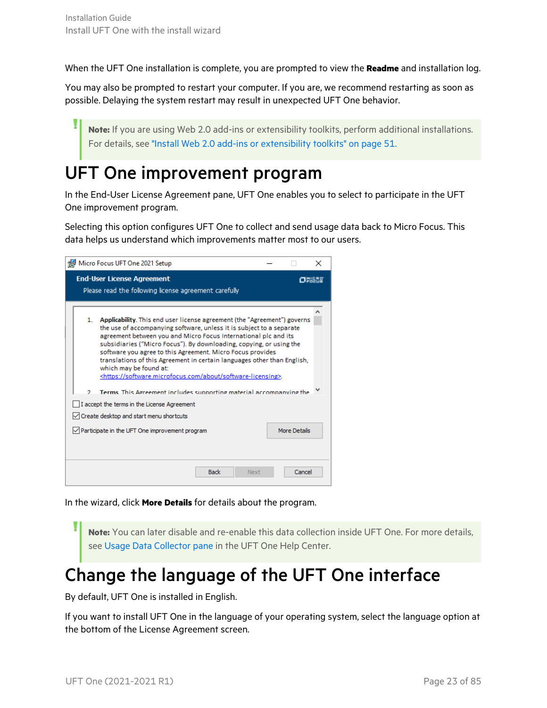When the UFT One installation is complete, you are prompted to view the **Readme** and installation log.

You may also be prompted to restart your computer. If you are, we recommend restarting as soon as possible. Delaying the system restart may result in unexpected UFT One behavior.

**Note:** If you are using Web 2.0 add-ins or extensibility toolkits, perform additional installations. For details, see "Install Web 2.0 add-ins or [extensibility](#page-50-0) toolkits" on page 51.

### <span id="page-22-0"></span>UFT One improvement program

In the End-User License Agreement pane, UFT One enables you to select to participate in the UFT One improvement program.

Selecting this option configures UFT One to collect and send usage data back to Micro Focus. This data helps us understand which improvements matter most to our users.

| Micro Focus UFT One 2021 Setup                                                                                                                                                                                                                                                                                                                                                                                                                                                                                                                                                                                                                                                                                                                                                                                       | × |
|----------------------------------------------------------------------------------------------------------------------------------------------------------------------------------------------------------------------------------------------------------------------------------------------------------------------------------------------------------------------------------------------------------------------------------------------------------------------------------------------------------------------------------------------------------------------------------------------------------------------------------------------------------------------------------------------------------------------------------------------------------------------------------------------------------------------|---|
| <b>End-User License Agreement</b><br>Please read the following license agreement carefully                                                                                                                                                                                                                                                                                                                                                                                                                                                                                                                                                                                                                                                                                                                           |   |
| Applicability. This end user license agreement (the "Agreement") governs<br>1.<br>the use of accompanying software, unless it is subject to a separate<br>agreement between you and Micro Focus International plc and its<br>subsidiaries ("Micro Focus"). By downloading, copying, or using the<br>software you agree to this Agreement. Micro Focus provides<br>translations of this Agreement in certain languages other than English,<br>which may be found at:<br><https: about="" software-licensing="" software.microfocus.com="">.<br/>Terms, This Agreement includes supporting material accompanying the<br/>o.<br/>I accept the terms in the License Agreement<br/>Create desktop and start menu shortcuts<br/>More Details<br/><math>\vee</math> Participate in the UFT One improvement program</https:> |   |
| <b>Back</b><br>Cancel<br>Next                                                                                                                                                                                                                                                                                                                                                                                                                                                                                                                                                                                                                                                                                                                                                                                        |   |

In the wizard, click **More Details** for details about the program.

**Note:** You can later disable and re-enable this data collection inside UFT One. For more details, see Usage Data [Collector](https://admhelp.microfocus.com/uft/en/2021-2021_R1/UFT_Help/Content/User_Guide/usage-data-collector.htm) pane in the UFT One Help Center.

### <span id="page-22-1"></span>Change the language of the UFT One interface

By default, UFT One is installed in English.

If you want to install UFT One in the language of your operating system, select the language option at the bottom of the License Agreement screen.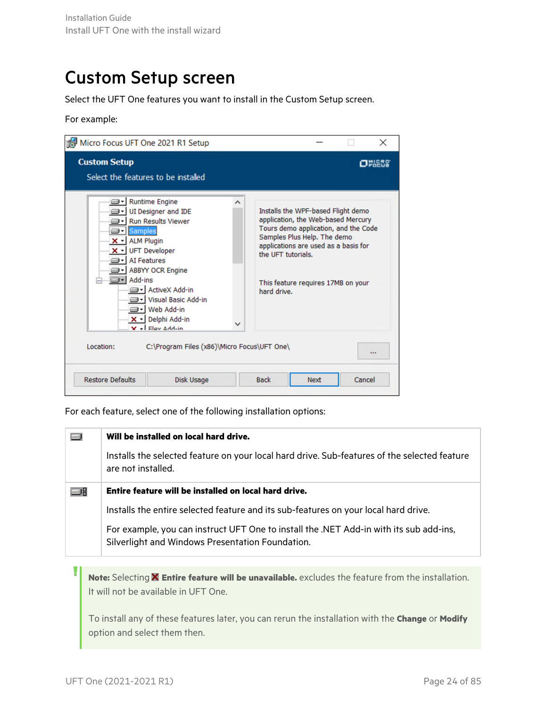### <span id="page-23-0"></span>Custom Setup screen

Select the UFT One features you want to install in the Custom Setup screen.

For example:

| Micro Focus UFT One 2021 R1 Setup                                                                                                                                                                                          |                                                                                               |        |                                   |                                                                                                                                                                                                                               |        | ×    |
|----------------------------------------------------------------------------------------------------------------------------------------------------------------------------------------------------------------------------|-----------------------------------------------------------------------------------------------|--------|-----------------------------------|-------------------------------------------------------------------------------------------------------------------------------------------------------------------------------------------------------------------------------|--------|------|
| <b>Custom Setup</b><br>Select the features to be installed                                                                                                                                                                 |                                                                                               |        |                                   |                                                                                                                                                                                                                               |        | Oren |
| <b>Runtime Engine</b><br><b>Samples</b><br>⊟•l<br>$\times$ - ALM Plugin<br>X - UFT Developer<br><b>AI Features</b><br><b>ABBYY OCR Engine</b><br>Add-ins<br>jed - I Web Add-in<br>– X - Delphi Add-in<br>$V -$ Elev Add-in | UI Designer and IDE<br><b>Run Results Viewer</b><br>⊟ • ActiveX Add-in<br>Visual Basic Add-in | ᄉ<br>✓ | the UFT tutorials.<br>hard drive. | Installs the WPF-based Flight demo<br>application, the Web-based Mercury<br>Tours demo application, and the Code<br>Samples Plus Help. The demo<br>applications are used as a basis for<br>This feature requires 17MB on your |        |      |
| Location:                                                                                                                                                                                                                  | C:\Program Files (x86)\Micro Focus\UFT One\                                                   |        |                                   |                                                                                                                                                                                                                               |        |      |
| <b>Restore Defaults</b>                                                                                                                                                                                                    | Disk Usage                                                                                    |        | <b>Back</b>                       | <b>Next</b>                                                                                                                                                                                                                   | Cancel |      |

For each feature, select one of the following installation options:

|    | Will be installed on local hard drive.                                                                                                     |  |
|----|--------------------------------------------------------------------------------------------------------------------------------------------|--|
|    | Installs the selected feature on your local hard drive. Sub-features of the selected feature<br>are not installed.                         |  |
| ا⊏ | Entire feature will be installed on local hard drive.                                                                                      |  |
|    | Installs the entire selected feature and its sub-features on your local hard drive.                                                        |  |
|    | For example, you can instruct UFT One to install the .NET Add-in with its sub add-ins,<br>Silverlight and Windows Presentation Foundation. |  |
|    |                                                                                                                                            |  |
|    | Note: Selecting <b>X</b> Entire feature will be unavailable, excludes the feature from the installation                                    |  |

**Note:** Selecting **Entire feature will be unavailable.** excludes the feature from the installation. It will not be available in UFT One.

To install any of these features later, you can rerun the installation with the **Change** or **Modify** option and select them then.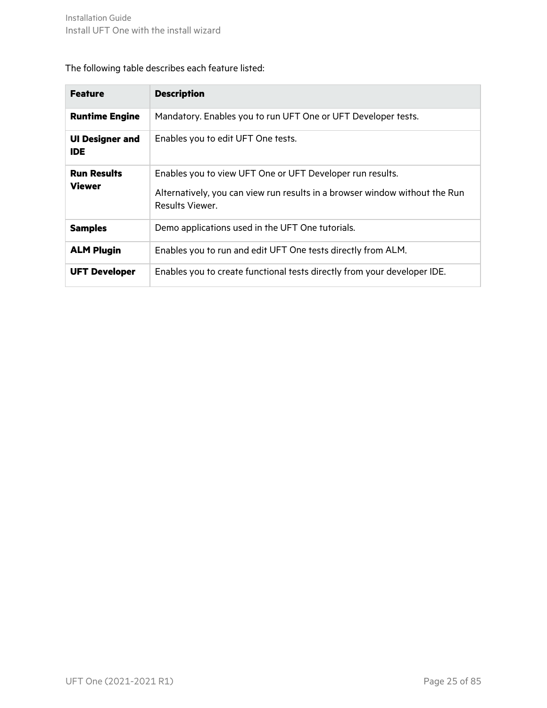### The following table describes each feature listed:

| <b>Feature</b>                       | <b>Description</b>                                                                                                                                          |
|--------------------------------------|-------------------------------------------------------------------------------------------------------------------------------------------------------------|
| <b>Runtime Engine</b>                | Mandatory. Enables you to run UFT One or UFT Developer tests.                                                                                               |
| <b>UI Designer and</b><br><b>IDE</b> | Enables you to edit UFT One tests.                                                                                                                          |
| <b>Run Results</b><br><b>Viewer</b>  | Enables you to view UFT One or UFT Developer run results.<br>Alternatively, you can view run results in a browser window without the Run<br>Results Viewer. |
| <b>Samples</b>                       | Demo applications used in the UFT One tutorials.                                                                                                            |
| <b>ALM Plugin</b>                    | Enables you to run and edit UFT One tests directly from ALM.                                                                                                |
| <b>UFT Developer</b>                 | Enables you to create functional tests directly from your developer IDE.                                                                                    |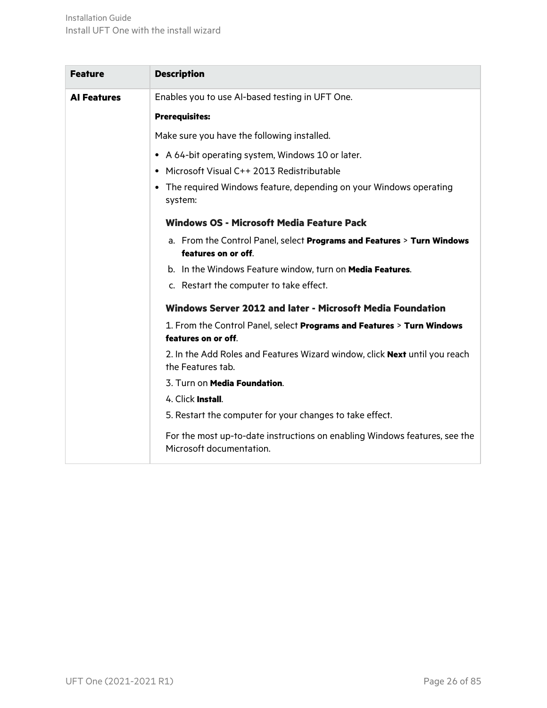| <b>Feature</b>     | <b>Description</b>                                                                                     |
|--------------------|--------------------------------------------------------------------------------------------------------|
| <b>Al Features</b> | Enables you to use AI-based testing in UFT One.                                                        |
|                    | <b>Prerequisites:</b>                                                                                  |
|                    | Make sure you have the following installed.                                                            |
|                    | • A 64-bit operating system, Windows 10 or later.                                                      |
|                    | • Microsoft Visual C++ 2013 Redistributable                                                            |
|                    | • The required Windows feature, depending on your Windows operating<br>system:                         |
|                    | <b>Windows OS - Microsoft Media Feature Pack</b>                                                       |
|                    | a. From the Control Panel, select Programs and Features > Turn Windows<br>features on or off.          |
|                    | b. In the Windows Feature window, turn on Media Features.                                              |
|                    | c. Restart the computer to take effect.                                                                |
|                    | Windows Server 2012 and later - Microsoft Media Foundation                                             |
|                    | 1. From the Control Panel, select Programs and Features > Turn Windows<br>features on or off.          |
|                    | 2. In the Add Roles and Features Wizard window, click Next until you reach<br>the Features tab.        |
|                    | 3. Turn on Media Foundation.                                                                           |
|                    | 4. Click Install.                                                                                      |
|                    | 5. Restart the computer for your changes to take effect.                                               |
|                    | For the most up-to-date instructions on enabling Windows features, see the<br>Microsoft documentation. |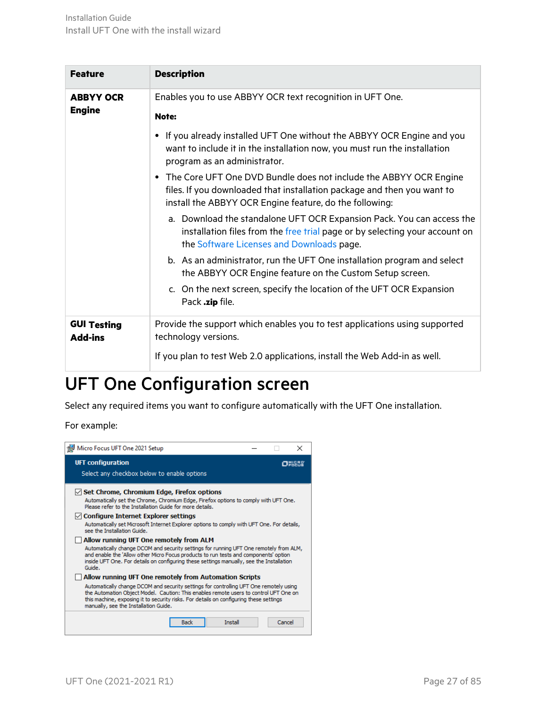| <b>Feature</b>                       | <b>Description</b>                                                                                                                                                                                                   |
|--------------------------------------|----------------------------------------------------------------------------------------------------------------------------------------------------------------------------------------------------------------------|
| <b>ABBYY OCR</b><br><b>Engine</b>    | Enables you to use ABBYY OCR text recognition in UFT One.<br>Note:                                                                                                                                                   |
|                                      | If you already installed UFT One without the ABBYY OCR Engine and you<br>want to include it in the installation now, you must run the installation<br>program as an administrator.                                   |
|                                      | The Core UFT One DVD Bundle does not include the ABBYY OCR Engine<br>$\bullet$<br>files. If you downloaded that installation package and then you want to<br>install the ABBYY OCR Engine feature, do the following: |
|                                      | a. Download the standalone UFT OCR Expansion Pack. You can access the<br>installation files from the free trial page or by selecting your account on<br>the Software Licenses and Downloads page.                    |
|                                      | b. As an administrator, run the UFT One installation program and select<br>the ABBYY OCR Engine feature on the Custom Setup screen.                                                                                  |
|                                      | c. On the next screen, specify the location of the UFT OCR Expansion<br>Pack .zip file.                                                                                                                              |
| <b>GUI Testing</b><br><b>Add-ins</b> | Provide the support which enables you to test applications using supported<br>technology versions.                                                                                                                   |
|                                      | If you plan to test Web 2.0 applications, install the Web Add-in as well.                                                                                                                                            |

### <span id="page-26-0"></span>UFT One Configuration screen

Select any required items you want to configure automatically with the UFT One installation.

For example:

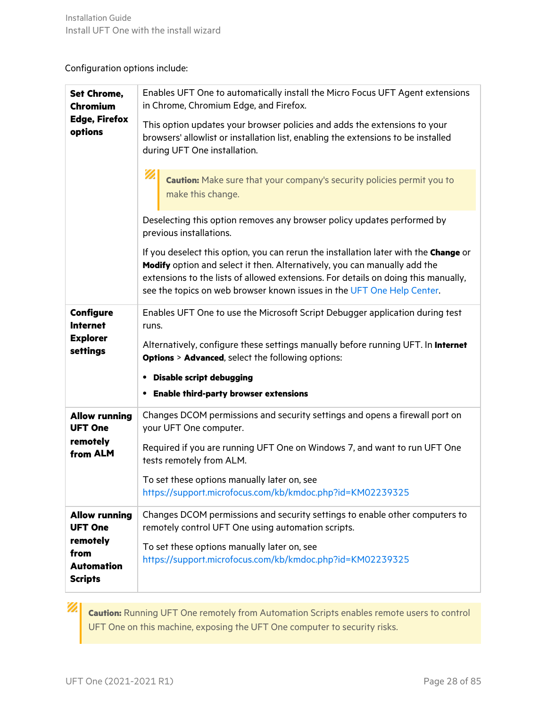### Configuration options include:

| <b>Set Chrome,</b><br><b>Chromium</b>       | Enables UFT One to automatically install the Micro Focus UFT Agent extensions<br>in Chrome, Chromium Edge, and Firefox.                                                                                                                                                                                                           |  |
|---------------------------------------------|-----------------------------------------------------------------------------------------------------------------------------------------------------------------------------------------------------------------------------------------------------------------------------------------------------------------------------------|--|
| <b>Edge, Firefox</b><br>options             | This option updates your browser policies and adds the extensions to your<br>browsers' allowlist or installation list, enabling the extensions to be installed<br>during UFT One installation.                                                                                                                                    |  |
|                                             | D<br><b>Caution:</b> Make sure that your company's security policies permit you to<br>make this change.                                                                                                                                                                                                                           |  |
|                                             | Deselecting this option removes any browser policy updates performed by<br>previous installations.                                                                                                                                                                                                                                |  |
|                                             | If you deselect this option, you can rerun the installation later with the Change or<br>Modify option and select it then. Alternatively, you can manually add the<br>extensions to the lists of allowed extensions. For details on doing this manually,<br>see the topics on web browser known issues in the UFT One Help Center. |  |
| <b>Configure</b><br><b>Internet</b>         | Enables UFT One to use the Microsoft Script Debugger application during test<br>runs.                                                                                                                                                                                                                                             |  |
| <b>Explorer</b><br>settings                 | Alternatively, configure these settings manually before running UFT. In Internet<br><b>Options &gt; Advanced, select the following options:</b>                                                                                                                                                                                   |  |
|                                             | • Disable script debugging                                                                                                                                                                                                                                                                                                        |  |
|                                             | <b>• Enable third-party browser extensions</b>                                                                                                                                                                                                                                                                                    |  |
| <b>Allow running</b><br><b>UFT One</b>      | Changes DCOM permissions and security settings and opens a firewall port on<br>your UFT One computer.                                                                                                                                                                                                                             |  |
| remotely<br>from ALM                        | Required if you are running UFT One on Windows 7, and want to run UFT One<br>tests remotely from ALM.                                                                                                                                                                                                                             |  |
|                                             | To set these options manually later on, see                                                                                                                                                                                                                                                                                       |  |
|                                             | https://support.microfocus.com/kb/kmdoc.php?id=KM02239325                                                                                                                                                                                                                                                                         |  |
| <b>Allow running</b><br><b>UFT One</b>      | Changes DCOM permissions and security settings to enable other computers to<br>remotely control UFT One using automation scripts.                                                                                                                                                                                                 |  |
| remotely                                    | To set these options manually later on, see                                                                                                                                                                                                                                                                                       |  |
| from<br><b>Automation</b><br><b>Scripts</b> | https://support.microfocus.com/kb/kmdoc.php?id=KM02239325                                                                                                                                                                                                                                                                         |  |
|                                             |                                                                                                                                                                                                                                                                                                                                   |  |

**Caution:** Running UFT One remotely from Automation Scripts enables remote users to control UFT One on this machine, exposing the UFT One computer to security risks.

ØI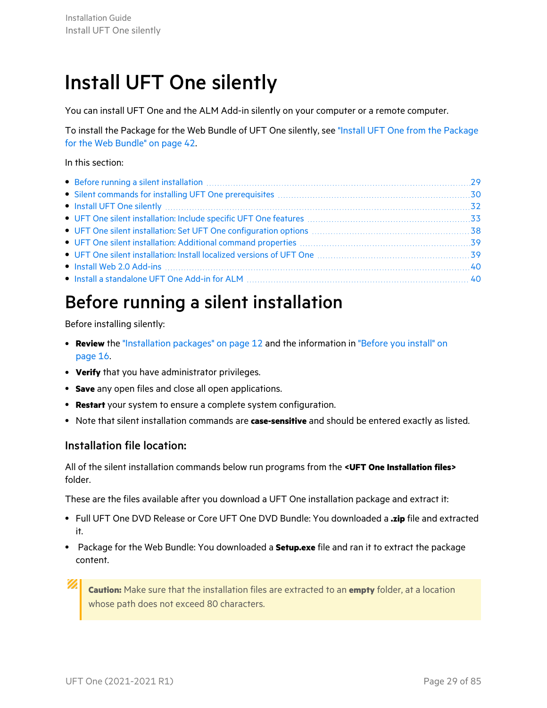# <span id="page-28-0"></span>Install UFT One silently

You can install UFT One and the ALM Add-in silently on your computer or a remote computer.

To install the Package for the Web Bundle of UFT One silently, see "Install UFT One from the [Package](#page-41-0) for the Web [Bundle"](#page-41-0) on page 42.

#### In this section:

| • Install a standalone UFT One Add-in for ALM [11] The Context of the Standard Add-in for ALM [11] The Context of the Standard Add-in for ALM [11] The Context of the Standard Add-in for ALM [11] The Standard Add-in for ALM |  |
|--------------------------------------------------------------------------------------------------------------------------------------------------------------------------------------------------------------------------------|--|

### <span id="page-28-1"></span>Before running a silent installation

Before installing silently:

- **Review** the ["Installation](#page-11-0) packages" on page 12 and the information in ["Before](#page-15-0) you install" on [page](#page-15-0) 16.
- **Verify** that you have administrator privileges.
- **Save** any open files and close all open applications.
- **Restart** your system to ensure a complete system configuration.
- **•** Note that silent installation commands are **case-sensitive** and should be entered exactly as listed.

### Installation file location:

All of the silent installation commands below run programs from the **<UFT One Installation files>** folder.

These are the files available after you download a UFT One installation package and extract it:

- <sup>l</sup> Full UFT One DVD Release or Core UFT One DVD Bundle: You downloaded a **.zip** file and extracted it.
- **•** Package for the Web Bundle: You downloaded a **Setup.exe** file and ran it to extract the package content.

**Caution:** Make sure that the installation files are extracted to an **empty** folder, at a location whose path does not exceed 80 characters.

Ø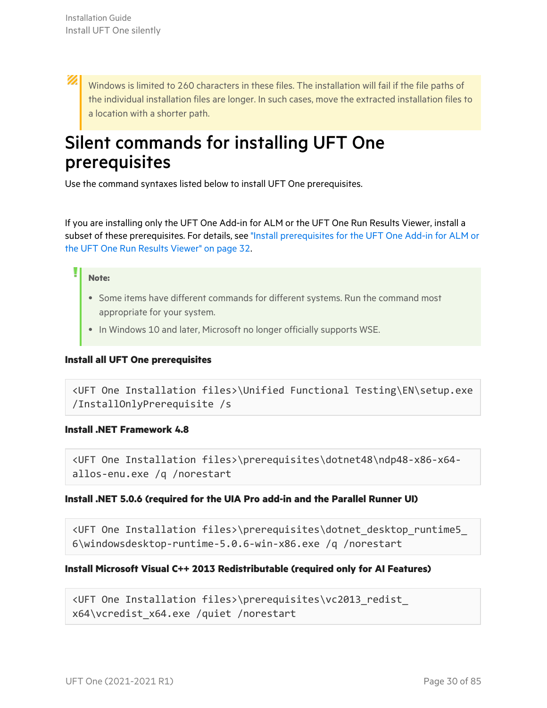<span id="page-29-0"></span>Ø Windows is limited to 260 characters in these files. The installation will fail if the file paths of the individual installation files are longer. In such cases, move the extracted installation files to a location with a shorter path.

### Silent commands for installing UFT One prerequisites

Use the command syntaxes listed below to install UFT One prerequisites.

If you are installing only the UFT One Add-in for ALM or the UFT One Run Results Viewer, install a subset of these prerequisites. For details, see "Install [prerequisites](#page-31-1) for the UFT One Add-in for ALM or the UFT One Run Results [Viewer"](#page-31-1) on page 32.

#### **Note:**

- Some items have different commands for different systems. Run the command most appropriate for your system.
- In Windows 10 and later, Microsoft no longer officially supports WSE.

#### **Install all UFT One prerequisites**

```
<UFT One Installation files>\Unified Functional Testing\EN\setup.exe
/InstallOnlyPrerequisite /s
```
#### <span id="page-29-1"></span>**Install .NET Framework 4.8**

```
<UFT One Installation files>\prerequisites\dotnet48\ndp48-x86-x64-
allos-enu.exe /q /norestart
```
#### **Install .NET 5.0.6 (required for the UIA Pro add-in and the Parallel Runner UI)**

<UFT One Installation files>\prerequisites\dotnet\_desktop\_runtime5\_ 6\windowsdesktop-runtime-5.0.6-win-x86.exe /q /norestart

#### **Install Microsoft Visual C++ 2013 Redistributable (required only for AI Features)**

```
<UFT One Installation files>\prerequisites\vc2013_redist_
x64\vcredist_x64.exe /quiet /norestart
```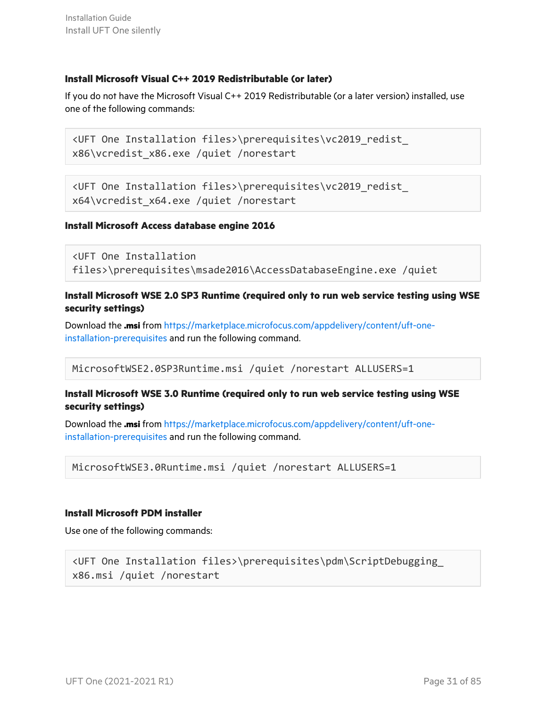#### <span id="page-30-0"></span>**Install Microsoft Visual C++ 2019 Redistributable (or later)**

If you do not have the Microsoft Visual C++ 2019 Redistributable (or a later version) installed, use one of the following commands:

<UFT One Installation files>\prerequisites\vc2019\_redist\_ x86\vcredist\_x86.exe /quiet /norestart

```
<UFT One Installation files>\prerequisites\vc2019_redist_
x64\vcredist_x64.exe /quiet /norestart
```
#### **Install Microsoft Access database engine 2016**

```
<UFT One Installation
files>\prerequisites\msade2016\AccessDatabaseEngine.exe /quiet
```
#### **Install Microsoft WSE 2.0 SP3 Runtime (required only to run web service testing using WSE security settings)**

Download the **.msi** from [https://marketplace.microfocus.com/appdelivery/content/uft-one](https://marketplace.microfocus.com/appdelivery/content/uft-one-installation-prerequisites)[installation-prerequisites](https://marketplace.microfocus.com/appdelivery/content/uft-one-installation-prerequisites) and run the following command.

MicrosoftWSE2.0SP3Runtime.msi /quiet /norestart ALLUSERS=1

#### **Install Microsoft WSE 3.0 Runtime (required only to run web service testing using WSE security settings)**

Download the **.msi** from [https://marketplace.microfocus.com/appdelivery/content/uft-one](https://marketplace.microfocus.com/appdelivery/content/uft-one-installation-prerequisites)[installation-prerequisites](https://marketplace.microfocus.com/appdelivery/content/uft-one-installation-prerequisites) and run the following command.

```
MicrosoftWSE3.0Runtime.msi /quiet /norestart ALLUSERS=1
```
#### **Install Microsoft PDM installer**

Use one of the following commands:

```
<UFT One Installation files>\prerequisites\pdm\ScriptDebugging_
x86.msi /quiet /norestart
```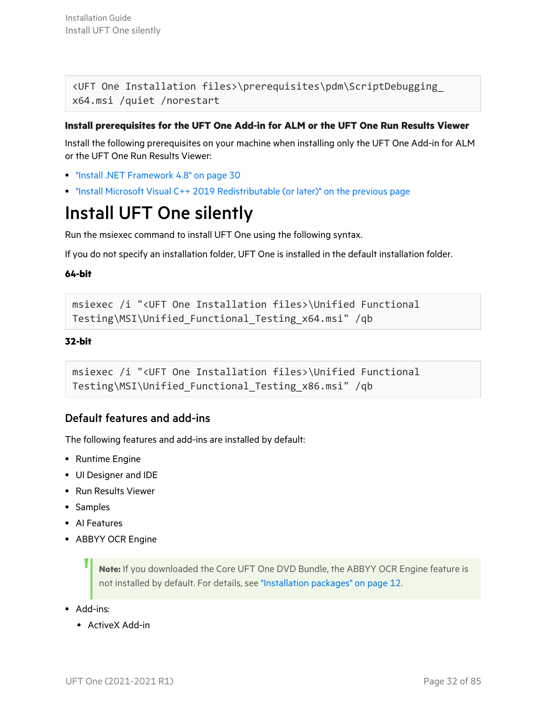Installation Guide Install UFT One silently

<UFT One Installation files>\prerequisites\pdm\ScriptDebugging\_ x64.msi /quiet /norestart

#### <span id="page-31-1"></span>**Install prerequisites for the UFT One Add-in for ALM or the UFT One Run Results Viewer**

Install the following prerequisites on your machine when installing only the UFT One Add-in for ALM or the UFT One Run Results Viewer:

- **"Install .NET [Framework](#page-29-1) 4.8" on page 30**
- <span id="page-31-0"></span>• "Install Microsoft Visual C++ 2019 [Redistributable](#page-30-0) (or later)" on the previous page

### Install UFT One silently

Run the msiexec command to install UFT One using the following syntax.

If you do not specify an installation folder, UFT One is installed in the default installation folder.

#### **64-bit**

```
msiexec /i "<UFT One Installation files>\Unified Functional
Testing\MSI\Unified_Functional_Testing_x64.msi" /qb
```
#### **32-bit**

```
msiexec /i "<UFT One Installation files>\Unified Functional
Testing\MSI\Unified_Functional_Testing_x86.msi" /qb
```
### Default features and add-ins

The following features and add-ins are installed by default:

- Runtime Engine
- UI Designer and IDE
- Run Results Viewer
- Samples
- Al Features
- ABBYY OCR Engine

**Note:** If you downloaded the Core UFT One DVD Bundle, the ABBYY OCR Engine feature is not installed by default. For details, see ["Installation](#page-11-0) packages" on page 12.

- $\bullet$  Add-ins:
	- ActiveX Add-in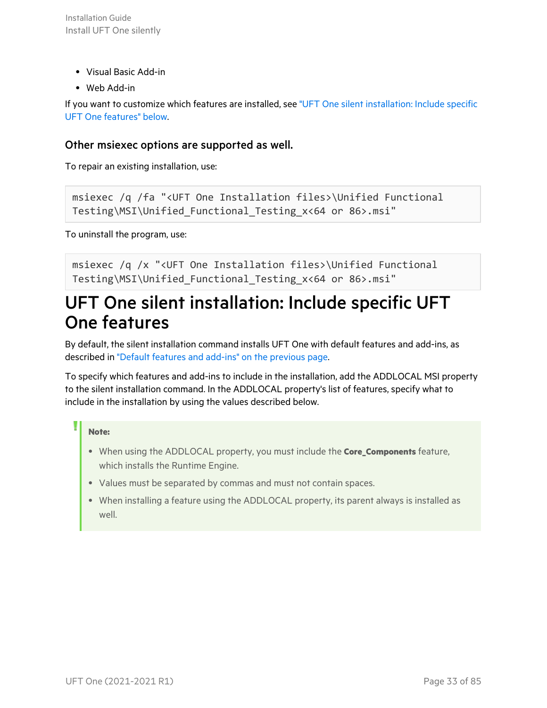- $\bullet$  Visual Basic Add-in
- Web Add-in

If you want to customize which features are installed, see "UFT One silent [installation:](#page-32-0) Include specific UFT One [features"](#page-32-0) below.

### Other msiexec options are supported as well.

To repair an existing installation, use:

```
msiexec /q /fa "<UFT One Installation files>\Unified Functional
Testing\MSI\Unified_Functional_Testing_x<64 or 86>.msi"
```
To uninstall the program, use:

<span id="page-32-0"></span>msiexec /q /x "<UFT One Installation files>\Unified Functional Testing\MSI\Unified\_Functional\_Testing\_x<64 or 86>.msi"

### UFT One silent installation: Include specific UFT One features

By default, the silent installation command installs UFT One with default features and add-ins, as described in "Default features and add-ins" on the [previous](#page-31-2) page.

To specify which features and add-ins to include in the installation, add the ADDLOCAL MSI property to the silent installation command. In the ADDLOCAL property's list of features, specify what to include in the installation by using the values described below.

#### **Note:**

- <sup>l</sup> When using the ADDLOCAL property, you must include the **Core\_Components** feature, which installs the Runtime Engine.
- Values must be separated by commas and must not contain spaces.
- When installing a feature using the ADDLOCAL property, its parent always is installed as well.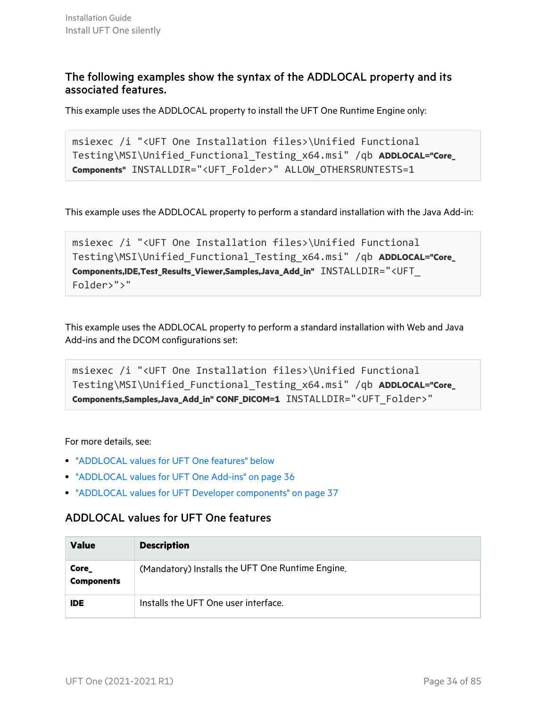### The following examples show the syntax of the ADDLOCAL property and its associated features.

This example uses the ADDLOCAL property to install the UFT One Runtime Engine only:

```
msiexec /i "<UFT One Installation files>\Unified Functional
Testing\MSI\Unified_Functional_Testing_x64.msi" /qb ADDLOCAL="Core_
Components" INSTALLDIR="<UFT_Folder>" ALLOW_OTHERSRUNTESTS=1
```
This example uses the ADDLOCAL property to perform a standard installation with the Java Add-in:

```
msiexec /i "<UFT One Installation files>\Unified Functional
Testing\MSI\Unified_Functional_Testing_x64.msi" /qb ADDLOCAL="Core_
Components,IDE,Test_Results_Viewer,Samples,Java_Add_in" INSTALLDIR="<UFT_
Folder>">"
```
This example uses the ADDLOCAL property to perform a standard installation with Web and Java Add-ins and the DCOM configurations set:

```
msiexec /i "<UFT One Installation files>\Unified Functional
Testing\MSI\Unified_Functional_Testing_x64.msi" /qb ADDLOCAL="Core_
Components,Samples,Java_Add_in" CONF_DICOM=1 INSTALLDIR="<UFT_Folder>"
```
#### For more details, see:

- ["ADDLOCAL](#page-33-0) values for UFT One features" below
- ["ADDLOCAL](#page-35-0) values for UFT One Add-ins" on page 36
- <span id="page-33-0"></span>• "ADDLOCAL values for UFT Developer [components"](#page-36-0) on page 37

### ADDLOCAL values for UFT One features

| <b>Value</b>               | <b>Description</b>                               |
|----------------------------|--------------------------------------------------|
| Core_<br><b>Components</b> | (Mandatory) Installs the UFT One Runtime Engine. |
| <b>IDE</b>                 | Installs the UFT One user interface.             |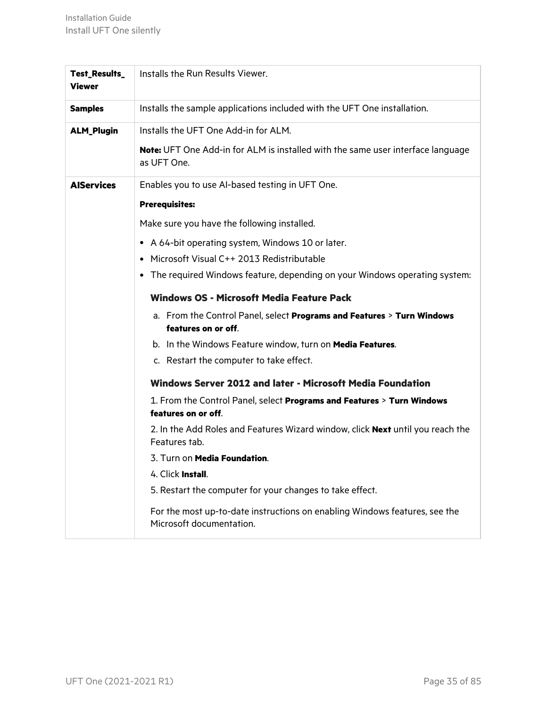| <b>Test_Results_</b><br><b>Viewer</b> | Installs the Run Results Viewer.                                                                       |
|---------------------------------------|--------------------------------------------------------------------------------------------------------|
| <b>Samples</b>                        | Installs the sample applications included with the UFT One installation.                               |
| <b>ALM_Plugin</b>                     | Installs the UFT One Add-in for ALM.                                                                   |
|                                       | Note: UFT One Add-in for ALM is installed with the same user interface language<br>as UFT One.         |
| <b>AlServices</b>                     | Enables you to use AI-based testing in UFT One.                                                        |
|                                       | <b>Prerequisites:</b>                                                                                  |
|                                       | Make sure you have the following installed.                                                            |
|                                       | • A 64-bit operating system, Windows 10 or later.                                                      |
|                                       | • Microsoft Visual C++ 2013 Redistributable                                                            |
|                                       | • The required Windows feature, depending on your Windows operating system:                            |
|                                       | <b>Windows OS - Microsoft Media Feature Pack</b>                                                       |
|                                       | a. From the Control Panel, select Programs and Features > Turn Windows<br>features on or off.          |
|                                       | b. In the Windows Feature window, turn on Media Features.                                              |
|                                       | c. Restart the computer to take effect.                                                                |
|                                       | Windows Server 2012 and later - Microsoft Media Foundation                                             |
|                                       | 1. From the Control Panel, select Programs and Features > Turn Windows                                 |
|                                       | features on or off.                                                                                    |
|                                       | 2. In the Add Roles and Features Wizard window, click Next until you reach the<br>Features tab.        |
|                                       | 3. Turn on Media Foundation.                                                                           |
|                                       | 4. Click Install.                                                                                      |
|                                       | 5. Restart the computer for your changes to take effect.                                               |
|                                       | For the most up-to-date instructions on enabling Windows features, see the<br>Microsoft documentation. |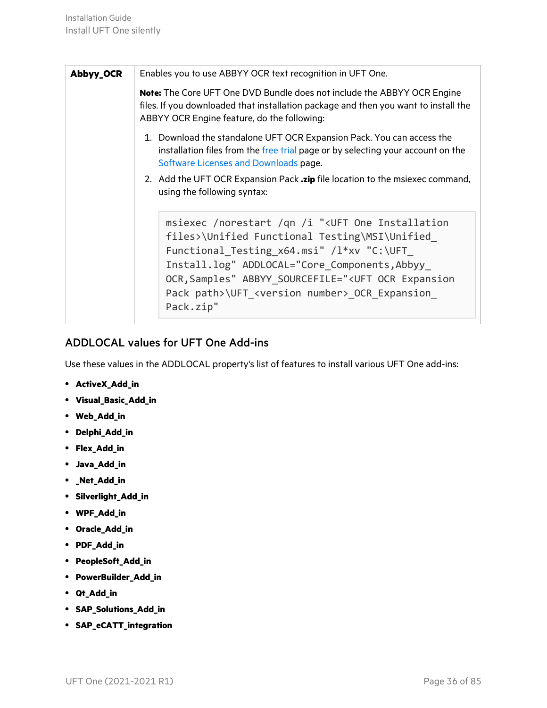| Abbyy_OCR | Enables you to use ABBYY OCR text recognition in UFT One.                                                                                                                                                                                                                                                                                                            |
|-----------|----------------------------------------------------------------------------------------------------------------------------------------------------------------------------------------------------------------------------------------------------------------------------------------------------------------------------------------------------------------------|
|           | <b>Note:</b> The Core UFT One DVD Bundle does not include the ABBYY OCR Engine<br>files. If you downloaded that installation package and then you want to install the<br>ABBYY OCR Engine feature, do the following:                                                                                                                                                 |
|           | 1. Download the standalone UFT OCR Expansion Pack. You can access the<br>installation files from the free trial page or by selecting your account on the<br>Software Licenses and Downloads page.                                                                                                                                                                    |
|           | 2. Add the UFT OCR Expansion Pack <b>.zip</b> file location to the msiexec command,<br>using the following syntax:                                                                                                                                                                                                                                                   |
|           | msiexec /norestart /qn /i " <uft installation<br="" one="">files&gt;\Unified Functional Testing\MSI\Unified<br/>Functional_Testing_x64.msi" /l*xv "C:\UFT<br/>Install.log" ADDLOCAL="Core Components, Abbyy<br/>OCR, Samples" ABBYY SOURCEFILE="<uft expansion<br="" ocr="">Pack path&gt;\UFT_<version number="">_OCR_Expansion_<br/>Pack.zip"</version></uft></uft> |

### <span id="page-35-0"></span>ADDLOCAL values for UFT One Add-ins

Use these values in the ADDLOCAL property's list of features to install various UFT One add-ins:

- **•** ActiveX\_Add\_in
- <sup>l</sup> **Visual\_Basic\_Add\_in**
- <sup>l</sup> **Web\_Add\_in**
- <sup>l</sup> **Delphi\_Add\_in**
- <sup>l</sup> **Flex\_Add\_in**
- <sup>l</sup> **Java\_Add\_in**
- <sup>l</sup> **\_Net\_Add\_in**
- <sup>l</sup> **Silverlight\_Add\_in**
- <sup>l</sup> **WPF\_Add\_in**
- <sup>l</sup> **Oracle\_Add\_in**
- <sup>l</sup> **PDF\_Add\_in**
- <sup>l</sup> **PeopleSoft\_Add\_in**
- <sup>l</sup> **PowerBuilder\_Add\_in**
- <sup>l</sup> **Qt\_Add\_in**
- <sup>l</sup> **SAP\_Solutions\_Add\_in**
- <sup>l</sup> **SAP\_eCATT\_integration**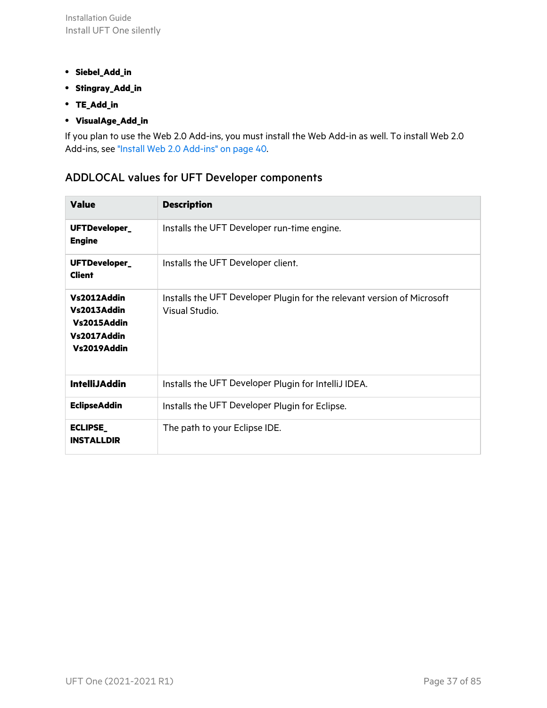- <sup>l</sup> **Siebel\_Add\_in**
- <sup>l</sup> **Stingray\_Add\_in**
- <sup>l</sup> **TE\_Add\_in**
- <sup>l</sup> **VisualAge\_Add\_in**

<span id="page-36-0"></span>If you plan to use the Web 2.0 Add-ins, you must install the Web Add-in as well. To install Web 2.0 Add-ins, see "Install Web 2.0 [Add-ins"](#page-39-0) on page 40.

#### ADDLOCAL values for UFT Developer components

| <b>Value</b>                                                            | <b>Description</b>                                                                        |
|-------------------------------------------------------------------------|-------------------------------------------------------------------------------------------|
| UFTDeveloper_<br><b>Engine</b>                                          | Installs the UFT Developer run-time engine.                                               |
| UFTDeveloper_<br><b>Client</b>                                          | Installs the UFT Developer client.                                                        |
| Vs2012Addin<br>Vs2013Addin<br>Vs2015Addin<br>Vs2017Addin<br>Vs2019Addin | Installs the UFT Developer Plugin for the relevant version of Microsoft<br>Visual Studio. |
| <b>IntelliJAddin</b>                                                    | Installs the UFT Developer Plugin for IntelliJ IDEA.                                      |
| <b>EclipseAddin</b>                                                     | Installs the UFT Developer Plugin for Eclipse.                                            |
| <b>ECLIPSE_</b><br><b>INSTALLDIR</b>                                    | The path to your Eclipse IDE.                                                             |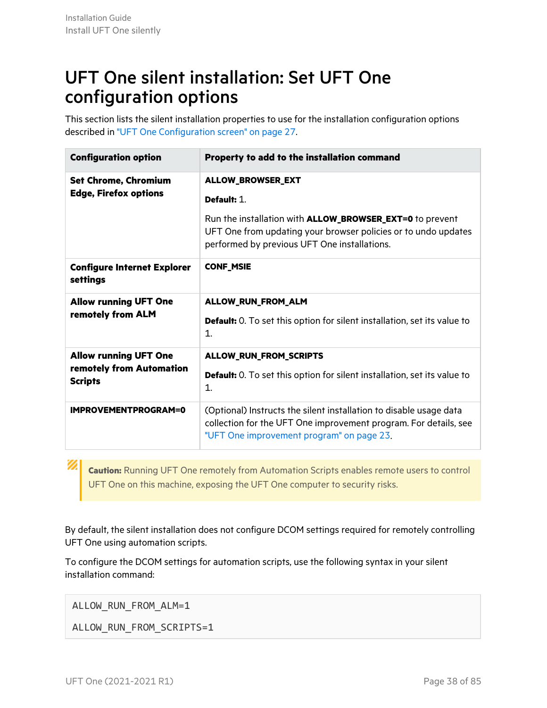### UFT One silent installation: Set UFT One configuration options

This section lists the silent installation properties to use for the installation configuration options described in "UFT One [Configuration](#page-26-0) screen" on page 27.

| <b>Configuration option</b>                                                | Property to add to the installation command                                                                                                                                         |  |
|----------------------------------------------------------------------------|-------------------------------------------------------------------------------------------------------------------------------------------------------------------------------------|--|
| <b>Set Chrome, Chromium</b><br><b>Edge, Firefox options</b>                | ALLOW_BROWSER_EXT<br>Default: 1.                                                                                                                                                    |  |
|                                                                            | Run the installation with <b>ALLOW_BROWSER_EXT=0</b> to prevent<br>UFT One from updating your browser policies or to undo updates<br>performed by previous UFT One installations.   |  |
| <b>Configure Internet Explorer</b><br>settings                             | <b>CONF_MSIE</b>                                                                                                                                                                    |  |
| <b>Allow running UFT One</b><br>remotely from ALM                          | ALLOW_RUN_FROM_ALM<br><b>Default:</b> 0. To set this option for silent installation, set its value to<br>1.                                                                         |  |
| <b>Allow running UFT One</b><br>remotely from Automation<br><b>Scripts</b> | ALLOW_RUN_FROM_SCRIPTS<br><b>Default:</b> 0. To set this option for silent installation, set its value to<br>1.                                                                     |  |
| <b>IMPROVEMENTPROGRAM=0</b>                                                | (Optional) Instructs the silent installation to disable usage data<br>collection for the UFT One improvement program. For details, see<br>"UFT One improvement program" on page 23. |  |

**Caution:** Running UFT One remotely from Automation Scripts enables remote users to control UFT One on this machine, exposing the UFT One computer to security risks.

By default, the silent installation does not configure DCOM settings required for remotely controlling UFT One using automation scripts.

To configure the DCOM settings for automation scripts, use the following syntax in your silent installation command:

ALLOW\_RUN\_FROM\_ALM=1

Ø

ALLOW RUN FROM SCRIPTS=1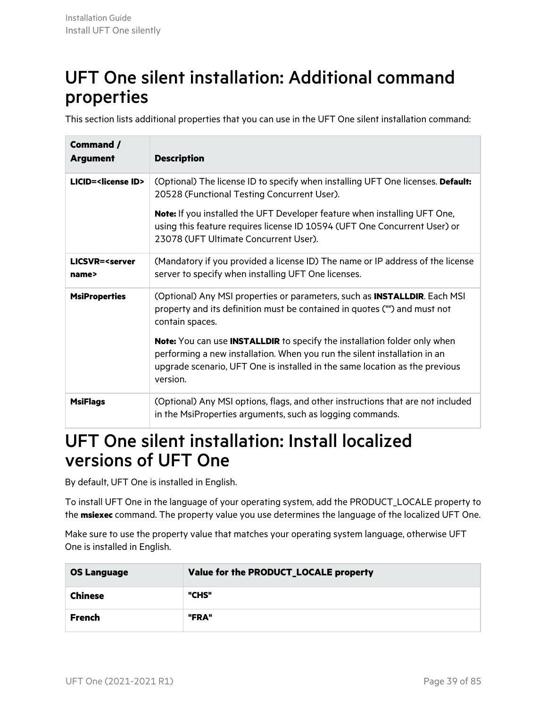### UFT One silent installation: Additional command properties

This section lists additional properties that you can use in the UFT One silent installation command:

| Command /<br><b>Argument</b>            | <b>Description</b>                                                                                                                                                                                                                                              |
|-----------------------------------------|-----------------------------------------------------------------------------------------------------------------------------------------------------------------------------------------------------------------------------------------------------------------|
| LICID= <license id=""></license>        | (Optional) The license ID to specify when installing UFT One licenses. Default:<br>20528 (Functional Testing Concurrent User).                                                                                                                                  |
|                                         | <b>Note:</b> If you installed the UFT Developer feature when installing UFT One,<br>using this feature requires license ID 10594 (UFT One Concurrent User) or<br>23078 (UFT Ultimate Concurrent User).                                                          |
| LICSVR= <server<br>name&gt;</server<br> | (Mandatory if you provided a license ID) The name or IP address of the license<br>server to specify when installing UFT One licenses.                                                                                                                           |
| <b>MsiProperties</b>                    | (Optional) Any MSI properties or parameters, such as <b>INSTALLDIR</b> . Each MSI<br>property and its definition must be contained in quotes ("") and must not<br>contain spaces.                                                                               |
|                                         | <b>Note:</b> You can use <b>INSTALLDIR</b> to specify the installation folder only when<br>performing a new installation. When you run the silent installation in an<br>upgrade scenario, UFT One is installed in the same location as the previous<br>version. |
| <b>MsiFlags</b>                         | (Optional) Any MSI options, flags, and other instructions that are not included<br>in the MsiProperties arguments, such as logging commands.                                                                                                                    |

### <span id="page-38-0"></span>UFT One silent installation: Install localized versions of UFT One

By default, UFT One is installed in English.

To install UFT One in the language of your operating system, add the PRODUCT\_LOCALE property to the **msiexec** command. The property value you use determines the language of the localized UFT One.

Make sure to use the property value that matches your operating system language, otherwise UFT One is installed in English.

| <b>OS Language</b> | Value for the PRODUCT_LOCALE property |  |
|--------------------|---------------------------------------|--|
| <b>Chinese</b>     | "CHS"                                 |  |
| <b>French</b>      | "FRA"                                 |  |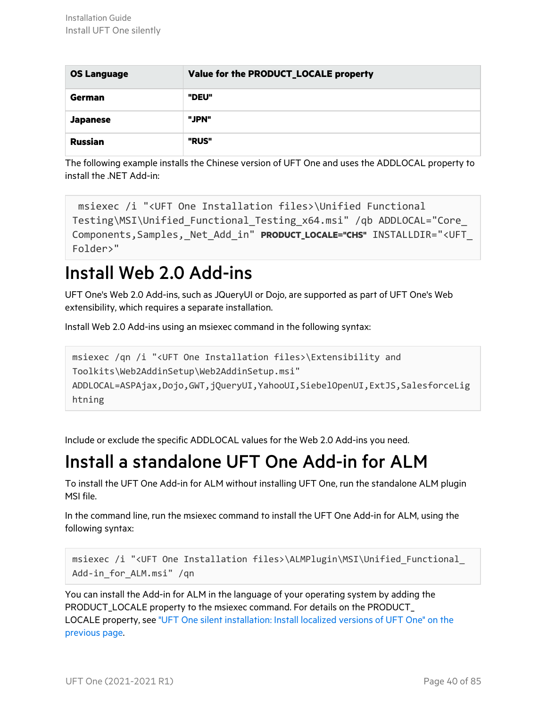| <b>OS Language</b> | Value for the PRODUCT_LOCALE property |  |
|--------------------|---------------------------------------|--|
| <b>German</b>      | "DEU"                                 |  |
| <b>Japanese</b>    | "JPN"                                 |  |
| <b>Russian</b>     | "RUS"                                 |  |

The following example installs the Chinese version of UFT One and uses the ADDLOCAL property to install the .NET Add-in:

```
msiexec /i "<UFT One Installation files>\Unified Functional
Testing\MSI\Unified_Functional_Testing_x64.msi" /qb ADDLOCAL="Core_
Components,Samples,_Net_Add_in" PRODUCT_LOCALE="CHS" INSTALLDIR="<UFT_
Folder>"
```
### <span id="page-39-0"></span>Install Web 2.0 Add-ins

UFT One's Web 2.0 Add-ins, such as JQueryUI or Dojo, are supported as part of UFT One's Web extensibility, which requires a separate installation.

Install Web 2.0 Add-ins using an msiexec command in the following syntax:

msiexec /qn /i "<UFT One Installation files>\Extensibility and Toolkits\Web2AddinSetup\Web2AddinSetup.msi" ADDLOCAL=ASPAjax,Dojo,GWT,jQueryUI,YahooUI,SiebelOpenUI,ExtJS,SalesforceLig htning

Include or exclude the specific ADDLOCAL values for the Web 2.0 Add-ins you need.

## Install a standalone UFT One Add-in for ALM

To install the UFT One Add-in for ALM without installing UFT One, run the standalone ALM plugin MSI file.

In the command line, run the msiexec command to install the UFT One Add-in for ALM, using the following syntax:

```
msiexec /i "<UFT One Installation files>\ALMPlugin\MSI\Unified_Functional_
Add-in_for_ALM.msi" /qn
```
You can install the Add-in for ALM in the language of your operating system by adding the PRODUCT\_LOCALE property to the msiexec command. For details on the PRODUCT\_ LOCALE property, see "UFT One silent [installation:](#page-38-0) Install localized versions of UFT One" on the [previous](#page-38-0) page.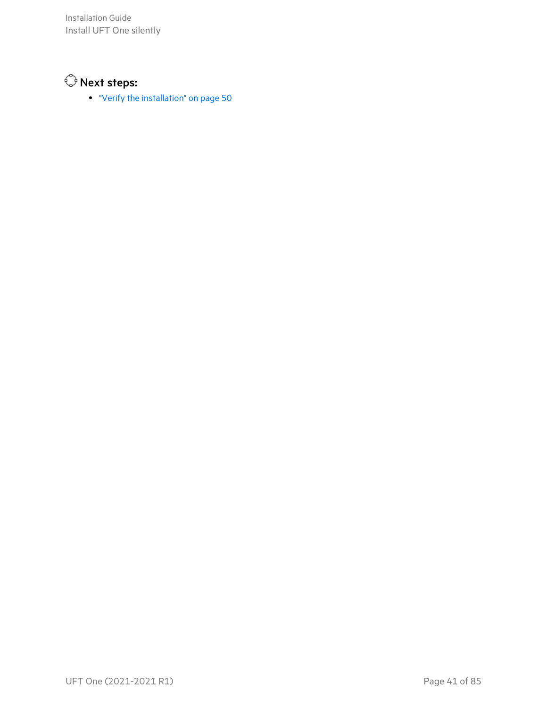Installation Guide Install UFT One silently



• "Verify the [installation"](#page-49-0) on page 50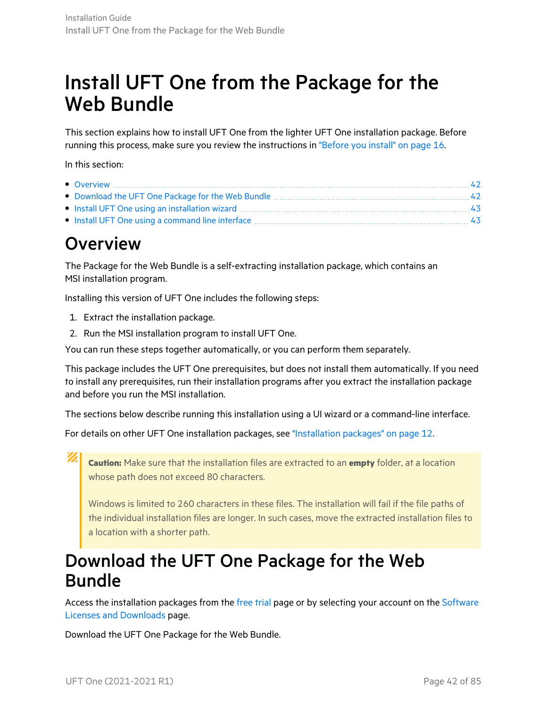# Install UFT One from the Package for the Web Bundle

This section explains how to install UFT One from the lighter UFT One installation package. Before running this process, make sure you review the instructions in ["Before](#page-15-0) you install" on page 16.

In this section:

| • Overview $\ldots$ 42                                                                                                                                                                                                         |  |
|--------------------------------------------------------------------------------------------------------------------------------------------------------------------------------------------------------------------------------|--|
|                                                                                                                                                                                                                                |  |
| • Install UFT One using an installation wizard material contains and the local distribution of 43                                                                                                                              |  |
| • Install UFT One using a command line interface manuscription and the interface of the set of the set of the set of the set of the set of the set of the set of the set of the set of the set of the set of the set of the se |  |
|                                                                                                                                                                                                                                |  |

### <span id="page-41-0"></span>**Overview**

The Package for the Web Bundle is a self-extracting installation package, which contains an MSI installation program.

Installing this version of UFT One includes the following steps:

- 1. Extract the installation package.
- 2. Run the MSI installation program to install UFT One.

You can run these steps together automatically, or you can perform them separately.

This package includes the UFT One prerequisites, but does not install them automatically. If you need to install any prerequisites, run their installation programs after you extract the installation package and before you run the MSI installation.

The sections below describe running this installation using a UI wizard or a command-line interface.

For details on other UFT One installation packages, see ["Installation](#page-11-0) packages" on page 12.

Ø **Caution:** Make sure that the installation files are extracted to an **empty** folder, at a location whose path does not exceed 80 characters.

Windows is limited to 260 characters in these files. The installation will fail if the file paths of the individual installation files are longer. In such cases, move the extracted installation files to a location with a shorter path.

### <span id="page-41-1"></span>Download the UFT One Package for the Web Bundle

Access the installation packages from the [free](https://www.microfocus.com/en-us/products/uft-one/free-trial) trial page or by selecting your account on the [Software](https://sld.microfocus.com/mysoftware/index) Licenses and [Downloads](https://sld.microfocus.com/mysoftware/index) page.

Download the UFT One Package for the Web Bundle.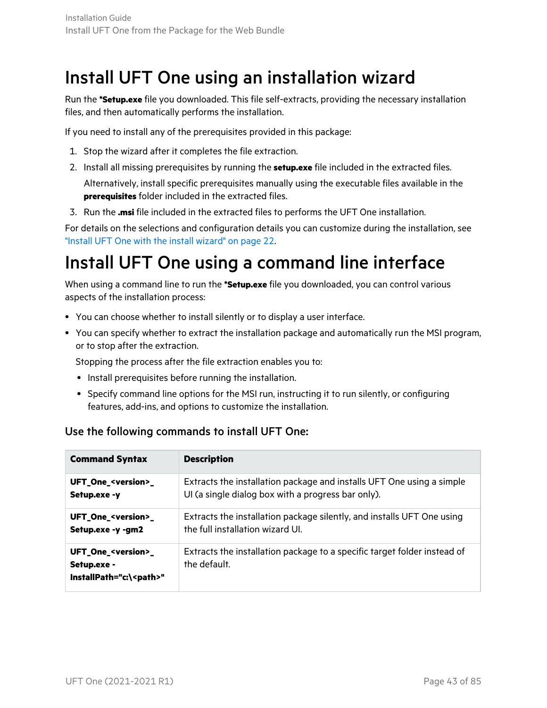### <span id="page-42-0"></span>Install UFT One using an installation wizard

Run the **\*Setup.exe** file you downloaded. This file self-extracts, providing the necessary installation files, and then automatically performs the installation.

If you need to install any of the prerequisites provided in this package:

- 1. Stop the wizard after it completes the file extraction.
- 2. Install all missing prerequisites by running the **setup.exe** file included in the extracted files. Alternatively, install specific prerequisites manually using the executable files available in the **prerequisites** folder included in the extracted files.
- 3. Run the **.msi** file included in the extracted files to performs the UFT One installation.

For details on the selections and configuration details you can customize during the installation, see "Install UFT One with the install [wizard"](#page-21-0) on page 22.

### <span id="page-42-1"></span>Install UFT One using a command line interface

When using a command line to run the **\*Setup.exe** file you downloaded, you can control various aspects of the installation process:

- You can choose whether to install silently or to display a user interface.
- You can specify whether to extract the installation package and automatically run the MSI program, or to stop after the extraction.

Stopping the process after the file extraction enables you to:

- Install prerequisites before running the installation.
- Specify command line options for the MSI run, instructing it to run silently, or configuring features, add-ins, and options to customize the installation.

#### Use the following commands to install UFT One:

| <b>Command Syntax</b>                                                            | <b>Description</b>                                                                       |
|----------------------------------------------------------------------------------|------------------------------------------------------------------------------------------|
| UFT_One_ <version>_</version>                                                    | Extracts the installation package and installs UFT One using a simple                    |
| Setup.exe -y                                                                     | UI (a single dialog box with a progress bar only).                                       |
| UFT_One_ <version>_</version>                                                    | Extracts the installation package silently, and installs UFT One using                   |
| Setup.exe -y -gm2                                                                | the full installation wizard UI.                                                         |
| UFT_One_ <version>_<br/>Setup.exe -<br/>InstallPath="c:\<path>"</path></version> | Extracts the installation package to a specific target folder instead of<br>the default. |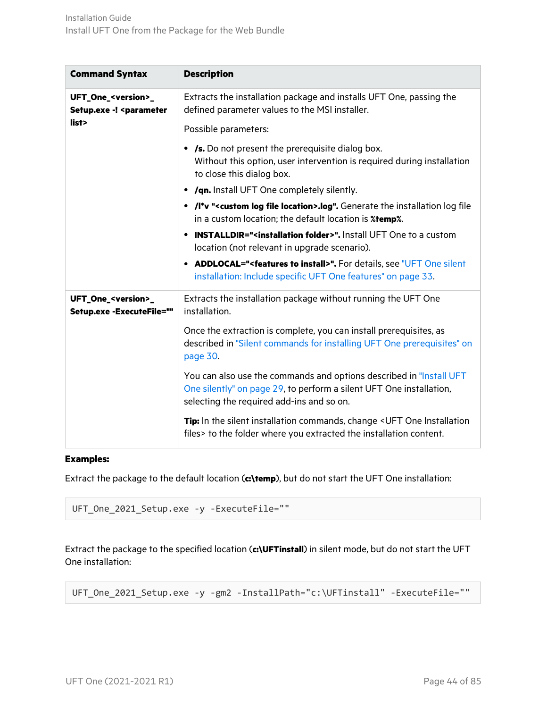| <b>Command Syntax</b>                                                                                                                                                                                         | <b>Description</b>                                                                                                                                                                      |
|---------------------------------------------------------------------------------------------------------------------------------------------------------------------------------------------------------------|-----------------------------------------------------------------------------------------------------------------------------------------------------------------------------------------|
| UFT_One_ <version>_<br/>Setup.exe -! <parameter< th=""><th>Extracts the installation package and installs UFT One, passing the<br/>defined parameter values to the MSI installer.</th></parameter<></version> | Extracts the installation package and installs UFT One, passing the<br>defined parameter values to the MSI installer.                                                                   |
| list>                                                                                                                                                                                                         | Possible parameters:                                                                                                                                                                    |
|                                                                                                                                                                                                               | • /s. Do not present the prerequisite dialog box.<br>Without this option, user intervention is required during installation<br>to close this dialog box.                                |
|                                                                                                                                                                                                               | • /qn. Install UFT One completely silently.                                                                                                                                             |
|                                                                                                                                                                                                               | . /I*v " <custom file="" location="" log="">.log". Generate the installation log file<br/>in a custom location; the default location is <b><i>%temp%</i></b>.</custom>                  |
|                                                                                                                                                                                                               | <b>INSTALLDIR="<installation folder="">".</installation></b> Install UFT One to a custom<br>location (not relevant in upgrade scenario).                                                |
|                                                                                                                                                                                                               | • ADDLOCAL=" <features install="" to="">". For details, see "UFT One silent<br/>installation: Include specific UFT One features" on page 33.</features>                                 |
| UFT_One_ <version>_<br/>Setup.exe -ExecuteFile=""</version>                                                                                                                                                   | Extracts the installation package without running the UFT One<br>installation.                                                                                                          |
|                                                                                                                                                                                                               | Once the extraction is complete, you can install prerequisites, as<br>described in "Silent commands for installing UFT One prerequisites" on<br>page 30.                                |
|                                                                                                                                                                                                               | You can also use the commands and options described in "Install UFT<br>One silently" on page 29, to perform a silent UFT One installation,<br>selecting the required add-ins and so on. |
|                                                                                                                                                                                                               | Tip: In the silent installation commands, change < UFT One Installation<br>files> to the folder where you extracted the installation content.                                           |

#### **Examples:**

Extract the package to the default location (**c:\temp**), but do not start the UFT One installation:

```
UFT_One_2021_Setup.exe -y -ExecuteFile=""
```
Extract the package to the specified location (**c:\UFTinstall**) in silent mode, but do not start the UFT One installation:

UFT\_One\_2021\_Setup.exe -y -gm2 -InstallPath="c:\UFTinstall" -ExecuteFile=""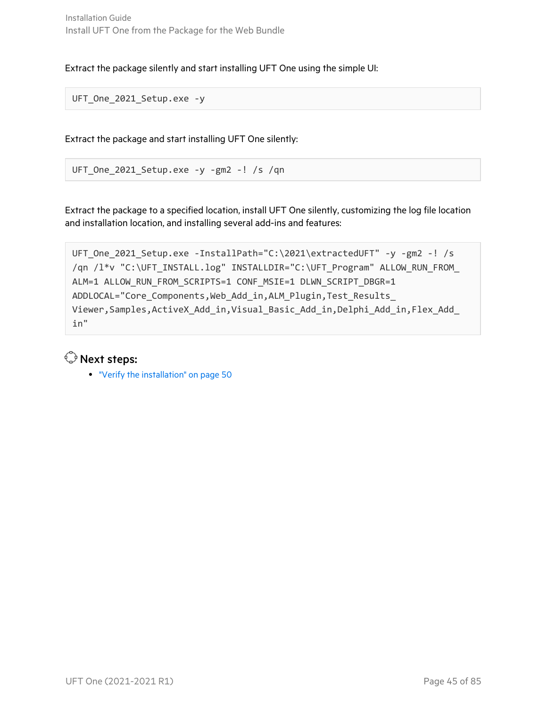Extract the package silently and start installing UFT One using the simple UI:

UFT One 2021 Setup.exe -y

Extract the package and start installing UFT One silently:

UFT\_One\_2021\_Setup.exe -y -gm2 -! /s /qn

Extract the package to a specified location, install UFT One silently, customizing the log file location and installation location, and installing several add-ins and features:

```
UFT_One_2021_Setup.exe -InstallPath="C:\2021\extractedUFT" -y -gm2 -! /s
/qn /l*v "C:\UFT_INSTALL.log" INSTALLDIR="C:\UFT_Program" ALLOW_RUN_FROM_
ALM=1 ALLOW_RUN_FROM_SCRIPTS=1 CONF_MSIE=1 DLWN_SCRIPT_DBGR=1
ADDLOCAL="Core_Components, Web_Add_in, ALM_Plugin, Test_Results_
Viewer,Samples,ActiveX_Add_in,Visual_Basic_Add_in,Delphi_Add_in,Flex_Add_
in"
```
#### $\mathbb{Q}$  Next steps:

**.** "Verify the [installation"](#page-49-0) on page 50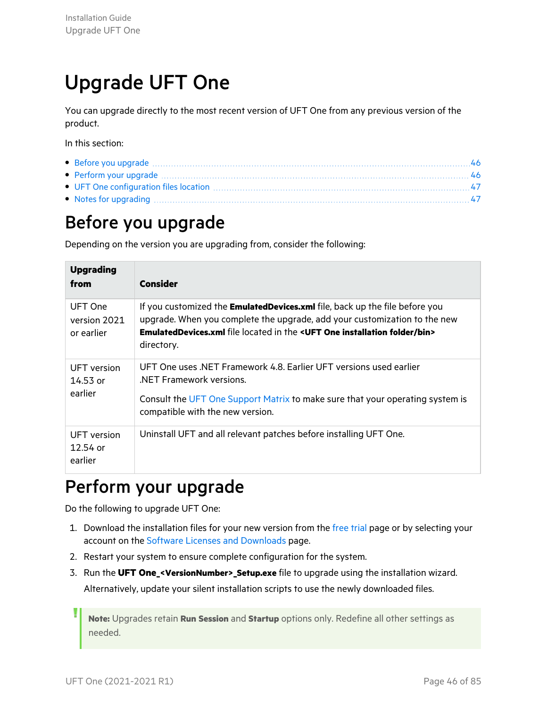# <span id="page-45-2"></span>Upgrade UFT One

You can upgrade directly to the most recent version of UFT One from any previous version of the product.

In this section:

| • Before you upgrade manufactured and the set of the set of the set of the set of the set of the set of the set of the set of the set of the set of the set of the set of the set of the set of the set of the set of the set  |  |
|--------------------------------------------------------------------------------------------------------------------------------------------------------------------------------------------------------------------------------|--|
| • Perform your upgrade manufactured and the contract of the contract of the contract of the contract of the contract of the contract of the contract of the contract of the contract of the contract of the contract of the co |  |
|                                                                                                                                                                                                                                |  |
| • Notes for upgrading manufactured and an experimental contract of the state of the state of the state of the state of the state of the state of the state of the state of the state of the state of the state of the state of |  |

## <span id="page-45-0"></span>Before you upgrade

Depending on the version you are upgrading from, consider the following:

| <b>Upgrading</b><br>from              | <b>Consider</b>                                                                                                                                                                                                                                                       |
|---------------------------------------|-----------------------------------------------------------------------------------------------------------------------------------------------------------------------------------------------------------------------------------------------------------------------|
| UFT One<br>version 2021<br>or earlier | If you customized the EmulatedDevices.xml file, back up the file before you<br>upgrade. When you complete the upgrade, add your customization to the new<br><b>EmulatedDevices.xml</b> file located in the < <b>UFT One installation folder/bin&gt;</b><br>directory. |
| <b>UFT</b> version<br>14.53 or        | UFT One uses .NET Framework 4.8. Earlier UFT versions used earlier<br>NET Framework versions.                                                                                                                                                                         |
| earlier                               | Consult the UFT One Support Matrix to make sure that your operating system is<br>compatible with the new version.                                                                                                                                                     |
| UFT version<br>$12.54$ or<br>earlier  | Uninstall UFT and all relevant patches before installing UFT One.                                                                                                                                                                                                     |

## <span id="page-45-1"></span>Perform your upgrade

Do the following to upgrade UFT One:

- 1. Download the installation files for your new version from the [free](https://www.microfocus.com/en-us/products/uft-one/free-trial) trial page or by selecting your account on the Software Licenses and [Downloads](https://sld.microfocus.com/mysoftware/index) page.
- 2. Restart your system to ensure complete configuration for the system.
- 3. Run the **UFT One\_<VersionNumber>\_Setup.exe** file to upgrade using the installation wizard. Alternatively, update your silent installation scripts to use the newly downloaded files.

**Note:** Upgrades retain **Run Session** and **Startup** options only. Redefine all other settings as needed.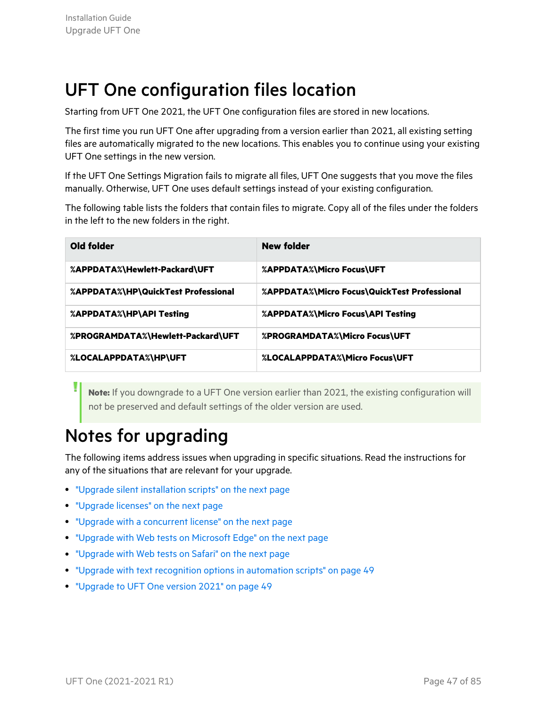## <span id="page-46-0"></span>UFT One configuration files location

Starting from UFT One 2021, the UFT One configuration files are stored in new locations.

The first time you run UFT One after upgrading from a version earlier than 2021, all existing setting files are automatically migrated to the new locations. This enables you to continue using your existing UFT One settings in the new version.

If the UFT One Settings Migration fails to migrate all files, UFT One suggests that you move the files manually. Otherwise, UFT One uses default settings instead of your existing configuration.

The following table lists the folders that contain files to migrate. Copy all of the files under the folders in the left to the new folders in the right.

| Old folder                          | New folder                                   |
|-------------------------------------|----------------------------------------------|
| %APPDATA%\Hewlett-Packard\UFT       | %APPDATA%\Micro Focus\UFT                    |
| %APPDATA%\HP\QuickTest Professional | %APPDATA%\Micro Focus\QuickTest Professional |
| %APPDATA%\HP\API Testing            | %APPDATA%\Micro Focus\API Testing            |
| %PROGRAMDATA%\Hewlett-Packard\UFT   | %PROGRAMDATA%\Micro Focus\UFT                |
| %LOCALAPPDATA%\HP\UFT               | %LOCALAPPDATA%\Micro Focus\UFT               |

**Note:** If you downgrade to a UFT One version earlier than 2021, the existing configuration will not be preserved and default settings of the older version are used.

## <span id="page-46-1"></span>Notes for upgrading

The following items address issues when upgrading in specific situations. Read the instructions for any of the situations that are relevant for your upgrade.

- "Upgrade silent [installation](#page-47-0) scripts" on the next page
- **.** ["Upgrade](#page-47-1) licenses" on the next page
- "Upgrade with a [concurrent](#page-47-2) license" on the next page
- "Upgrade with Web tests on [Microsoft](#page-47-3) Edge" on the next page
- ["Upgrade](#page-47-4) with Web tests on Safari" on the next page
- "Upgrade with text recognition options in [automation](#page-48-0) scripts" on page 49
- ["Upgrade](#page-48-1) to UFT One version 2021" on page 49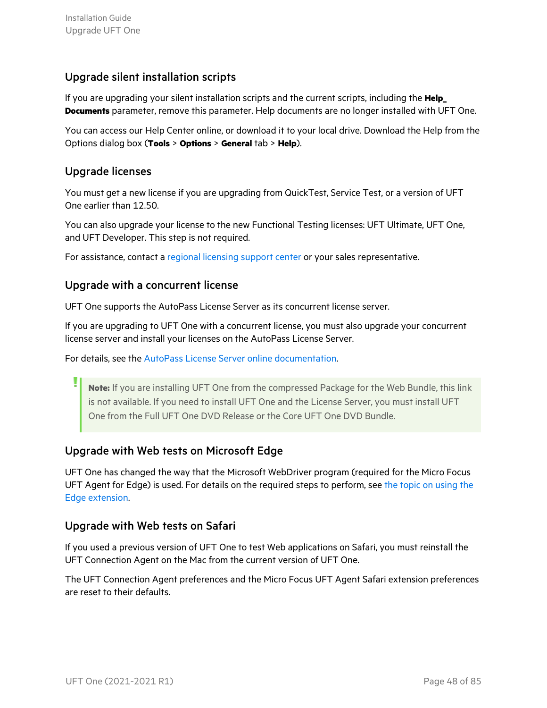#### <span id="page-47-0"></span>Upgrade silent installation scripts

If you are upgrading your silent installation scripts and the current scripts, including the **Help\_ Documents** parameter, remove this parameter. Help documents are no longer installed with UFT One.

<span id="page-47-1"></span>You can access our Help Center online, or download it to your local drive. Download the Help from the Options dialog box (**Tools** > **Options** > **General** tab > **Help**).

#### Upgrade licenses

You must get a new license if you are upgrading from QuickTest, Service Test, or a version of UFT One earlier than 12.50.

You can also upgrade your license to the new Functional Testing licenses: UFT Ultimate, UFT One, and UFT Developer. This step is not required.

<span id="page-47-2"></span>For assistance, contact a regional [licensing](https://h20576.www2.hpe.com/mysoftware/contact/getLicenseCenter) support center or your sales representative.

#### Upgrade with a concurrent license

UFT One supports the AutoPass License Server as its concurrent license server.

If you are upgrading to UFT One with a concurrent license, you must also upgrade your concurrent license server and install your licenses on the AutoPass License Server.

For details, see the AutoPass License Server online [documentation.](https://docs.microfocus.com/itom/AutoPass_License_Server:11.7.0/Home)

**Note:** If you are installing UFT One from the compressed Package for the Web Bundle, this link is not available. If you need to install UFT One and the License Server, you must install UFT One from the Full UFT One DVD Release or the Core UFT One DVD Bundle.

#### <span id="page-47-3"></span>Upgrade with Web tests on Microsoft Edge

<span id="page-47-4"></span>UFT One has changed the way that the Microsoft WebDriver program (required for the Micro Focus UFT Agent for Edge) is used. For details on the required steps to perform, see the topic on [using](https://admhelp.microfocus.com/uft/en/14.50-14.53/UFT_Help/Content/Addins_Guide/Edge_Extension_Setup.htm) the Edge [extension.](https://admhelp.microfocus.com/uft/en/14.50-14.53/UFT_Help/Content/Addins_Guide/Edge_Extension_Setup.htm)

#### Upgrade with Web tests on Safari

If you used a previous version of UFT One to test Web applications on Safari, you must reinstall the UFT Connection Agent on the Mac from the current version of UFT One.

The UFT Connection Agent preferences and the Micro Focus UFT Agent Safari extension preferences are reset to their defaults.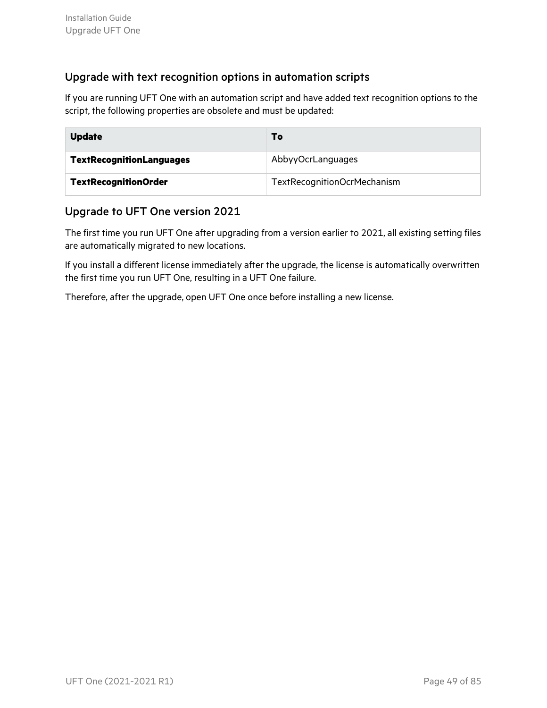#### <span id="page-48-0"></span>Upgrade with text recognition options in automation scripts

If you are running UFT One with an automation script and have added text recognition options to the script, the following properties are obsolete and must be updated:

| <b>Update</b>                   | Т٥                          |
|---------------------------------|-----------------------------|
| <b>TextRecognitionLanguages</b> | AbbyyOcrLanguages           |
| <b>TextRecognitionOrder</b>     | TextRecognitionOcrMechanism |

#### <span id="page-48-1"></span>Upgrade to UFT One version 2021

The first time you run UFT One after upgrading from a version earlier to 2021, all existing setting files are automatically migrated to new locations.

If you install a different license immediately after the upgrade, the license is automatically overwritten the first time you run UFT One, resulting in a UFT One failure.

Therefore, after the upgrade, open UFT One once before installing a new license.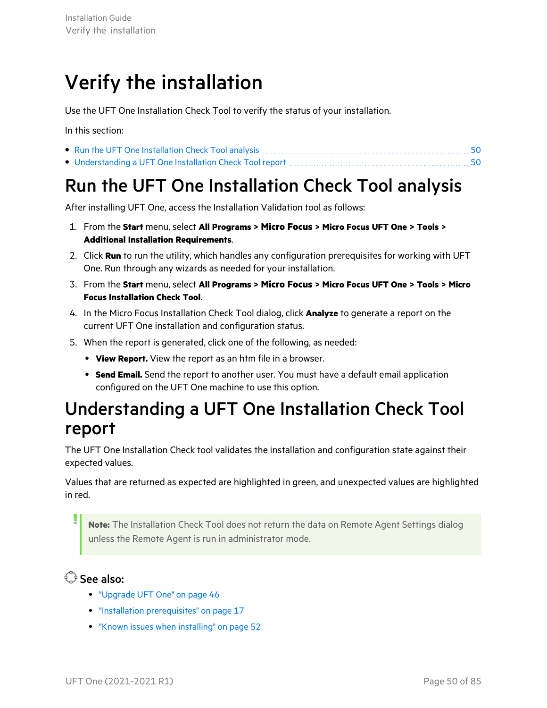# <span id="page-49-0"></span>Verify the installation

Use the UFT One Installation Check Tool to verify the status of your installation.

In this section:

<span id="page-49-1"></span>Run the UFT One Installation Check Tool analysis

After installing UFT One, access the Installation Validation tool as follows:

- 1. From the **Start** menu, select **All Programs > Micro Focus > Micro Focus UFT One > Tools > Additional Installation Requirements**.
- 2. Click **Run** to run the utility, which handles any configuration prerequisites for working with UFT One. Run through any wizards as needed for your installation.
- 3. From the **Start** menu, select **All Programs > Micro Focus > Micro Focus UFT One > Tools > Micro Focus Installation Check Tool**.
- 4. In the Micro Focus Installation Check Tool dialog, click **Analyze** to generate a report on the current UFT One installation and configuration status.
- 5. When the report is generated, click one of the following, as needed:
	- **View Report.** View the report as an htm file in a browser.
	- **Send Email.** Send the report to another user. You must have a default email application configured on the UFT One machine to use this option.

### <span id="page-49-2"></span>Understanding a UFT One Installation Check Tool report

The UFT One Installation Check tool validates the installation and configuration state against their expected values.

Values that are returned as expected are highlighted in green, and unexpected values are highlighted in red.

**Note:** The Installation Check Tool does not return the data on Remote Agent Settings dialog unless the Remote Agent is run in administrator mode.

See also:

- ["Upgrade](#page-45-2) UFT One" on page 46
- **•** "Installation [prerequisites"](#page-16-0) on page 17
- "Known issues when [installing"](#page-51-0) on page 52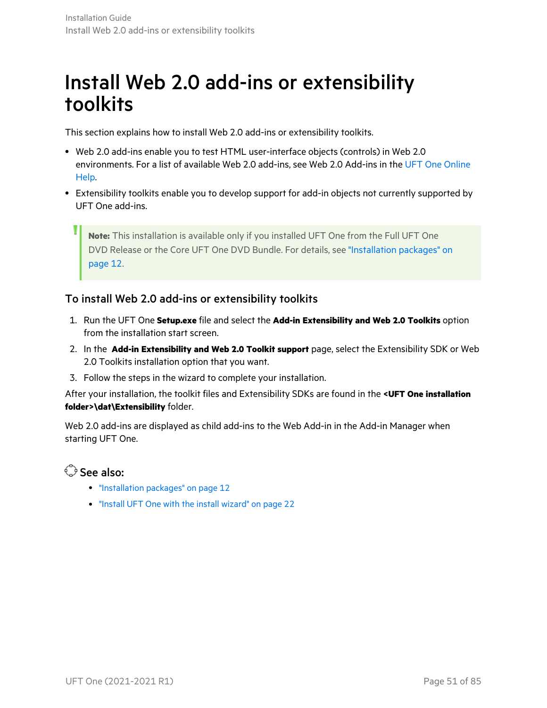# Install Web 2.0 add-ins or extensibility toolkits

This section explains how to install Web 2.0 add-ins or extensibility toolkits.

- <sup>l</sup> Web 2.0 add-ins enable you to test HTML user-interface objects (controls) in Web 2.0 environments. For a list of available Web 2.0 add-ins, see Web 2.0 Add-ins in the UFT One [Online](https://admhelp.microfocus.com/uft) [Help](https://admhelp.microfocus.com/uft).
- Extensibility toolkits enable you to develop support for add-in objects not currently supported by UFT One add-ins.

**Note:** This installation is available only if you installed UFT One from the Full UFT One DVD Release or the Core UFT One DVD Bundle. For details, see ["Installation](#page-11-0) packages" on [page](#page-11-0) 12.

#### To install Web 2.0 add-ins or extensibility toolkits

- 1. Run the UFT One **Setup.exe** file and select the **Add-in Extensibility and Web 2.0 Toolkits** option from the installation start screen.
- 2. In the **Add-in Extensibility and Web 2.0 Toolkit support** page, select the Extensibility SDK or Web 2.0 Toolkits installation option that you want.
- 3. Follow the steps in the wizard to complete your installation.

After your installation, the toolkit files and Extensibility SDKs are found in the **<UFT One installation folder>\dat\Extensibility** folder.

Web 2.0 add-ins are displayed as child add-ins to the Web Add-in in the Add-in Manager when starting UFT One.

#### $\mathbb{O}$  See also:

- **•** ["Installation](#page-11-0) packages" on page 12
- "Install UFT One with the install [wizard"](#page-21-0) on page 22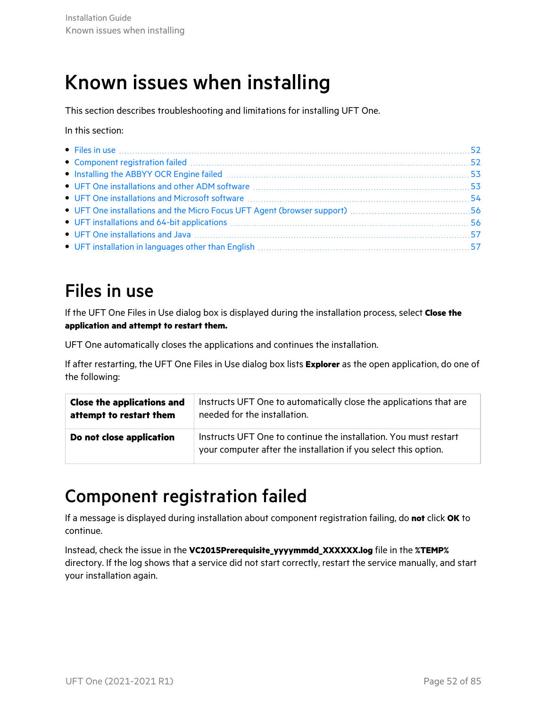# <span id="page-51-0"></span>Known issues when installing

This section describes troubleshooting and limitations for installing UFT One.

In this section:

| • Files in use $\ldots$                                                                                                                                                               |  |
|---------------------------------------------------------------------------------------------------------------------------------------------------------------------------------------|--|
|                                                                                                                                                                                       |  |
|                                                                                                                                                                                       |  |
|                                                                                                                                                                                       |  |
| • UFT One installations and Microsoft software manufactured and the UFT One installations and Microsoft software                                                                      |  |
|                                                                                                                                                                                       |  |
|                                                                                                                                                                                       |  |
|                                                                                                                                                                                       |  |
| • UFT installation in languages other than English manufactured and contain the control of UFT installation in languages other than English manufactured and the UFT installation. 57 |  |
|                                                                                                                                                                                       |  |

## <span id="page-51-1"></span>Files in use

If the UFT One Files in Use dialog box is displayed during the installation process, select **Close the application and attempt to restart them.**

UFT One automatically closes the applications and continues the installation.

If after restarting, the UFT One Files in Use dialog box lists **Explorer** as the open application, do one of the following:

| <b>Close the applications and</b> | Instructs UFT One to automatically close the applications that are                                                                  |  |  |
|-----------------------------------|-------------------------------------------------------------------------------------------------------------------------------------|--|--|
| attempt to restart them           | needed for the installation.                                                                                                        |  |  |
| Do not close application          | Instructs UFT One to continue the installation. You must restart<br>your computer after the installation if you select this option. |  |  |

### <span id="page-51-2"></span>Component registration failed

If a message is displayed during installation about component registration failing, do **not** click **OK** to continue.

Instead, check the issue in the **VC2015Prerequisite\_yyyymmdd\_XXXXXX.log** file in the **%TEMP%** directory. If the log shows that a service did not start correctly, restart the service manually, and start your installation again.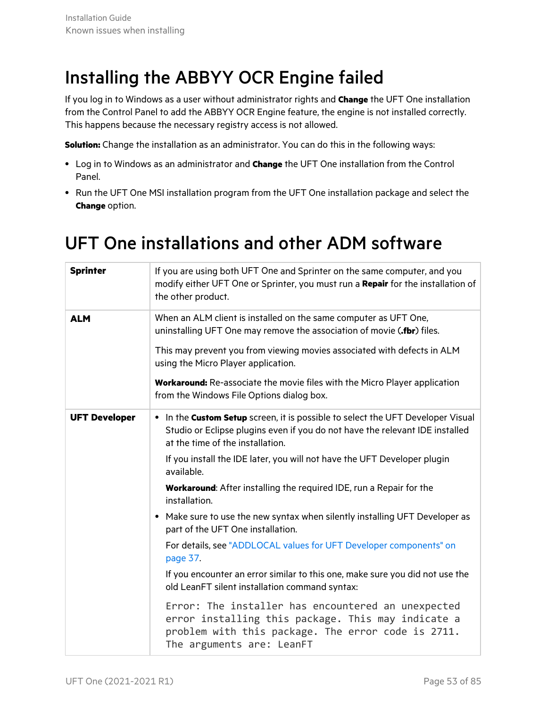## <span id="page-52-0"></span>Installing the ABBYY OCR Engine failed

If you log in to Windows as a user without administrator rights and **Change** the UFT One installation from the Control Panel to add the ABBYY OCR Engine feature, the engine is not installed correctly. This happens because the necessary registry access is not allowed.

**Solution:** Change the installation as an administrator. You can do this in the following ways:

- **.** Log in to Windows as an administrator and **Change** the UFT One installation from the Control Panel.
- Run the UFT One MSI installation program from the UFT One installation package and select the **Change** option.

### <span id="page-52-1"></span>UFT One installations and other ADM software

| <b>Sprinter</b>      | If you are using both UFT One and Sprinter on the same computer, and you<br>modify either UFT One or Sprinter, you must run a Repair for the installation of<br>the other product.                  |  |  |
|----------------------|-----------------------------------------------------------------------------------------------------------------------------------------------------------------------------------------------------|--|--|
| <b>ALM</b>           | When an ALM client is installed on the same computer as UFT One,<br>uninstalling UFT One may remove the association of movie (.fbr) files.                                                          |  |  |
|                      | This may prevent you from viewing movies associated with defects in ALM<br>using the Micro Player application.                                                                                      |  |  |
|                      | <b>Workaround:</b> Re-associate the movie files with the Micro Player application<br>from the Windows File Options dialog box.                                                                      |  |  |
| <b>UFT Developer</b> | • In the Custom Setup screen, it is possible to select the UFT Developer Visual<br>Studio or Eclipse plugins even if you do not have the relevant IDE installed<br>at the time of the installation. |  |  |
|                      | If you install the IDE later, you will not have the UFT Developer plugin<br>available.                                                                                                              |  |  |
|                      | <b>Workaround:</b> After installing the required IDE, run a Repair for the<br>installation.                                                                                                         |  |  |
|                      | Make sure to use the new syntax when silently installing UFT Developer as<br>$\bullet$<br>part of the UFT One installation.                                                                         |  |  |
|                      | For details, see "ADDLOCAL values for UFT Developer components" on<br>page 37.                                                                                                                      |  |  |
|                      | If you encounter an error similar to this one, make sure you did not use the<br>old LeanFT silent installation command syntax:                                                                      |  |  |
|                      | Error: The installer has encountered an unexpected<br>error installing this package. This may indicate a<br>problem with this package. The error code is 2711.<br>The arguments are: LeanFT         |  |  |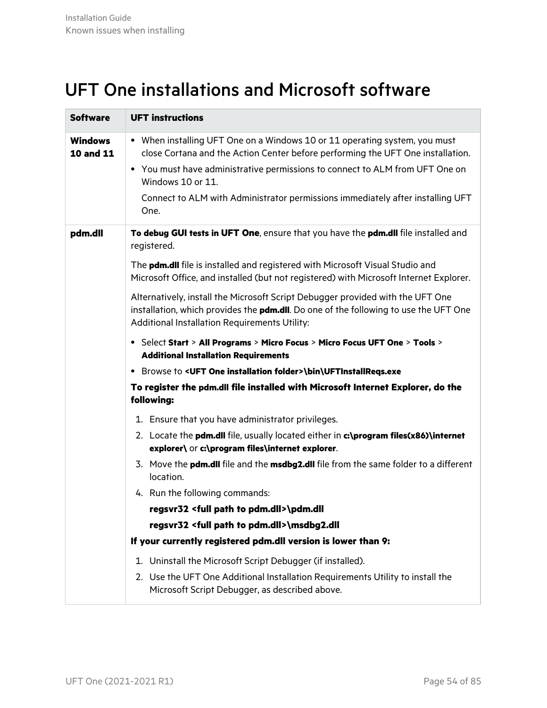### <span id="page-53-0"></span>UFT One installations and Microsoft software

| <b>Software</b>                    | <b>UFT instructions</b>                                                                                                                                                                                                                                                                                                                                      |
|------------------------------------|--------------------------------------------------------------------------------------------------------------------------------------------------------------------------------------------------------------------------------------------------------------------------------------------------------------------------------------------------------------|
| <b>Windows</b><br><b>10 and 11</b> | • When installing UFT One on a Windows 10 or 11 operating system, you must<br>close Cortana and the Action Center before performing the UFT One installation.<br>• You must have administrative permissions to connect to ALM from UFT One on<br>Windows 10 or 11.<br>Connect to ALM with Administrator permissions immediately after installing UFT<br>One. |
| pdm.dll                            | To debug GUI tests in UFT One, ensure that you have the pdm.dll file installed and<br>registered.<br>The pdm.dll file is installed and registered with Microsoft Visual Studio and<br>Microsoft Office, and installed (but not registered) with Microsoft Internet Explorer.                                                                                 |
|                                    | Alternatively, install the Microsoft Script Debugger provided with the UFT One<br>installation, which provides the <b>pdm.dll</b> . Do one of the following to use the UFT One<br>Additional Installation Requirements Utility:                                                                                                                              |
|                                    | • Select Start > All Programs > Micro Focus > Micro Focus UFT One > Tools ><br><b>Additional Installation Requirements</b>                                                                                                                                                                                                                                   |
|                                    | • Browse to <uft folder="" installation="" one="">\bin\UFTInstallReqs.exe</uft>                                                                                                                                                                                                                                                                              |
|                                    | To register the pdm.dll file installed with Microsoft Internet Explorer, do the<br>following:                                                                                                                                                                                                                                                                |
|                                    | 1. Ensure that you have administrator privileges.                                                                                                                                                                                                                                                                                                            |
|                                    | 2. Locate the pdm.dll file, usually located either in c:\program files(x86)\internet<br>explorer\ or c:\program files\internet explorer.                                                                                                                                                                                                                     |
|                                    | 3. Move the pdm.dll file and the msdbg2.dll file from the same folder to a different<br>location.                                                                                                                                                                                                                                                            |
|                                    | 4. Run the following commands:                                                                                                                                                                                                                                                                                                                               |
|                                    | regsvr32 <full path="" pdm.dll="" to="">\pdm.dll</full>                                                                                                                                                                                                                                                                                                      |
|                                    | regsvr32 <full path="" pdm.dll="" to="">\msdbg2.dll</full>                                                                                                                                                                                                                                                                                                   |
|                                    | If your currently registered pdm.dll version is lower than 9:                                                                                                                                                                                                                                                                                                |
|                                    | 1. Uninstall the Microsoft Script Debugger (if installed).                                                                                                                                                                                                                                                                                                   |
|                                    | 2. Use the UFT One Additional Installation Requirements Utility to install the<br>Microsoft Script Debugger, as described above.                                                                                                                                                                                                                             |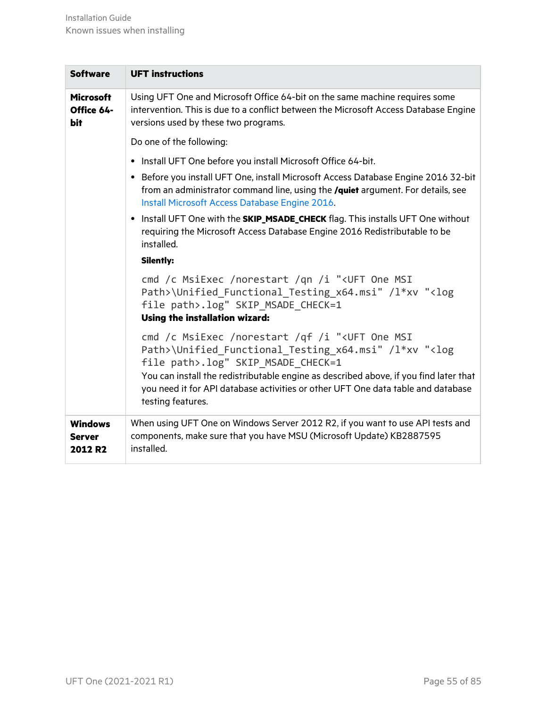| <b>Software</b>                            | <b>UFT instructions</b>                                                                                                                                                                                                                                                                                                                                                        |
|--------------------------------------------|--------------------------------------------------------------------------------------------------------------------------------------------------------------------------------------------------------------------------------------------------------------------------------------------------------------------------------------------------------------------------------|
| <b>Microsoft</b><br>Office 64-<br>bit      | Using UFT One and Microsoft Office 64-bit on the same machine requires some<br>intervention. This is due to a conflict between the Microsoft Access Database Engine<br>versions used by these two programs.                                                                                                                                                                    |
|                                            | Do one of the following:                                                                                                                                                                                                                                                                                                                                                       |
|                                            | • Install UFT One before you install Microsoft Office 64-bit.                                                                                                                                                                                                                                                                                                                  |
|                                            | • Before you install UFT One, install Microsoft Access Database Engine 2016 32-bit<br>from an administrator command line, using the /quiet argument. For details, see<br>Install Microsoft Access Database Engine 2016.                                                                                                                                                        |
|                                            | • Install UFT One with the <b>SKIP_MSADE_CHECK</b> flag. This installs UFT One without<br>requiring the Microsoft Access Database Engine 2016 Redistributable to be<br>installed.                                                                                                                                                                                              |
|                                            | <b>Silently:</b>                                                                                                                                                                                                                                                                                                                                                               |
|                                            | cmd /c MsiExec /norestart /qn /i " <uft msi<br="" one="">Path&gt;\Unified Functional Testing x64.msi" /l*xv "<log<br>file path&gt;.log" SKIP MSADE CHECK=1<br/><b>Using the installation wizard:</b></log<br></uft>                                                                                                                                                            |
|                                            | cmd /c MsiExec /norestart /qf /i " <uft msi<br="" one="">Path&gt;\Unified Functional Testing x64.msi" /l*xv "<log<br>file path&gt;.log" SKIP_MSADE_CHECK=1<br/>You can install the redistributable engine as described above, if you find later that<br/>you need it for API database activities or other UFT One data table and database<br/>testing features.</log<br></uft> |
| <b>Windows</b><br><b>Server</b><br>2012 R2 | When using UFT One on Windows Server 2012 R2, if you want to use API tests and<br>components, make sure that you have MSU (Microsoft Update) KB2887595<br>installed.                                                                                                                                                                                                           |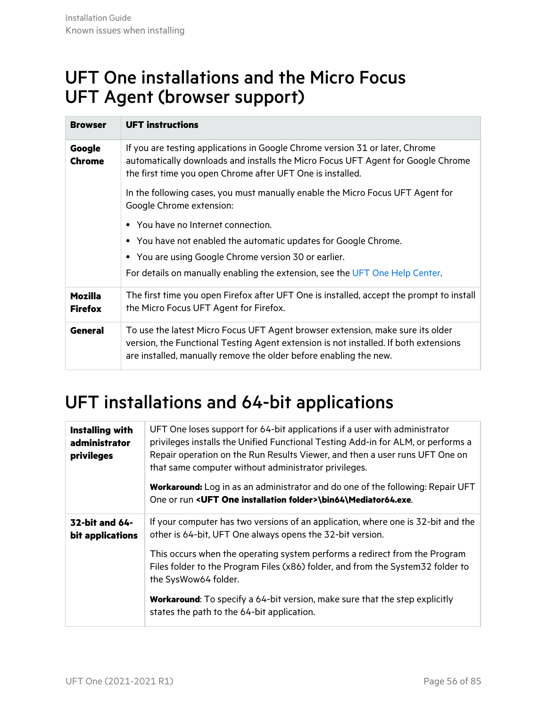### <span id="page-55-0"></span>UFT One installations and the Micro Focus UFT Agent (browser support)

| <b>Browser</b>                   | <b>UFT instructions</b>                                                                                                                                                                                                                     |  |  |  |
|----------------------------------|---------------------------------------------------------------------------------------------------------------------------------------------------------------------------------------------------------------------------------------------|--|--|--|
| Google<br>Chrome                 | If you are testing applications in Google Chrome version 31 or later, Chrome<br>automatically downloads and installs the Micro Focus UFT Agent for Google Chrome<br>the first time you open Chrome after UFT One is installed.              |  |  |  |
|                                  | In the following cases, you must manually enable the Micro Focus UFT Agent for<br>Google Chrome extension:                                                                                                                                  |  |  |  |
|                                  | • You have no Internet connection.                                                                                                                                                                                                          |  |  |  |
|                                  | • You have not enabled the automatic updates for Google Chrome.                                                                                                                                                                             |  |  |  |
|                                  | • You are using Google Chrome version 30 or earlier.                                                                                                                                                                                        |  |  |  |
|                                  | For details on manually enabling the extension, see the UFT One Help Center.                                                                                                                                                                |  |  |  |
| <b>Mozilla</b><br><b>Firefox</b> | The first time you open Firefox after UFT One is installed, accept the prompt to install<br>the Micro Focus UFT Agent for Firefox.                                                                                                          |  |  |  |
| <b>General</b>                   | To use the latest Micro Focus UFT Agent browser extension, make sure its older<br>version, the Functional Testing Agent extension is not installed. If both extensions<br>are installed, manually remove the older before enabling the new. |  |  |  |

## <span id="page-55-1"></span>UFT installations and 64-bit applications

| <b>Installing with</b><br>administrator<br>privileges | UFT One loses support for 64-bit applications if a user with administrator<br>privileges installs the Unified Functional Testing Add-in for ALM, or performs a<br>Repair operation on the Run Results Viewer, and then a user runs UFT One on<br>that same computer without administrator privileges. |  |
|-------------------------------------------------------|-------------------------------------------------------------------------------------------------------------------------------------------------------------------------------------------------------------------------------------------------------------------------------------------------------|--|
|                                                       | <b>Workaround:</b> Log in as an administrator and do one of the following: Repair UFT<br>One or run < UFT One installation folder>\bin64\Mediator64.exe.                                                                                                                                              |  |
| 32-bit and 64-<br>bit applications                    | If your computer has two versions of an application, where one is 32-bit and the<br>other is 64-bit, UFT One always opens the 32-bit version.                                                                                                                                                         |  |
|                                                       | This occurs when the operating system performs a redirect from the Program<br>Files folder to the Program Files (x86) folder, and from the System 32 folder to<br>the SysWow64 folder.                                                                                                                |  |
|                                                       | <b>Workaround:</b> To specify a 64-bit version, make sure that the step explicitly<br>states the path to the 64-bit application.                                                                                                                                                                      |  |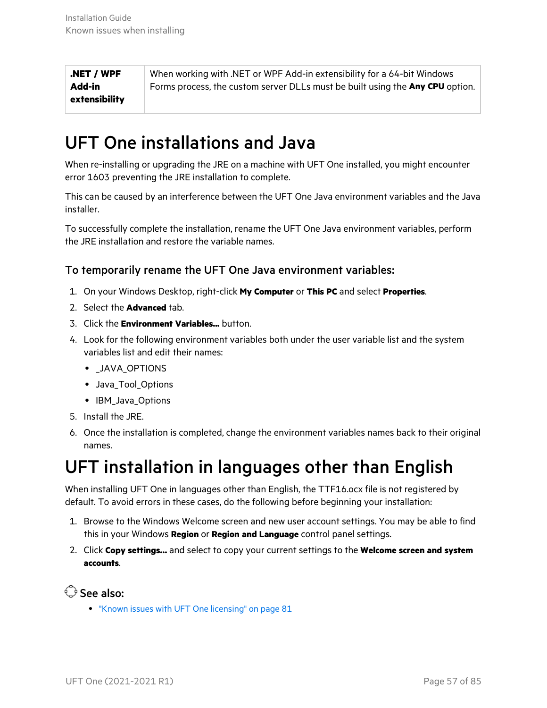**.NET / WPF Add-in extensibility** When working with .NET or WPF Add-in extensibility for a 64-bit Windows Forms process, the custom server DLLs must be built using the **Any CPU** option.

## <span id="page-56-0"></span>UFT One installations and Java

When re-installing or upgrading the JRE on a machine with UFT One installed, you might encounter error 1603 preventing the JRE installation to complete.

This can be caused by an interference between the UFT One Java environment variables and the Java installer.

To successfully complete the installation, rename the UFT One Java environment variables, perform the JRE installation and restore the variable names.

#### To temporarily rename the UFT One Java environment variables:

- 1. On your Windows Desktop, right-click **My Computer** or **This PC** and select **Properties**.
- 2. Select the **Advanced** tab.
- 3. Click the **Environment Variables...** button.
- 4. Look for the following environment variables both under the user variable list and the system variables list and edit their names:
	- JAVA OPTIONS
	- Java Tool Options
	- IBM Java Options
- 5. Install the JRE.
- 6. Once the installation is completed, change the environment variables names back to their original names.

### <span id="page-56-1"></span>UFT installation in languages other than English

When installing UFT One in languages other than English, the TTF16.ocx file is not registered by default. To avoid errors in these cases, do the following before beginning your installation:

- 1. Browse to the Windows Welcome screen and new user account settings. You may be able to find this in your Windows **Region** or **Region and Language** control panel settings.
- 2. Click **Copy settings…** and select to copy your current settings to the **Welcome screen and system accounts**.

See also:

• "Known issues with UFT One [licensing"](#page-80-0) on page 81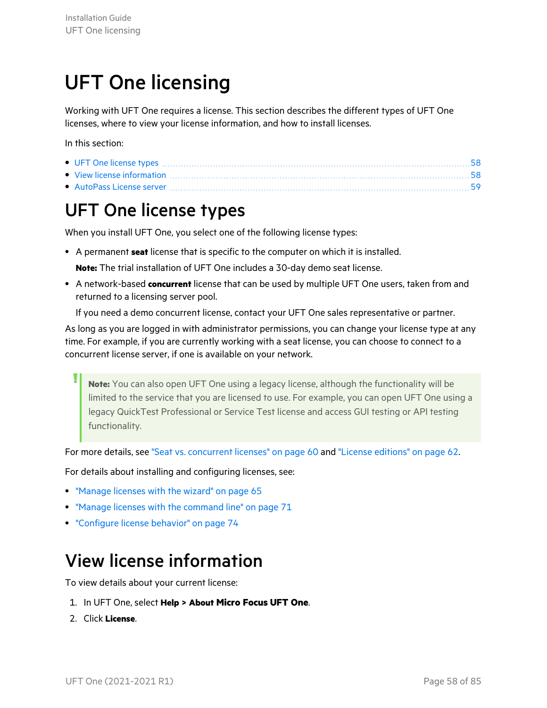# <span id="page-57-2"></span>UFT One licensing

Working with UFT One requires a license. This section describes the different types of UFT One licenses, where to view your license information, and how to install licenses.

In this section:

| • View license information material contracts and the set of the set of the set of the set of the set of the set of the set of the set of the set of the set of the set of the set of the set of the set of the set of the set |  |
|--------------------------------------------------------------------------------------------------------------------------------------------------------------------------------------------------------------------------------|--|
|                                                                                                                                                                                                                                |  |

## <span id="page-57-0"></span>UFT One license types

When you install UFT One, you select one of the following license types:

• A permanent **seat** license that is specific to the computer on which it is installed.

**Note:** The trial installation of UFT One includes a 30-day demo seat license.

**• A network-based concurrent** license that can be used by multiple UFT One users, taken from and returned to a licensing server pool.

If you need a demo concurrent license, contact your UFT One sales representative or partner.

As long as you are logged in with administrator permissions, you can change your license type at any time. For example, if you are currently working with a seat license, you can choose to connect to a concurrent license server, if one is available on your network.

**Note:** You can also open UFT One using a legacy license, although the functionality will be limited to the service that you are licensed to use. For example, you can open UFT One using a legacy QuickTest Professional or Service Test license and access GUI testing or API testing functionality.

For more details, see "Seat vs. [concurrent](#page-59-0) licenses" on page 60 and "License [editions"](#page-61-0) on page 62.

For details about installing and configuring licenses, see:

- ["Manage](#page-64-0) licenses with the wizard" on page 65
- "Manage licenses with the [command](#page-70-0) line" on page 71
- **•** ["Configure](#page-73-0) license behavior" on page 74

## <span id="page-57-1"></span>View license information

To view details about your current license:

- 1. In UFT One, select **Help > About Micro Focus UFT One**.
- 2. Click **License**.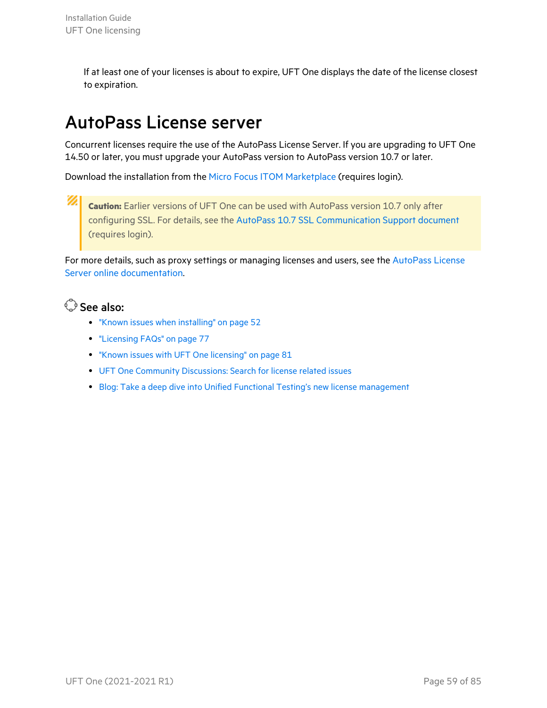If at least one of your licenses is about to expire, UFT One displays the date of the license closest to expiration.

## <span id="page-58-0"></span>AutoPass License server

Concurrent licenses require the use of the AutoPass License Server. If you are upgrading to UFT One 14.50 or later, you must upgrade your AutoPass version to AutoPass version 10.7 or later.

Download the installation from the Micro Focus ITOM [Marketplace](https://marketplace.microfocus.com/itom/content/autopass-license-server) (requires login).

Ø **Caution:** Earlier versions of UFT One can be used with AutoPass version 10.7 only after configuring SSL. For details, see the AutoPass 10.7 SSL [Communication](https://marketplace.microfocus.com/api/download/153405?file_only=true) Support document (requires login).

For more details, such as proxy settings or managing licenses and users, see the [AutoPass](https://docs.microfocus.com/itom/AutoPass_License_Server:11.7.0/Home) License Server online [documentation.](https://docs.microfocus.com/itom/AutoPass_License_Server:11.7.0/Home)

#### See also:

- "Known issues when [installing"](#page-51-0) on page 52
- ["Licensing](#page-76-0) FAQs" on page 77
- "Known issues with UFT One [licensing"](#page-80-0) on page 81
- UFT One Community [Discussions:](https://community.microfocus.com/adtd/uft) Search for license related issues
- Blog: Take a deep dive into Unified Functional Testing's new license [management](https://community.microfocus.com/moderation/cmgmt/archives/archived-software-blogs/b/archivedalmarticles/posts/take-a-deep-dive-into-unified-functional-testing-s-new-license-management#.WpvnO-hua71)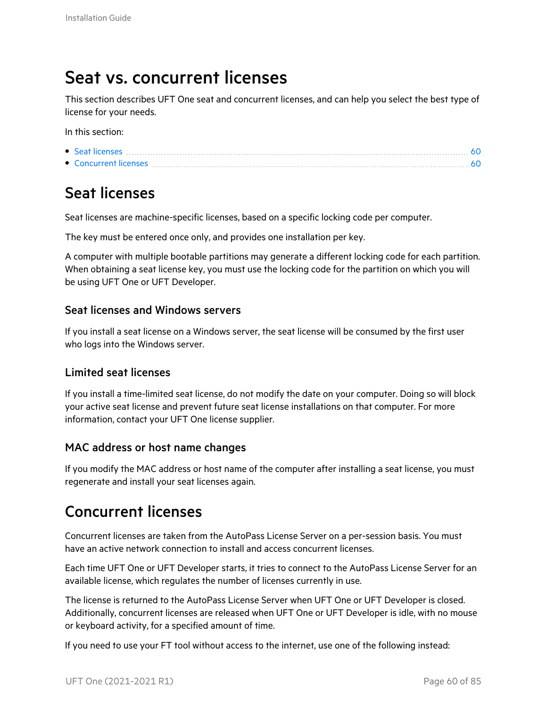### <span id="page-59-0"></span>Seat vs. concurrent licenses

This section describes UFT One seat and concurrent licenses, and can help you select the best type of license for your needs.

In this section:

- $\bullet$  Seat [licenses](#page-59-1)  $\ldots$  [60](#page-59-1)
- $\bullet$  [Concurrent](#page-59-2) licenses  $\ldots$  .  $\ldots$  .  $\ldots$  .  $\ldots$  .  $\ldots$  .  $\ldots$  .  $\ldots$  .  $\ldots$  .  $\ldots$  .  $\ldots$  .  $\ldots$  .  $\ldots$  .  $\ldots$  .  $\ldots$  .  $\ldots$  .  $\ldots$

### <span id="page-59-1"></span>Seat licenses

Seat licenses are machine-specific licenses, based on a specific locking code per computer.

The key must be entered once only, and provides one installation per key.

A computer with multiple bootable partitions may generate a different locking code for each partition. When obtaining a seat license key, you must use the locking code for the partition on which you will be using UFT One or UFT Developer.

#### Seat licenses and Windows servers

If you install a seat license on a Windows server, the seat license will be consumed by the first user who logs into the Windows server.

#### Limited seat licenses

If you install a time-limited seat license, do not modify the date on your computer. Doing so will block your active seat license and prevent future seat license installations on that computer. For more information, contact your UFT One license supplier.

#### MAC address or host name changes

If you modify the MAC address or host name of the computer after installing a seat license, you must regenerate and install your seat licenses again.

### <span id="page-59-2"></span>Concurrent licenses

Concurrent licenses are taken from the AutoPass License Server on a per-session basis. You must have an active network connection to install and access concurrent licenses.

Each time UFT One or UFT Developer starts, it tries to connect to the AutoPass License Server for an available license, which regulates the number of licenses currently in use.

The license is returned to the AutoPass License Server when UFT One or UFT Developer is closed. Additionally, concurrent licenses are released when UFT One or UFT Developer is idle, with no mouse or keyboard activity, for a specified amount of time.

If you need to use your FT tool without access to the internet, use one of the following instead: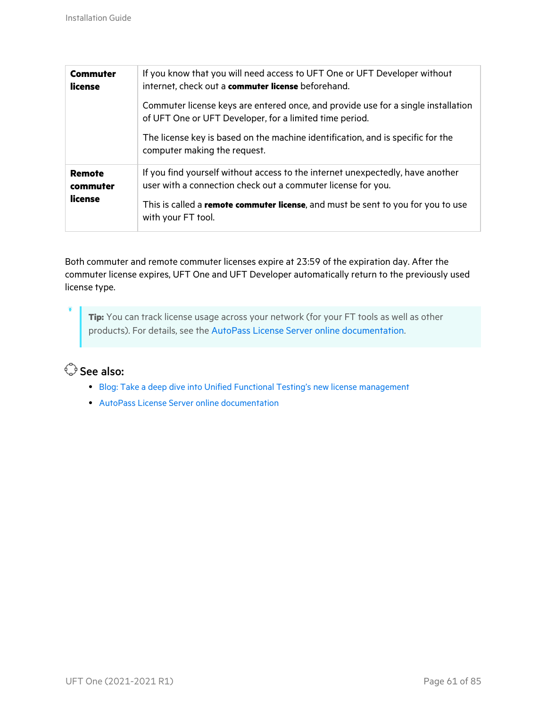| <b>Commuter</b><br>license           | If you know that you will need access to UFT One or UFT Developer without<br>internet, check out a commuter license beforehand.<br>Commuter license keys are entered once, and provide use for a single installation<br>of UFT One or UFT Developer, for a limited time period. |  |
|--------------------------------------|---------------------------------------------------------------------------------------------------------------------------------------------------------------------------------------------------------------------------------------------------------------------------------|--|
|                                      | The license key is based on the machine identification, and is specific for the<br>computer making the request.                                                                                                                                                                 |  |
| <b>Remote</b><br>commuter<br>license | If you find yourself without access to the internet unexpectedly, have another<br>user with a connection check out a commuter license for you.<br>This is called a remote commuter license, and must be sent to you for you to use<br>with your FT tool.                        |  |

Both commuter and remote commuter licenses expire at 23:59 of the expiration day. After the commuter license expires, UFT One and UFT Developer automatically return to the previously used license type.

**Tip:** You can track license usage across your network (for your FT tools as well as other products). For details, see the AutoPass License Server online [documentation](https://docs.microfocus.com/itom/AutoPass_License_Server:11.7.0/Home).

#### See also:

- Blog: Take a deep dive into Unified Functional Testing's new license [management](https://community.microfocus.com/moderation/cmgmt/archives/archived-software-blogs/b/archivedalmarticles/posts/take-a-deep-dive-into-unified-functional-testing-s-new-license-management#.WpvnO-hua71)
- **AutoPass License Server online [documentation](https://docs.microfocus.com/itom/AutoPass_License_Server:11.7.0/Home)**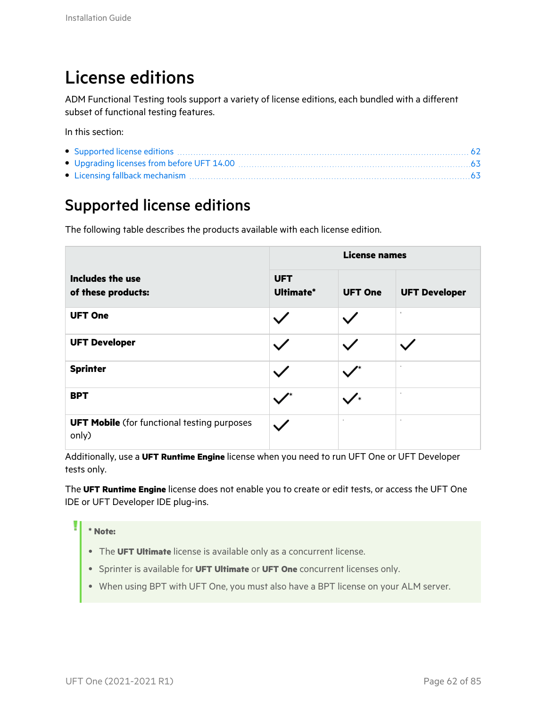## <span id="page-61-0"></span>License editions

ADM Functional Testing tools support a variety of license editions, each bundled with a different subset of functional testing features.

In this section:

### <span id="page-61-1"></span>Supported license editions

The following table describes the products available with each license edition.

|                                                             | <b>License names</b>    |                |                      |
|-------------------------------------------------------------|-------------------------|----------------|----------------------|
| Includes the use<br>of these products:                      | <b>UFT</b><br>Ultimate* | <b>UFT One</b> | <b>UFT Developer</b> |
| <b>UFT One</b>                                              |                         |                |                      |
| <b>UFT Developer</b>                                        |                         |                |                      |
| <b>Sprinter</b>                                             |                         |                |                      |
| <b>BPT</b>                                                  |                         | ◢∗             | ٠                    |
| <b>UFT Mobile</b> (for functional testing purposes<br>only) |                         |                | ×.                   |

Additionally, use a **UFT Runtime Engine** license when you need to run UFT One or UFT Developer tests only.

The **UFT Runtime Engine** license does not enable you to create or edit tests, or access the UFT One IDE or UFT Developer IDE plug-ins.

#### **\* Note:**

۷

- **The UFT Ultimate** license is available only as a concurrent license.
- <sup>l</sup> Sprinter is available for **UFT Ultimate** or **UFT One** concurrent licenses only.
- When using BPT with UFT One, you must also have a BPT license on your ALM server.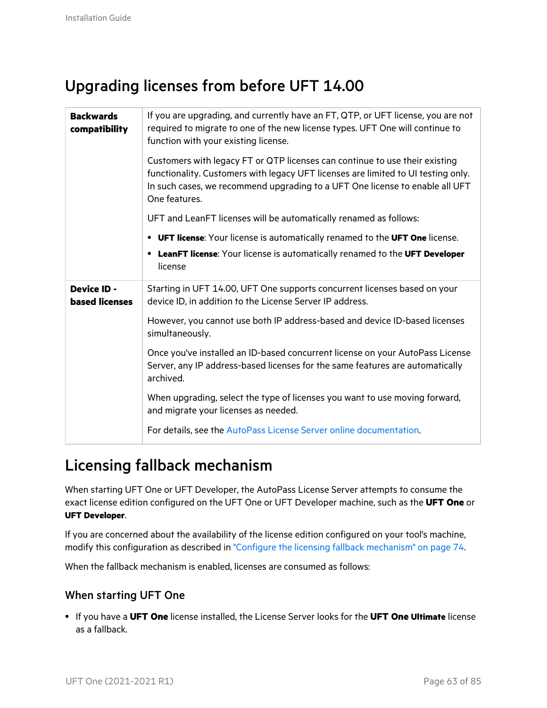### <span id="page-62-0"></span>Upgrading licenses from before UFT 14.00

| <b>Backwards</b><br>compatibility           | If you are upgrading, and currently have an FT, QTP, or UFT license, you are not<br>required to migrate to one of the new license types. UFT One will continue to<br>function with your existing license.                                                         |  |  |
|---------------------------------------------|-------------------------------------------------------------------------------------------------------------------------------------------------------------------------------------------------------------------------------------------------------------------|--|--|
|                                             | Customers with legacy FT or QTP licenses can continue to use their existing<br>functionality. Customers with legacy UFT licenses are limited to UI testing only.<br>In such cases, we recommend upgrading to a UFT One license to enable all UFT<br>One features. |  |  |
|                                             | UFT and LeanFT licenses will be automatically renamed as follows:                                                                                                                                                                                                 |  |  |
|                                             | • UFT license: Your license is automatically renamed to the UFT One license.                                                                                                                                                                                      |  |  |
|                                             | • LeanFT license: Your license is automatically renamed to the UFT Developer<br>license                                                                                                                                                                           |  |  |
| <b>Device ID -</b><br><b>based licenses</b> | Starting in UFT 14.00, UFT One supports concurrent licenses based on your<br>device ID, in addition to the License Server IP address.                                                                                                                             |  |  |
|                                             | However, you cannot use both IP address-based and device ID-based licenses<br>simultaneously.                                                                                                                                                                     |  |  |
|                                             | Once you've installed an ID-based concurrent license on your AutoPass License<br>Server, any IP address-based licenses for the same features are automatically<br>archived.                                                                                       |  |  |
|                                             | When upgrading, select the type of licenses you want to use moving forward,<br>and migrate your licenses as needed.                                                                                                                                               |  |  |
|                                             | For details, see the AutoPass License Server online documentation.                                                                                                                                                                                                |  |  |

### <span id="page-62-1"></span>Licensing fallback mechanism

When starting UFT One or UFT Developer, the AutoPass License Server attempts to consume the exact license edition configured on the UFT One or UFT Developer machine, such as the **UFT One** or **UFT Developer**.

If you are concerned about the availability of the license edition configured on your tool's machine, modify this configuration as described in "Configure the licensing fallback [mechanism"](#page-73-1) on page 74.

When the fallback mechanism is enabled, licenses are consumed as follows:

#### When starting UFT One

<sup>l</sup> If you have a **UFT One** license installed, the License Server looks for the **UFT One Ultimate** license as a fallback.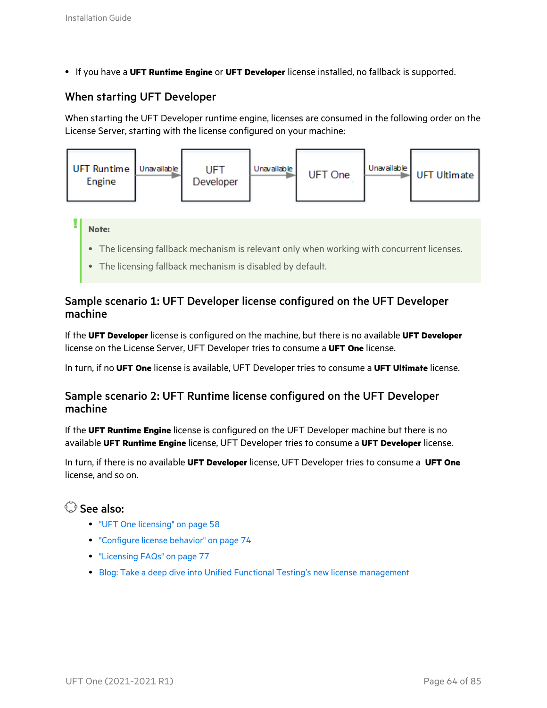**.** If you have a UFT Runtime Engine or UFT Developer license installed, no fallback is supported.

#### When starting UFT Developer

When starting the UFT Developer runtime engine, licenses are consumed in the following order on the License Server, starting with the license configured on your machine:



- The licensing fallback mechanism is relevant only when working with concurrent licenses.
- The licensing fallback mechanism is disabled by default.

#### Sample scenario 1: UFT Developer license configured on the UFT Developer machine

If the **UFT Developer** license is configured on the machine, but there is no available **UFT Developer** license on the License Server, UFT Developer tries to consume a **UFT One** license.

In turn, if no **UFT One** license is available, UFT Developer tries to consume a **UFT Ultimate** license.

#### Sample scenario 2: UFT Runtime license configured on the UFT Developer machine

If the **UFT Runtime Engine** license is configured on the UFT Developer machine but there is no available **UFT Runtime Engine** license, UFT Developer tries to consume a **UFT Developer** license.

In turn, if there is no available **UFT Developer** license, UFT Developer tries to consume a **UFT One** license, and so on.

#### $\mathbb{O}$  See also:

- "UFT One [licensing"](#page-57-2) on page 58
- **•** ["Configure](#page-73-0) license behavior" on page 74
- ["Licensing](#page-76-0) FAQs" on page 77
- **Blog: Take a deep dive into Unified Functional Testing's new license [management](https://community.microfocus.com/moderation/cmgmt/archives/archived-software-blogs/b/archivedalmarticles/posts/take-a-deep-dive-into-unified-functional-testing-s-new-license-management#.WpvnO-hua71)**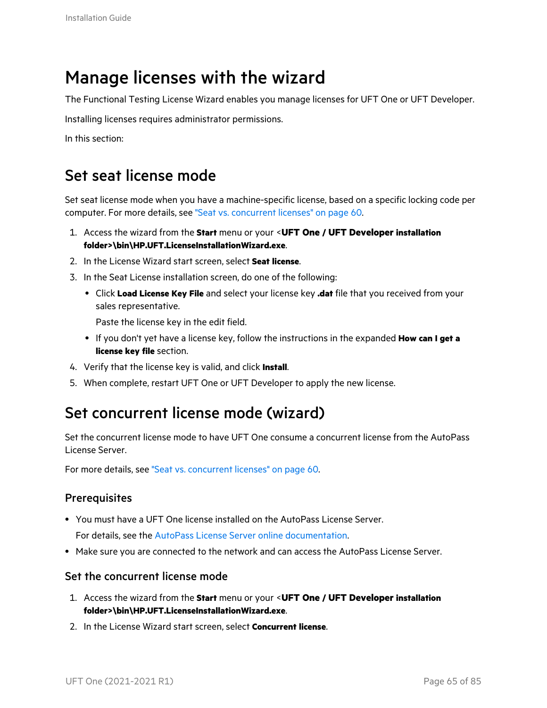### <span id="page-64-0"></span>Manage licenses with the wizard

The Functional Testing License Wizard enables you manage licenses for UFT One or UFT Developer.

Installing licenses requires administrator permissions.

In this section:

### Set seat license mode

Set seat license mode when you have a machine-specific license, based on a specific locking code per computer. For more details, see "Seat vs. [concurrent](#page-59-0) licenses" on page 60.

- 1. Access the wizard from the **Start** menu or your <**UFT One / UFT Developer installation folder>\bin\HP.UFT.LicenseInstallationWizard.exe**.
- 2. In the License Wizard start screen, select **Seat license**.
- 3. In the Seat License installation screen, do one of the following:
	- <sup>l</sup> Click **Load License Key File** and select your license key **.dat** file that you received from your sales representative.

Paste the license key in the edit field.

- <sup>l</sup> If you don't yet have a license key, follow the instructions in the expanded **How can I get a license key file** section.
- 4. Verify that the license key is valid, and click **Install**.
- 5. When complete, restart UFT One or UFT Developer to apply the new license.

### Set concurrent license mode (wizard)

Set the concurrent license mode to have UFT One consume a concurrent license from the AutoPass License Server.

For more details, see "Seat vs. [concurrent](#page-59-0) licenses" on page 60.

#### **Prerequisites**

• You must have a UFT One license installed on the AutoPass License Server.

For details, see the AutoPass License Server online [documentation.](https://docs.microfocus.com/itom/AutoPass_License_Server:11.7.0/Home)

• Make sure you are connected to the network and can access the AutoPass License Server.

#### Set the concurrent license mode

- 1. Access the wizard from the **Start** menu or your <**UFT One / UFT Developer installation folder>\bin\HP.UFT.LicenseInstallationWizard.exe**.
- 2. In the License Wizard start screen, select **Concurrent license**.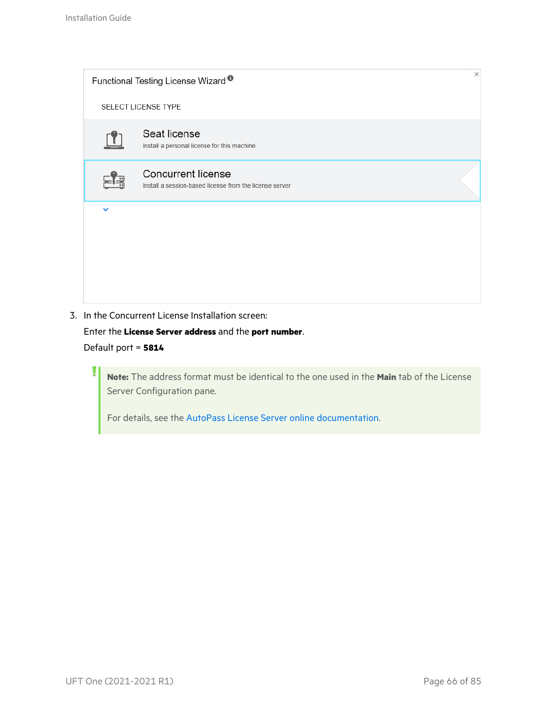| $\times$<br>Functional Testing License Wizard <sup>®</sup> |                                                                               |  |  |  |
|------------------------------------------------------------|-------------------------------------------------------------------------------|--|--|--|
| SELECT LICENSE TYPE                                        |                                                                               |  |  |  |
|                                                            | Seat license<br>Install a personal license for this machine                   |  |  |  |
|                                                            | Concurrent license<br>Install a session-based license from the license server |  |  |  |
| $\checkmark$                                               |                                                                               |  |  |  |
|                                                            |                                                                               |  |  |  |
|                                                            |                                                                               |  |  |  |

3. In the Concurrent License Installation screen:

Enter the **License Server address** and the **port number**. Default port = **5814**

**Note:** The address format must be identical to the one used in the **Main** tab of the License Server Configuration pane.

For details, see the AutoPass License Server online [documentation](https://docs.microfocus.com/itom/AutoPass_License_Server:11.7.0/Home).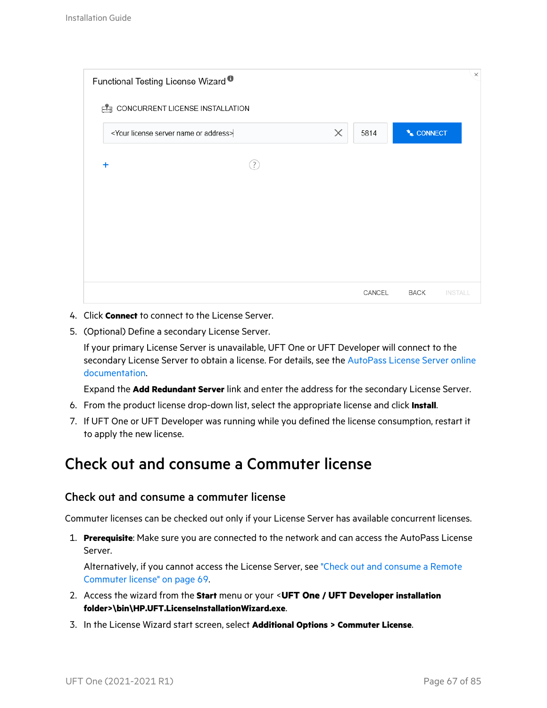| Functional Testing License Wizard <sup>®</sup>              |                                            |          |        |                               | $\times$ |
|-------------------------------------------------------------|--------------------------------------------|----------|--------|-------------------------------|----------|
|                                                             | <b>ELE</b> CONCURRENT LICENSE INSTALLATION |          |        |                               |          |
| <your address="" license="" name="" or="" server=""></your> |                                            | $\times$ | 5814   | * CONNECT                     |          |
| $\ddot{}$                                                   | ?                                          |          |        |                               |          |
|                                                             |                                            |          |        |                               |          |
|                                                             |                                            |          |        |                               |          |
|                                                             |                                            |          |        |                               |          |
|                                                             |                                            |          |        |                               |          |
|                                                             |                                            |          | CANCEL | <b>BACK</b><br><b>INSTALL</b> |          |

- 4. Click **Connect** to connect to the License Server.
- 5. (Optional) Define a secondary License Server.

If your primary License Server is unavailable, UFT One or UFT Developer will connect to the secondary License Server to obtain a license. For details, see the [AutoPass](https://docs.microfocus.com/itom/AutoPass_License_Server:11.7.0/Home) License Server online [documentation](https://docs.microfocus.com/itom/AutoPass_License_Server:11.7.0/Home).

Expand the **Add Redundant Server** link and enter the address for the secondary License Server.

- 6. From the product license drop-down list, select the appropriate license and click **Install**.
- 7. If UFT One or UFT Developer was running while you defined the license consumption, restart it to apply the new license.

### Check out and consume a Commuter license

#### Check out and consume a commuter license

Commuter licenses can be checked out only if your License Server has available concurrent licenses.

1. **Prerequisite**: Make sure you are connected to the network and can access the AutoPass License Server.

Alternatively, if you cannot access the License Server, see "Check out and [consume](#page-68-0) a Remote [Commuter](#page-68-0) license" on page 69.

- 2. Access the wizard from the **Start** menu or your <**UFT One / UFT Developer installation folder>\bin\HP.UFT.LicenseInstallationWizard.exe**.
- 3. In the License Wizard start screen, select **Additional Options > Commuter License**.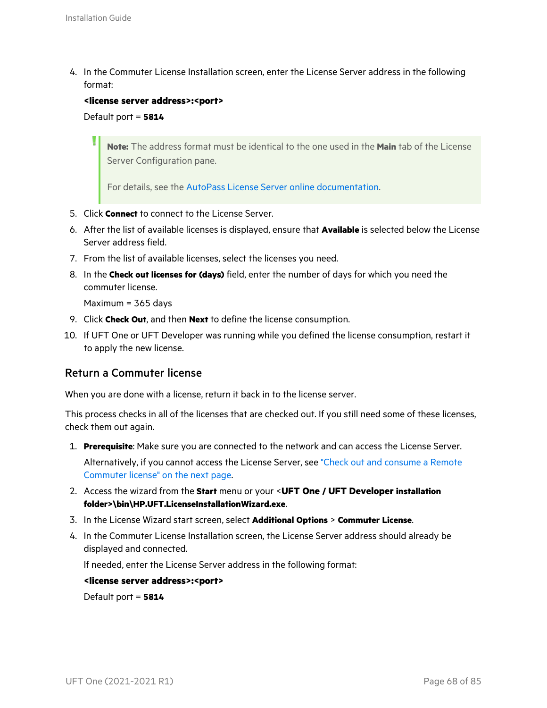4. In the Commuter License Installation screen, enter the License Server address in the following format:

#### **<license server address>:<port>**

Default port = **5814**

**Note:** The address format must be identical to the one used in the **Main** tab of the License Server Configuration pane.

For details, see the AutoPass License Server online [documentation](https://docs.microfocus.com/itom/AutoPass_License_Server:11.7.0/Home).

- 5. Click **Connect** to connect to the License Server.
- 6. After the list of available licenses is displayed, ensure that **Available** is selected below the License Server address field.
- 7. From the list of available licenses, select the licenses you need.
- 8. In the **Check out licenses for (days)** field, enter the number of days for which you need the commuter license.

Maximum = 365 days

- 9. Click **Check Out**, and then **Next** to define the license consumption.
- 10. If UFT One or UFT Developer was running while you defined the license consumption, restart it to apply the new license.

#### Return a Commuter license

When you are done with a license, return it back in to the license server.

This process checks in all of the licenses that are checked out. If you still need some of these licenses, check them out again.

1. **Prerequisite**: Make sure you are connected to the network and can access the License Server.

Alternatively, if you cannot access the License Server, see "Check out and [consume](#page-68-0) a Remote [Commuter](#page-68-0) license" on the next page.

- 2. Access the wizard from the **Start** menu or your <**UFT One / UFT Developer installation folder>\bin\HP.UFT.LicenseInstallationWizard.exe**.
- 3. In the License Wizard start screen, select **Additional Options** > **Commuter License**.
- 4. In the Commuter License Installation screen, the License Server address should already be displayed and connected.

If needed, enter the License Server address in the following format:

**<license server address>:<port>**

Default port = **5814**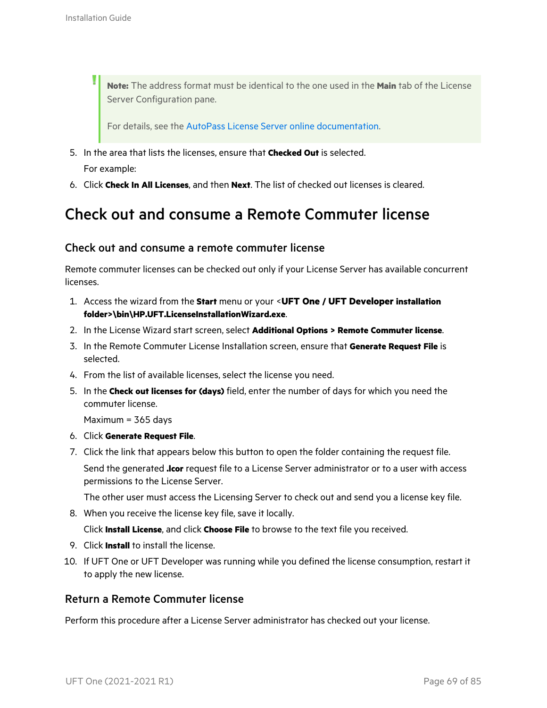**Note:** The address format must be identical to the one used in the **Main** tab of the License Server Configuration pane.

For details, see the AutoPass License Server online [documentation](https://docs.microfocus.com/itom/AutoPass_License_Server:11.7.0/Home).

- 5. In the area that lists the licenses, ensure that **Checked Out** is selected. For example:
- 6. Click **Check In All Licenses**, and then **Next**. The list of checked out licenses is cleared.

### <span id="page-68-0"></span>Check out and consume a Remote Commuter license

#### Check out and consume a remote commuter license

Remote commuter licenses can be checked out only if your License Server has available concurrent licenses.

- 1. Access the wizard from the **Start** menu or your <**UFT One / UFT Developer installation folder>\bin\HP.UFT.LicenseInstallationWizard.exe**.
- 2. In the License Wizard start screen, select **Additional Options > Remote Commuter license**.
- 3. In the Remote Commuter License Installation screen, ensure that **Generate Request File** is selected.
- 4. From the list of available licenses, select the license you need.
- 5. In the **Check out licenses for (days)** field, enter the number of days for which you need the commuter license.

Maximum = 365 days

- 6. Click **Generate Request File**.
- 7. Click the link that appears below this button to open the folder containing the request file.

Send the generated **.lcor** request file to a License Server administrator or to a user with access permissions to the License Server.

The other user must access the Licensing Server to check out and send you a license key file.

8. When you receive the license key file, save it locally.

Click **Install License**, and click **Choose File** to browse to the text file you received.

- 9. Click **Install** to install the license.
- 10. If UFT One or UFT Developer was running while you defined the license consumption, restart it to apply the new license.

#### Return a Remote Commuter license

Perform this procedure after a License Server administrator has checked out your license.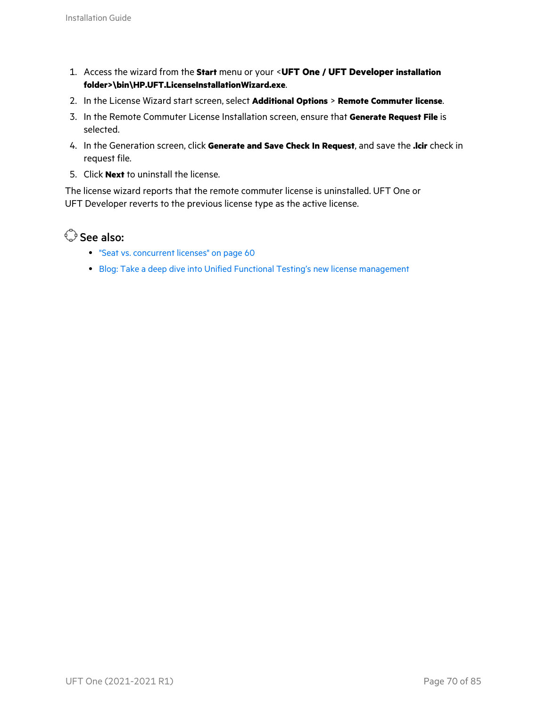- 1. Access the wizard from the **Start** menu or your <**UFT One / UFT Developer installation folder>\bin\HP.UFT.LicenseInstallationWizard.exe**.
- 2. In the License Wizard start screen, select **Additional Options** > **Remote Commuter license**.
- 3. In the Remote Commuter License Installation screen, ensure that **Generate Request File** is selected.
- 4. In the Generation screen, click **Generate and Save Check In Request**, and save the **.lcir** check in request file.
- 5. Click **Next** to uninstall the license.

The license wizard reports that the remote commuter license is uninstalled. UFT One or UFT Developer reverts to the previous license type as the active license.

See also:

- "Seat vs. [concurrent](#page-59-0) licenses" on page 60
- Blog: Take a deep dive into Unified Functional Testing's new license [management](https://community.microfocus.com/moderation/cmgmt/archives/archived-software-blogs/b/archivedalmarticles/posts/take-a-deep-dive-into-unified-functional-testing-s-new-license-management#.WpvnO-hua71)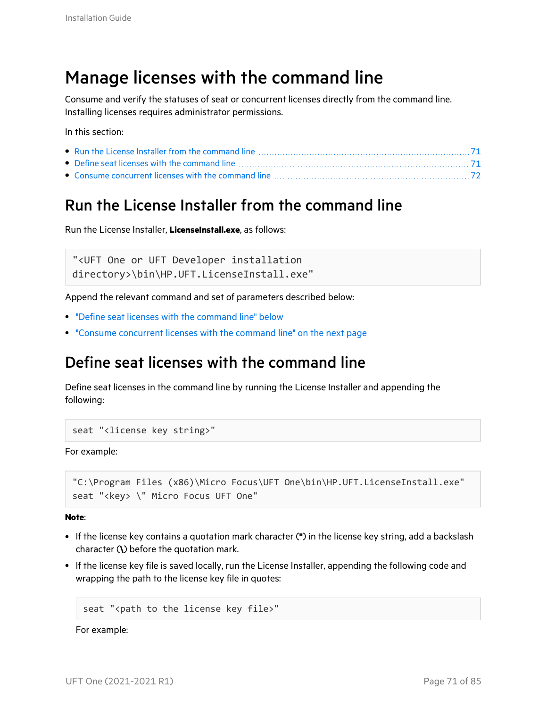### <span id="page-70-0"></span>Manage licenses with the command line

Consume and verify the statuses of seat or concurrent licenses directly from the command line. Installing licenses requires administrator permissions.

In this section:

### <span id="page-70-1"></span>Run the License Installer from the command line

Run the License Installer, **LicenseInstall.exe**, as follows:

"<UFT One or UFT Developer installation directory>\bin\HP.UFT.LicenseInstall.exe"

Append the relevant command and set of parameters described below:

- "Define seat licenses with the [command](#page-70-2) line" below
- "Consume [concurrent](#page-71-0) licenses with the command line" on the next page

### <span id="page-70-2"></span>Define seat licenses with the command line

Define seat licenses in the command line by running the License Installer and appending the following:

```
seat "<license key string>"
```
For example:

```
"C:\Program Files (x86)\Micro Focus\UFT One\bin\HP.UFT.LicenseInstall.exe"
seat "<key> \" Micro Focus UFT One"
```
**Note**:

- <sup>l</sup> If the license key contains a quotation mark character (**"**) in the license key string, add a backslash character (**\**) before the quotation mark.
- If the license key file is saved locally, run the License Installer, appending the following code and wrapping the path to the license key file in quotes:

seat "<path to the license key file>"

For example: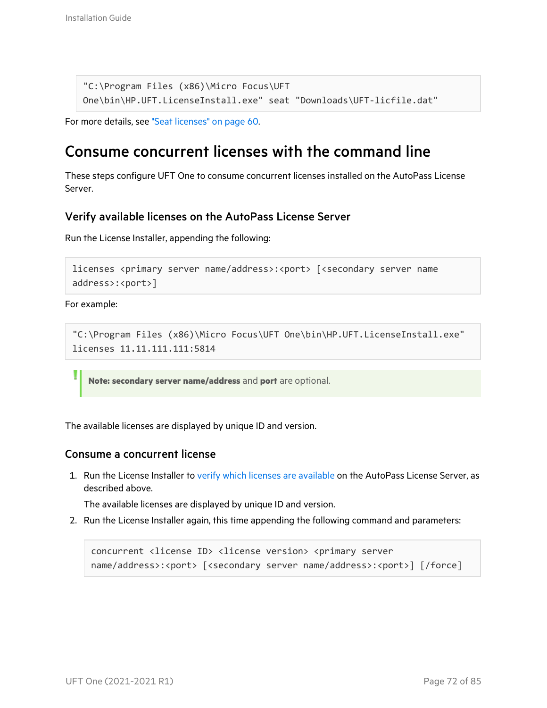```
"C:\Program Files (x86)\Micro Focus\UFT
One\bin\HP.UFT.LicenseInstall.exe" seat "Downloads\UFT-licfile.dat"
```

```
For more details, see "Seat licenses" on page 60.
```
### <span id="page-71-0"></span>Consume concurrent licenses with the command line

These steps configure UFT One to consume concurrent licenses installed on the AutoPass License Server.

#### <span id="page-71-1"></span>Verify available licenses on the AutoPass License Server

Run the License Installer, appending the following:

```
licenses <primary server name/address>:<port> [<secondary server name
address>:<port>]
```
For example:

```
"C:\Program Files (x86)\Micro Focus\UFT One\bin\HP.UFT.LicenseInstall.exe"
licenses 11.11.111.111:5814
```
**Note: secondary server name/address** and **port** are optional.

The available licenses are displayed by unique ID and version.

#### Consume a concurrent license

1. Run the License Installer to verify which licenses are [available](#page-71-1) on the AutoPass License Server, as described above.

The available licenses are displayed by unique ID and version.

2. Run the License Installer again, this time appending the following command and parameters:

```
concurrent <license ID> <license version> <primary server
name/address>:<port> [<secondary server name/address>:<port>] [/force]
```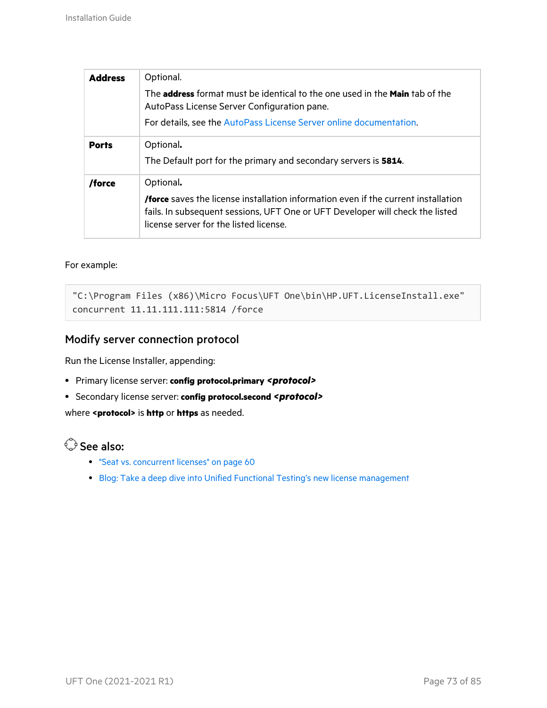| <b>Address</b> | Optional.                                                                                                                                                                                                                         |
|----------------|-----------------------------------------------------------------------------------------------------------------------------------------------------------------------------------------------------------------------------------|
|                | The <b>address</b> format must be identical to the one used in the <b>Main</b> tab of the<br>AutoPass License Server Configuration pane.                                                                                          |
|                | For details, see the AutoPass License Server online documentation.                                                                                                                                                                |
| <b>Ports</b>   | Optional.<br>The Default port for the primary and secondary servers is 5814.                                                                                                                                                      |
| /force         | Optional.<br><b>/force</b> saves the license installation information even if the current installation<br>fails. In subsequent sessions, UFT One or UFT Developer will check the listed<br>license server for the listed license. |

#### For example:

```
"C:\Program Files (x86)\Micro Focus\UFT One\bin\HP.UFT.LicenseInstall.exe"
concurrent 11.11.111.111:5814 /force
```
#### Modify server connection protocol

Run the License Installer, appending:

- <sup>l</sup> Primary license server: **config protocol.primary** *<protocol>*
- <sup>l</sup> Secondary license server: **config protocol.second** *<protocol>*

where **<protocol>** is **http** or **https** as needed.

- "Seat vs. [concurrent](#page-59-0) licenses" on page 60
- Blog: Take a deep dive into Unified Functional Testing's new license [management](https://community.microfocus.com/moderation/cmgmt/archives/archived-software-blogs/b/archivedalmarticles/posts/take-a-deep-dive-into-unified-functional-testing-s-new-license-management#.WpvnO-hua71)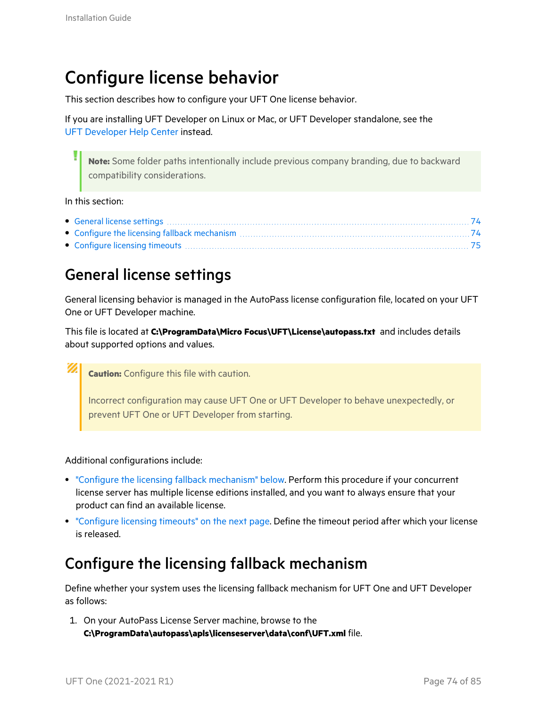# <span id="page-73-2"></span>Configure license behavior

This section describes how to configure your UFT One license behavior.

If you are installing UFT Developer on Linux or Mac, or UFT Developer standalone, see the UFT [Developer](https://admhelp.microfocus.com/uftdev/) Help Center instead.

**Note:** Some folder paths intentionally include previous company branding, due to backward compatibility considerations.

#### In this section:

#### <span id="page-73-0"></span>General license settings

General licensing behavior is managed in the AutoPass license configuration file, located on your UFT One or UFT Developer machine.

This file is located at **C:\ProgramData\Micro Focus\UFT\License\autopass.txt** and includes details about supported options and values.

**Caution:** Configure this file with caution.

Incorrect configuration may cause UFT One or UFT Developer to behave unexpectedly, or prevent UFT One or UFT Developer from starting.

Additional configurations include:

- <sup>l</sup> "Configure the licensing fallback [mechanism"](#page-73-1) below. Perform this procedure if your concurrent license server has multiple license editions installed, and you want to always ensure that your product can find an available license.
- ["Configure](#page-74-0) licensing timeouts" on the next page. Define the timeout period after which your license is released.

#### <span id="page-73-1"></span>Configure the licensing fallback mechanism

Define whether your system uses the licensing fallback mechanism for UFT One and UFT Developer as follows:

1. On your AutoPass License Server machine, browse to the **C:\ProgramData\autopass\apls\licenseserver\data\conf\UFT.xml** file.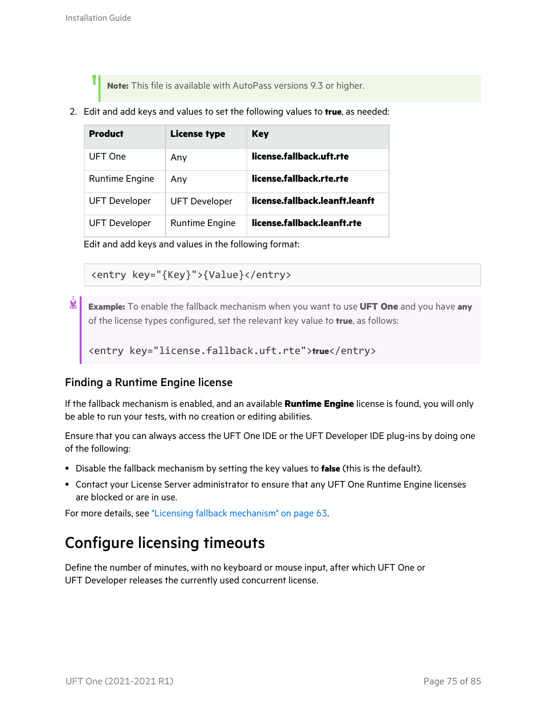**Note:** This file is available with AutoPass versions 9.3 or higher.

2. Edit and add keys and values to set the following values to **true**, as needed:

| <b>Product</b>        | License type          | Key                            |
|-----------------------|-----------------------|--------------------------------|
| UFT One               | Any                   | license.fallback.uft.rte       |
| <b>Runtime Engine</b> | Anv                   | license.fallback.rte.rte       |
| <b>UFT Developer</b>  | <b>UFT Developer</b>  | license.fallback.leanft.leanft |
| <b>UFT Developer</b>  | <b>Runtime Engine</b> | license.fallback.leanft.rte    |

Edit and add keys and values in the following format:

<entry key="{Key}">{Value}</entry>

Ń. **Example:** To enable the fallback mechanism when you want to use **UFT One** and you have **any** of the license types configured, set the relevant key value to **true**, as follows:

<entry key="license.fallback.uft.rte">**true**</entry>

#### Finding a Runtime Engine license

If the fallback mechanism is enabled, and an available **Runtime Engine** license is found, you will only be able to run your tests, with no creation or editing abilities.

Ensure that you can always access the UFT One IDE or the UFT Developer IDE plug-ins by doing one of the following:

- **•** Disable the fallback mechanism by setting the key values to **false** (this is the default).
- Contact your License Server administrator to ensure that any UFT One Runtime Engine licenses are blocked or are in use.

For more details, see "Licensing fallback [mechanism"](#page-62-0) on page 63.

### <span id="page-74-0"></span>Configure licensing timeouts

Define the number of minutes, with no keyboard or mouse input, after which UFT One or UFT Developer releases the currently used concurrent license.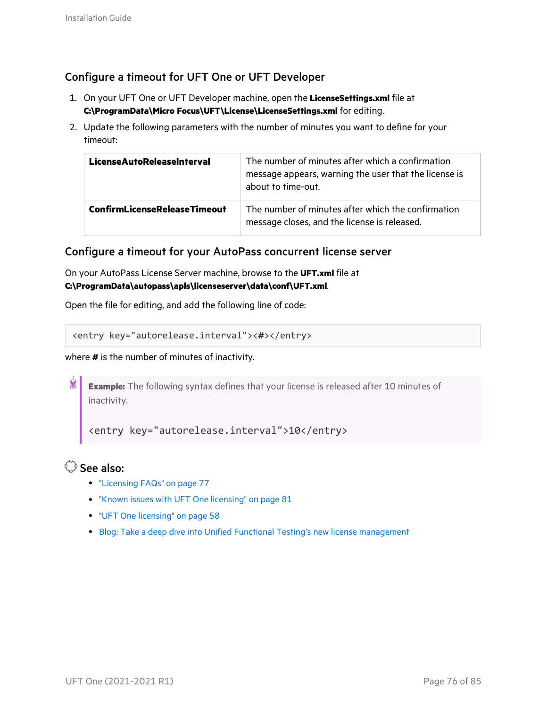#### Configure a timeout for UFT One or UFT Developer

- 1. On your UFT One or UFT Developer machine, open the **LicenseSettings.xml** file at **C:\ProgramData\Micro Focus\UFT\License\LicenseSettings.xml** for editing.
- 2. Update the following parameters with the number of minutes you want to define for your timeout:

| <b>LicenseAutoReleaseInterval</b>   | The number of minutes after which a confirmation<br>message appears, warning the user that the license is<br>about to time-out. |
|-------------------------------------|---------------------------------------------------------------------------------------------------------------------------------|
| <b>ConfirmLicenseReleaseTimeout</b> | The number of minutes after which the confirmation<br>message closes, and the license is released.                              |

#### Configure a timeout for your AutoPass concurrent license server

On your AutoPass License Server machine, browse to the **UFT.xml** file at **C:\ProgramData\autopass\apls\licenseserver\data\conf\UFT.xml**.

Open the file for editing, and add the following line of code:

```
<entry key="autorelease.interval"><#></entry>
```
#### where **#** is the number of minutes of inactivity.

¥ **Example:** The following syntax defines that your license is released after 10 minutes of inactivity.

<entry key="autorelease.interval">10</entry>

- ["Licensing](#page-76-0) FAQs" on page 77
- "Known issues with UFT One [licensing"](#page-80-0) on page 81
- "UFT One [licensing"](#page-57-0) on page 58
- Blog: Take a deep dive into Unified Functional Testing's new license [management](https://community.microfocus.com/moderation/cmgmt/archives/archived-software-blogs/b/archivedalmarticles/posts/take-a-deep-dive-into-unified-functional-testing-s-new-license-management)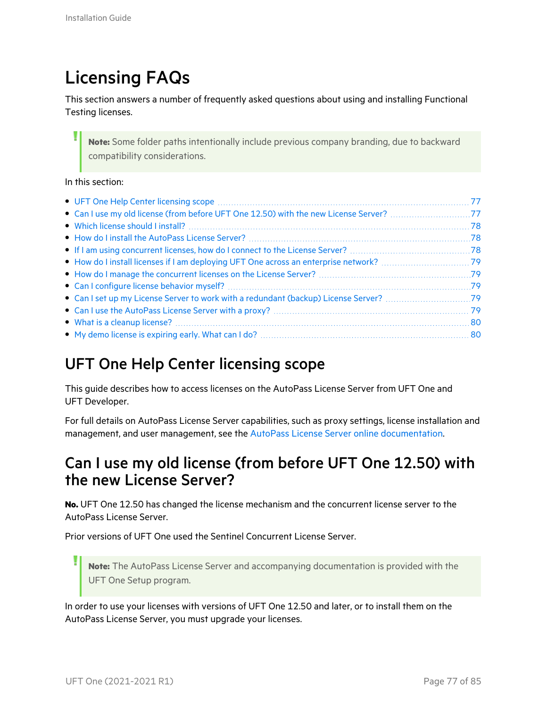# <span id="page-76-0"></span>Licensing FAQs

This section answers a number of frequently asked questions about using and installing Functional Testing licenses.

**Note:** Some folder paths intentionally include previous company branding, due to backward compatibility considerations.

#### In this section:

### <span id="page-76-1"></span>UFT One Help Center licensing scope

This guide describes how to access licenses on the AutoPass License Server from UFT One and UFT Developer.

For full details on AutoPass License Server capabilities, such as proxy settings, license installation and management, and user management, see the AutoPass License Server online [documentation.](https://docs.microfocus.com/itom/AutoPass_License_Server:11.7.0/Home)

#### <span id="page-76-2"></span>Can I use my old license (from before UFT One 12.50) with the new License Server?

**No.** UFT One 12.50 has changed the license mechanism and the concurrent license server to the AutoPass License Server.

Prior versions of UFT One used the Sentinel Concurrent License Server.

**Note:** The AutoPass License Server and accompanying documentation is provided with the UFT One Setup program.

In order to use your licenses with versions of UFT One 12.50 and later, or to install them on the AutoPass License Server, you must upgrade your licenses.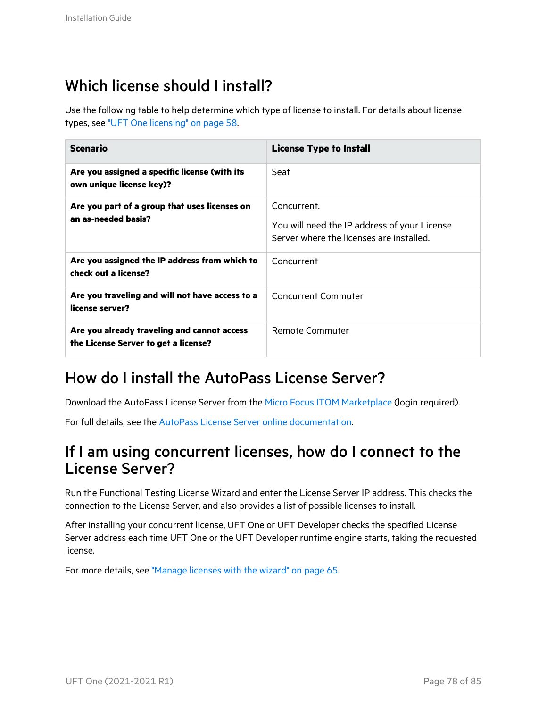### <span id="page-77-0"></span>Which license should I install?

Use the following table to help determine which type of license to install. For details about license types, see "UFT One [licensing"](#page-57-0) on page 58.

| <b>Scenario</b>                                                                     | <b>License Type to Install</b>                                                                          |
|-------------------------------------------------------------------------------------|---------------------------------------------------------------------------------------------------------|
| Are you assigned a specific license (with its<br>own unique license key)?           | Seat                                                                                                    |
| Are you part of a group that uses licenses on<br>an as-needed basis?                | Concurrent.<br>You will need the IP address of your License<br>Server where the licenses are installed. |
| Are you assigned the IP address from which to<br>check out a license?               | Concurrent                                                                                              |
| Are you traveling and will not have access to a<br>license server?                  | <b>Concurrent Commuter</b>                                                                              |
| Are you already traveling and cannot access<br>the License Server to get a license? | Remote Commuter                                                                                         |

### <span id="page-77-1"></span>How do I install the AutoPass License Server?

Download the AutoPass License Server from the Micro Focus ITOM [Marketplace](https://marketplace.microfocus.com/itom/content/autopass-license-server) (login required).

For full details, see the AutoPass License Server online [documentation.](https://docs.microfocus.com/itom/AutoPass_License_Server:11.7.0/Home)

#### <span id="page-77-2"></span>If I am using concurrent licenses, how do I connect to the License Server?

Run the Functional Testing License Wizard and enter the License Server IP address. This checks the connection to the License Server, and also provides a list of possible licenses to install.

After installing your concurrent license, UFT One or UFT Developer checks the specified License Server address each time UFT One or the UFT Developer runtime engine starts, taking the requested license.

For more details, see ["Manage](#page-64-0) licenses with the wizard" on page 65.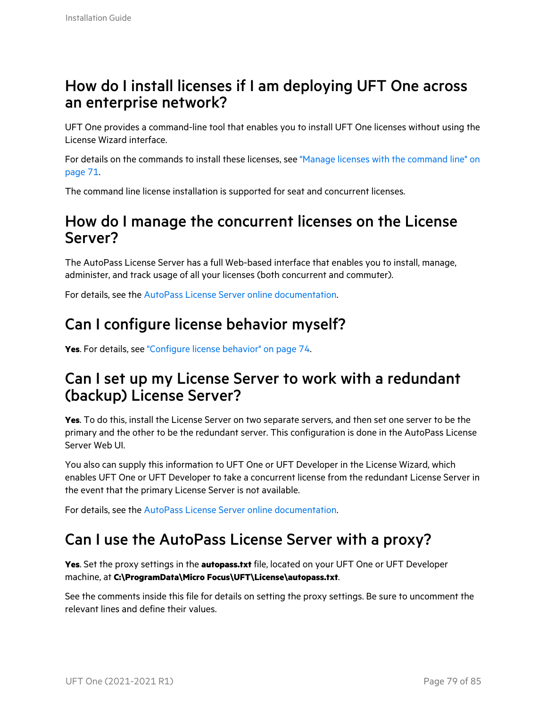#### <span id="page-78-0"></span>How do I install licenses if I am deploying UFT One across an enterprise network?

UFT One provides a command-line tool that enables you to install UFT One licenses without using the License Wizard interface.

For details on the commands to install these licenses, see "Manage licenses with the [command](#page-70-0) line" on [page](#page-70-0) 71.

The command line license installation is supported for seat and concurrent licenses.

#### <span id="page-78-1"></span>How do I manage the concurrent licenses on the License Server?

The AutoPass License Server has a full Web-based interface that enables you to install, manage, administer, and track usage of all your licenses (both concurrent and commuter).

For details, see the AutoPass License Server online [documentation.](https://docs.microfocus.com/itom/AutoPass_License_Server:11.7.0/Home)

### <span id="page-78-2"></span>Can I configure license behavior myself?

**Yes**. For details, see ["Configure](#page-73-2) license behavior" on page 74.

#### <span id="page-78-3"></span>Can I set up my License Server to work with a redundant (backup) License Server?

**Yes**. To do this, install the License Server on two separate servers, and then set one server to be the primary and the other to be the redundant server. This configuration is done in the AutoPass License Server Web UI.

You also can supply this information to UFT One or UFT Developer in the License Wizard, which enables UFT One or UFT Developer to take a concurrent license from the redundant License Server in the event that the primary License Server is not available.

For details, see the AutoPass License Server online [documentation.](https://docs.microfocus.com/itom/AutoPass_License_Server:11.7.0/Home)

### <span id="page-78-4"></span>Can I use the AutoPass License Server with a proxy?

**Yes**. Set the proxy settings in the **autopass.txt** file, located on your UFT One or UFT Developer machine, at **C:\ProgramData\Micro Focus\UFT\License\autopass.txt**.

See the comments inside this file for details on setting the proxy settings. Be sure to uncomment the relevant lines and define their values.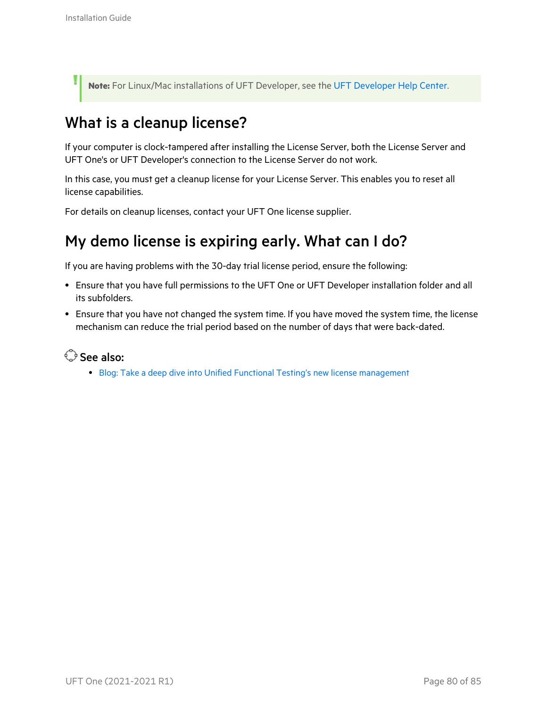ų

**Note:** For Linux/Mac installations of UFT Developer, see the UFT [Developer](https://admhelp.microfocus.com/uftdev/) Help Center.

### <span id="page-79-0"></span>What is a cleanup license?

If your computer is clock-tampered after installing the License Server, both the License Server and UFT One's or UFT Developer's connection to the License Server do not work.

In this case, you must get a cleanup license for your License Server. This enables you to reset all license capabilities.

For details on cleanup licenses, contact your UFT One license supplier.

### <span id="page-79-1"></span>My demo license is expiring early. What can I do?

If you are having problems with the 30-day trial license period, ensure the following:

- <sup>l</sup> Ensure that you have full permissions to the UFT One or UFT Developer installation folder and all its subfolders.
- Ensure that you have not changed the system time. If you have moved the system time, the license mechanism can reduce the trial period based on the number of days that were back-dated.

See also:

• Blog: Take a deep dive into Unified Functional Testing's new license [management](https://community.microfocus.com/moderation/cmgmt/archives/archived-software-blogs/b/archivedalmarticles/posts/take-a-deep-dive-into-unified-functional-testing-s-new-license-management#.WpvnO-hua71)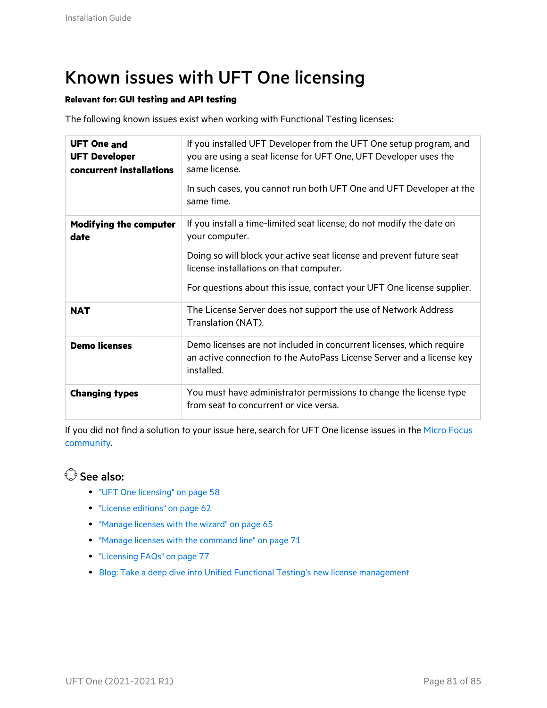# <span id="page-80-0"></span>Known issues with UFT One licensing

#### **Relevant for: GUI testing and API testing**

The following known issues exist when working with Functional Testing licenses:

| <b>UFT One and</b><br><b>UFT Developer</b><br>concurrent installations | If you installed UFT Developer from the UFT One setup program, and<br>you are using a seat license for UFT One, UFT Developer uses the<br>same license.<br>In such cases, you cannot run both UFT One and UFT Developer at the<br>same time. |
|------------------------------------------------------------------------|----------------------------------------------------------------------------------------------------------------------------------------------------------------------------------------------------------------------------------------------|
| <b>Modifying the computer</b><br>date                                  | If you install a time-limited seat license, do not modify the date on<br>your computer.                                                                                                                                                      |
|                                                                        | Doing so will block your active seat license and prevent future seat<br>license installations on that computer.                                                                                                                              |
|                                                                        | For questions about this issue, contact your UFT One license supplier.                                                                                                                                                                       |
| <b>NAT</b>                                                             | The License Server does not support the use of Network Address<br>Translation (NAT).                                                                                                                                                         |
| <b>Demo licenses</b>                                                   | Demo licenses are not included in concurrent licenses, which require<br>an active connection to the AutoPass License Server and a license key<br>installed.                                                                                  |
| <b>Changing types</b>                                                  | You must have administrator permissions to change the license type<br>from seat to concurrent or vice versa.                                                                                                                                 |

If you did not find a solution to your issue here, search for UFT One license issues in the Micro [Focus](https://community.microfocus.com/adtd/uft) [community](https://community.microfocus.com/adtd/uft).

- "UFT One [licensing"](#page-57-0) on page 58
- "License [editions"](#page-61-0) on page 62
- ["Manage](#page-64-0) licenses with the wizard" on page 65
- "Manage licenses with the [command](#page-70-0) line" on page 71
- ["Licensing](#page-76-0) FAQs" on page 77
- Blog: Take a deep dive into Unified Functional Testing's new license [management](https://community.microfocus.com/moderation/cmgmt/archives/archived-software-blogs/b/archivedalmarticles/posts/take-a-deep-dive-into-unified-functional-testing-s-new-license-management#.WpvnO-hua71)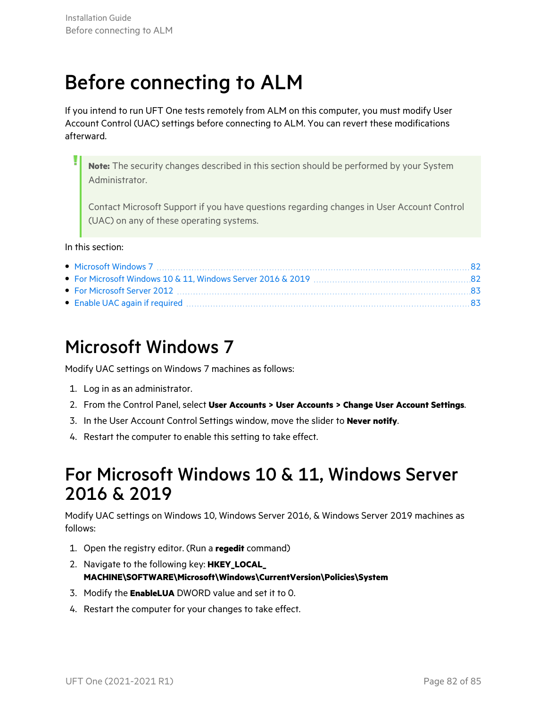# Before connecting to ALM

If you intend to run UFT One tests remotely from ALM on this computer, you must modify User Account Control (UAC) settings before connecting to ALM. You can revert these modifications afterward.

**Note:** The security changes described in this section should be performed by your System Administrator.

Contact Microsoft Support if you have questions regarding changes in User Account Control (UAC) on any of these operating systems.

#### In this section:

### <span id="page-81-0"></span>Microsoft Windows 7

Modify UAC settings on Windows 7 machines as follows:

- 1. Log in as an administrator.
- 2. From the Control Panel, select **User Accounts > User Accounts > Change User Account Settings**.
- 3. In the User Account Control Settings window, move the slider to **Never notify**.
- 4. Restart the computer to enable this setting to take effect.

### <span id="page-81-1"></span>For Microsoft Windows 10 & 11, Windows Server 2016 & 2019

Modify UAC settings on Windows 10, Windows Server 2016, & Windows Server 2019 machines as follows:

- 1. Open the registry editor. (Run a **regedit** command)
- 2. Navigate to the following key: **HKEY\_LOCAL\_ MACHINE\SOFTWARE\Microsoft\Windows\CurrentVersion\Policies\System**
- 3. Modify the **EnableLUA** DWORD value and set it to 0.
- 4. Restart the computer for your changes to take effect.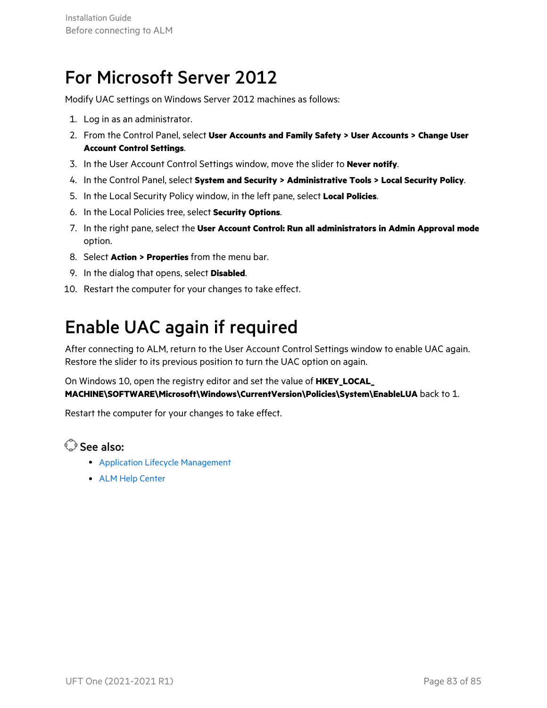## <span id="page-82-0"></span>For Microsoft Server 2012

Modify UAC settings on Windows Server 2012 machines as follows:

- 1. Log in as an administrator.
- 2. From the Control Panel, select **User Accounts and Family Safety > User Accounts > Change User Account Control Settings**.
- 3. In the User Account Control Settings window, move the slider to **Never notify**.
- 4. In the Control Panel, select **System and Security > Administrative Tools > Local Security Policy**.
- 5. In the Local Security Policy window, in the left pane, select **Local Policies**.
- 6. In the Local Policies tree, select **Security Options**.
- 7. In the right pane, select the **User Account Control: Run all administrators in Admin Approval mode** option.
- 8. Select **Action > Properties** from the menu bar.
- 9. In the dialog that opens, select **Disabled**.
- 10. Restart the computer for your changes to take effect.

## <span id="page-82-1"></span>Enable UAC again if required

After connecting to ALM, return to the User Account Control Settings window to enable UAC again. Restore the slider to its previous position to turn the UAC option on again.

On Windows 10, open the registry editor and set the value of **HKEY\_LOCAL\_ MACHINE\SOFTWARE\Microsoft\Windows\CurrentVersion\Policies\System\EnableLUA** back to 1.

Restart the computer for your changes to take effect.

- **Application Lifecycle [Management](https://admhelp.microfocus.com/uft/en/2021-2021_R1/UFT_Help/Content/User_Guide/z_Sxn_Integ_ALM.htm)**
- ALM Help [Center](http://admhelp.microfocus.com/alm/)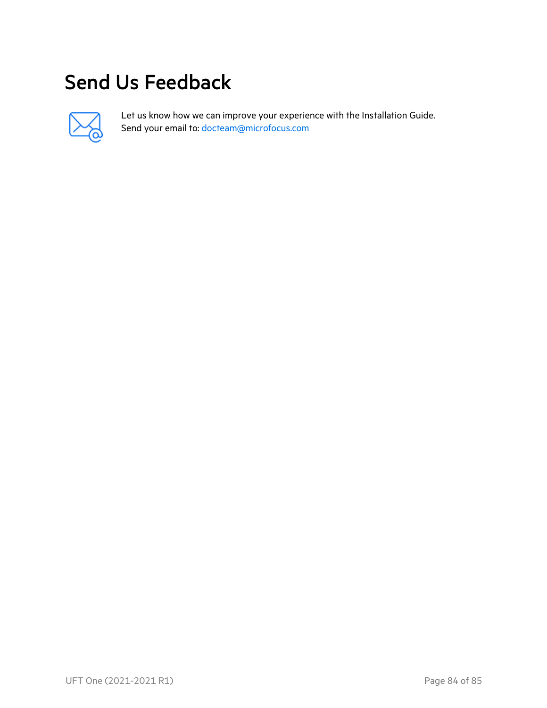# Send Us Feedback



Let us know how we can improve your experience with the Installation Guide. Send your email to: [docteam@microfocus.com](mailto:docteam@microfocus.com?subject=Feedback on Installation Guide (UFTOne 2021-2021R1))